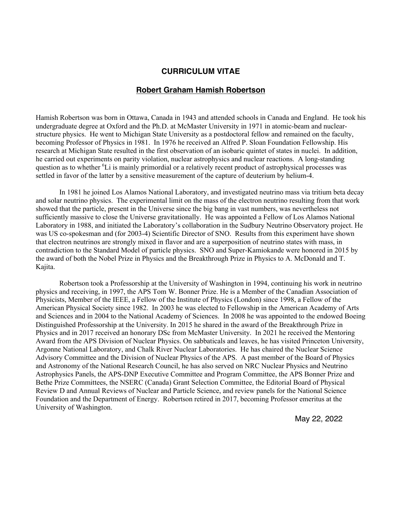#### **CURRICULUM VITAE**

#### **Robert Graham Hamish Robertson**

Hamish Robertson was born in Ottawa, Canada in 1943 and attended schools in Canada and England. He took his undergraduate degree at Oxford and the Ph.D. at McMaster University in 1971 in atomic-beam and nuclearstructure physics. He went to Michigan State University as a postdoctoral fellow and remained on the faculty, becoming Professor of Physics in 1981. In 1976 he received an Alfred P. Sloan Foundation Fellowship. His research at Michigan State resulted in the first observation of an isobaric quintet of states in nuclei. In addition, he carried out experiments on parity violation, nuclear astrophysics and nuclear reactions. A long-standing question as to whether <sup>6</sup>Li is mainly primordial or a relatively recent product of astrophysical processes was settled in favor of the latter by a sensitive measurement of the capture of deuterium by helium-4.

In 1981 he joined Los Alamos National Laboratory, and investigated neutrino mass via tritium beta decay and solar neutrino physics. The experimental limit on the mass of the electron neutrino resulting from that work showed that the particle, present in the Universe since the big bang in vast numbers, was nevertheless not sufficiently massive to close the Universe gravitationally. He was appointed a Fellow of Los Alamos National Laboratory in 1988, and initiated the Laboratory's collaboration in the Sudbury Neutrino Observatory project. He was US co-spokesman and (for 2003-4) Scientific Director of SNO. Results from this experiment have shown that electron neutrinos are strongly mixed in flavor and are a superposition of neutrino states with mass, in contradiction to the Standard Model of particle physics. SNO and Super-Kamiokande were honored in 2015 by the award of both the Nobel Prize in Physics and the Breakthrough Prize in Physics to A. McDonald and T. Kajita.

Robertson took a Professorship at the University of Washington in 1994, continuing his work in neutrino physics and receiving, in 1997, the APS Tom W. Bonner Prize. He is a Member of the Canadian Association of Physicists, Member of the IEEE, a Fellow of the Institute of Physics (London) since 1998, a Fellow of the American Physical Society since 1982. In 2003 he was elected to Fellowship in the American Academy of Arts and Sciences and in 2004 to the National Academy of Sciences. In 2008 he was appointed to the endowed Boeing Distinguished Professorship at the University. In 2015 he shared in the award of the Breakthrough Prize in Physics and in 2017 received an honorary DSc from McMaster University. In 2021 he received the Mentoring Award from the APS Division of Nuclear Physics. On sabbaticals and leaves, he has visited Princeton University, Argonne National Laboratory, and Chalk River Nuclear Laboratories. He has chaired the Nuclear Science Advisory Committee and the Division of Nuclear Physics of the APS. A past member of the Board of Physics and Astronomy of the National Research Council, he has also served on NRC Nuclear Physics and Neutrino Astrophysics Panels, the APS-DNP Executive Committee and Program Committee, the APS Bonner Prize and Bethe Prize Committees, the NSERC (Canada) Grant Selection Committee, the Editorial Board of Physical Review D and Annual Reviews of Nuclear and Particle Science, and review panels for the National Science Foundation and the Department of Energy. Robertson retired in 2017, becoming Professor emeritus at the University of Washington.

May 22, 2022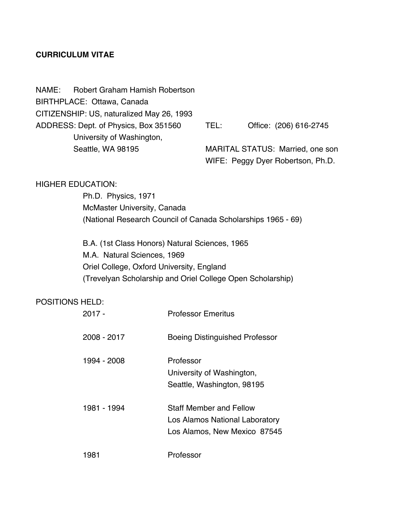## **CURRICULUM VITAE**

NAME: Robert Graham Hamish Robertson BIRTHPLACE: Ottawa, Canada CITIZENSHIP: US, naturalized May 26, 1993 ADDRESS: Dept. of Physics, Box 351560 TEL: Office: (206) 616-2745 University of Washington, Seattle, WA 98195 MARITAL STATUS: Married, one son

WIFE: Peggy Dyer Robertson, Ph.D.

## HIGHER EDUCATION:

Ph.D. Physics, 1971 McMaster University, Canada (National Research Council of Canada Scholarships 1965 - 69)

B.A. (1st Class Honors) Natural Sciences, 1965 M.A. Natural Sciences, 1969 Oriel College, Oxford University, England (Trevelyan Scholarship and Oriel College Open Scholarship)

#### POSITIONS HELD:

| 2017 -      | <b>Professor Emeritus</b>                                                                 |
|-------------|-------------------------------------------------------------------------------------------|
| 2008 - 2017 | <b>Boeing Distinguished Professor</b>                                                     |
| 1994 - 2008 | Professor<br>University of Washington,<br>Seattle, Washington, 98195                      |
| 1981 - 1994 | Staff Member and Fellow<br>Los Alamos National Laboratory<br>Los Alamos, New Mexico 87545 |
| 1981        | Professor                                                                                 |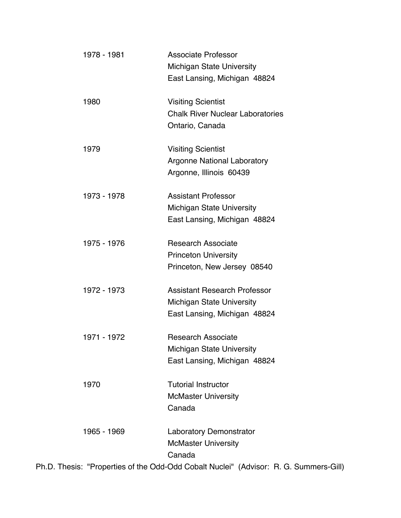| 1978 - 1981 | <b>Associate Professor</b>                                                            |
|-------------|---------------------------------------------------------------------------------------|
|             | <b>Michigan State University</b>                                                      |
|             | East Lansing, Michigan 48824                                                          |
| 1980        | <b>Visiting Scientist</b>                                                             |
|             | <b>Chalk River Nuclear Laboratories</b>                                               |
|             | Ontario, Canada                                                                       |
| 1979        | <b>Visiting Scientist</b>                                                             |
|             | <b>Argonne National Laboratory</b>                                                    |
|             | Argonne, Illinois 60439                                                               |
| 1973 - 1978 | <b>Assistant Professor</b>                                                            |
|             | <b>Michigan State University</b>                                                      |
|             | East Lansing, Michigan 48824                                                          |
| 1975 - 1976 | <b>Research Associate</b>                                                             |
|             | <b>Princeton University</b>                                                           |
|             | Princeton, New Jersey 08540                                                           |
| 1972 - 1973 | <b>Assistant Research Professor</b>                                                   |
|             | <b>Michigan State University</b>                                                      |
|             | East Lansing, Michigan 48824                                                          |
| 1971 - 1972 | <b>Research Associate</b>                                                             |
|             | <b>Michigan State University</b>                                                      |
|             | East Lansing, Michigan 48824                                                          |
| 1970        | <b>Tutorial Instructor</b>                                                            |
|             | <b>McMaster University</b>                                                            |
|             | Canada                                                                                |
| 1965 - 1969 | <b>Laboratory Demonstrator</b>                                                        |
|             | <b>McMaster University</b>                                                            |
|             | Canada                                                                                |
|             | Ph.D. Thesis: "Properties of the Odd-Odd Cobalt Nuclei" (Advisor: R. G. Summers-Gill) |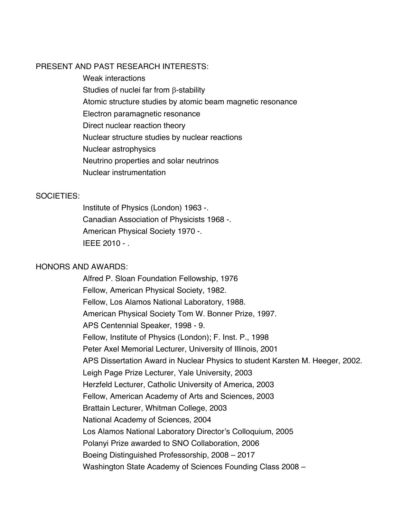## PRESENT AND PAST RESEARCH INTERESTS:

Weak interactions Studies of nuclei far from **B**-stability Atomic structure studies by atomic beam magnetic resonance Electron paramagnetic resonance Direct nuclear reaction theory Nuclear structure studies by nuclear reactions Nuclear astrophysics Neutrino properties and solar neutrinos Nuclear instrumentation

#### SOCIETIES:

Institute of Physics (London) 1963 -. Canadian Association of Physicists 1968 -. American Physical Society 1970 -. IEEE 2010 - .

# HONORS AND AWARDS:

Alfred P. Sloan Foundation Fellowship, 1976 Fellow, American Physical Society, 1982. Fellow, Los Alamos National Laboratory, 1988. American Physical Society Tom W. Bonner Prize, 1997. APS Centennial Speaker, 1998 - 9. Fellow, Institute of Physics (London); F. Inst. P., 1998 Peter Axel Memorial Lecturer, University of Illinois, 2001 APS Dissertation Award in Nuclear Physics to student Karsten M. Heeger, 2002. Leigh Page Prize Lecturer, Yale University, 2003 Herzfeld Lecturer, Catholic University of America, 2003 Fellow, American Academy of Arts and Sciences, 2003 Brattain Lecturer, Whitman College, 2003 National Academy of Sciences, 2004 Los Alamos National Laboratory Director's Colloquium, 2005 Polanyi Prize awarded to SNO Collaboration, 2006 Boeing Distinguished Professorship, 2008 – 2017 Washington State Academy of Sciences Founding Class 2008 –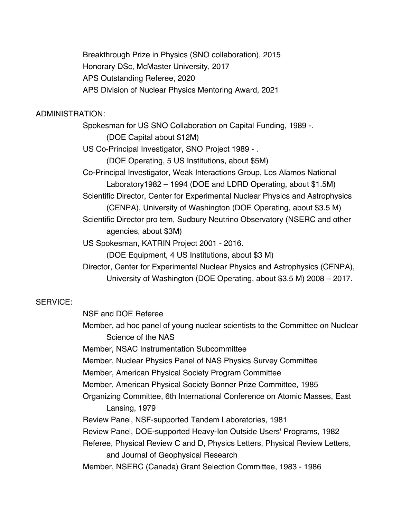Breakthrough Prize in Physics (SNO collaboration), 2015 Honorary DSc, McMaster University, 2017 APS Outstanding Referee, 2020 APS Division of Nuclear Physics Mentoring Award, 2021

# ADMINISTRATION:

Spokesman for US SNO Collaboration on Capital Funding, 1989 -. (DOE Capital about \$12M) US Co-Principal Investigator, SNO Project 1989 - . (DOE Operating, 5 US Institutions, about \$5M) Co-Principal Investigator, Weak Interactions Group, Los Alamos National Laboratory1982 – 1994 (DOE and LDRD Operating, about \$1.5M) Scientific Director, Center for Experimental Nuclear Physics and Astrophysics (CENPA), University of Washington (DOE Operating, about \$3.5 M) Scientific Director pro tem, Sudbury Neutrino Observatory (NSERC and other agencies, about \$3M) US Spokesman, KATRIN Project 2001 - 2016.

(DOE Equipment, 4 US Institutions, about \$3 M)

Director, Center for Experimental Nuclear Physics and Astrophysics (CENPA), University of Washington (DOE Operating, about \$3.5 M) 2008 – 2017.

# SERVICE:

NSF and DOE Referee

Member, ad hoc panel of young nuclear scientists to the Committee on Nuclear Science of the NAS

Member, NSAC Instrumentation Subcommittee

Member, Nuclear Physics Panel of NAS Physics Survey Committee

Member, American Physical Society Program Committee

Member, American Physical Society Bonner Prize Committee, 1985

Organizing Committee, 6th International Conference on Atomic Masses, East Lansing, 1979

Review Panel, NSF-supported Tandem Laboratories, 1981

Review Panel, DOE-supported Heavy-Ion Outside Users' Programs, 1982

Referee, Physical Review C and D, Physics Letters, Physical Review Letters, and Journal of Geophysical Research

Member, NSERC (Canada) Grant Selection Committee, 1983 - 1986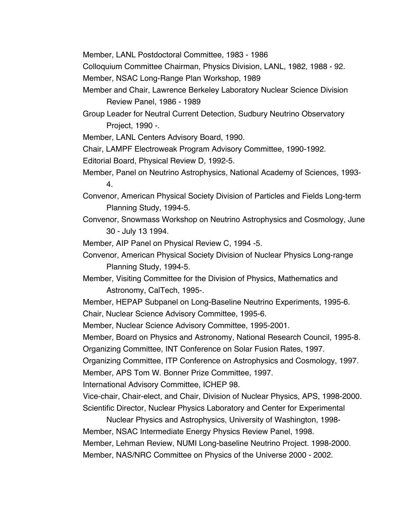Member, LANL Postdoctoral Committee, 1983 - 1986

Colloquium Committee Chairman, Physics Division, LANL, 1982, 1988 - 92.

Member, NSAC Long-Range Plan Workshop, 1989

Member and Chair, Lawrence Berkeley Laboratory Nuclear Science Division Review Panel, 1986 - 1989

Group Leader for Neutral Current Detection, Sudbury Neutrino Observatory Project, 1990 -.

Member, LANL Centers Advisory Board, 1990.

Chair, LAMPF Electroweak Program Advisory Committee, 1990-1992.

Editorial Board, Physical Review D, 1992-5.

- Member, Panel on Neutrino Astrophysics, National Academy of Sciences, 1993- 4.
- Convenor, American Physical Society Division of Particles and Fields Long-term Planning Study, 1994-5.
- Convenor, Snowmass Workshop on Neutrino Astrophysics and Cosmology, June 30 - July 13 1994.

Member, AIP Panel on Physical Review C, 1994 -5.

Convenor, American Physical Society Division of Nuclear Physics Long-range Planning Study, 1994-5.

Member, Visiting Committee for the Division of Physics, Mathematics and Astronomy, CalTech, 1995-.

Member, HEPAP Subpanel on Long-Baseline Neutrino Experiments, 1995-6. Chair, Nuclear Science Advisory Committee, 1995-6.

Member, Nuclear Science Advisory Committee, 1995-2001.

Member, Board on Physics and Astronomy, National Research Council, 1995-8.

Organizing Committee, INT Conference on Solar Fusion Rates, 1997.

Organizing Committee, ITP Conference on Astrophysics and Cosmology, 1997. Member, APS Tom W. Bonner Prize Committee, 1997.

International Advisory Committee, ICHEP 98.

Vice-chair, Chair-elect, and Chair, Division of Nuclear Physics, APS, 1998-2000. Scientific Director, Nuclear Physics Laboratory and Center for Experimental

Nuclear Physics and Astrophysics, University of Washington, 1998- Member, NSAC Intermediate Energy Physics Review Panel, 1998. Member, Lehman Review, NUMI Long-baseline Neutrino Project. 1998-2000. Member, NAS/NRC Committee on Physics of the Universe 2000 - 2002.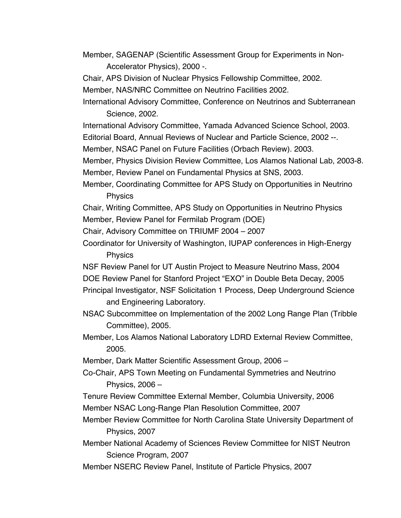- Member, SAGENAP (Scientific Assessment Group for Experiments in Non-Accelerator Physics), 2000 -.
- Chair, APS Division of Nuclear Physics Fellowship Committee, 2002.

Member, NAS/NRC Committee on Neutrino Facilities 2002.

International Advisory Committee, Conference on Neutrinos and Subterranean Science, 2002.

- International Advisory Committee, Yamada Advanced Science School, 2003.
- Editorial Board, Annual Reviews of Nuclear and Particle Science, 2002 --.
- Member, NSAC Panel on Future Facilities (Orbach Review). 2003.

Member, Physics Division Review Committee, Los Alamos National Lab, 2003-8. Member, Review Panel on Fundamental Physics at SNS, 2003.

Member, Coordinating Committee for APS Study on Opportunities in Neutrino Physics

Chair, Writing Committee, APS Study on Opportunities in Neutrino Physics Member, Review Panel for Fermilab Program (DOE)

Chair, Advisory Committee on TRIUMF 2004 – 2007

Coordinator for University of Washington, IUPAP conferences in High-Energy Physics

NSF Review Panel for UT Austin Project to Measure Neutrino Mass, 2004

DOE Review Panel for Stanford Project "EXO" in Double Beta Decay, 2005

- Principal Investigator, NSF Solicitation 1 Process, Deep Underground Science and Engineering Laboratory.
- NSAC Subcommittee on Implementation of the 2002 Long Range Plan (Tribble Committee), 2005.
- Member, Los Alamos National Laboratory LDRD External Review Committee, 2005.

Member, Dark Matter Scientific Assessment Group, 2006 –

Co-Chair, APS Town Meeting on Fundamental Symmetries and Neutrino Physics, 2006 –

- Tenure Review Committee External Member, Columbia University, 2006 Member NSAC Long-Range Plan Resolution Committee, 2007
- Member Review Committee for North Carolina State University Department of Physics, 2007
- Member National Academy of Sciences Review Committee for NIST Neutron Science Program, 2007
- Member NSERC Review Panel, Institute of Particle Physics, 2007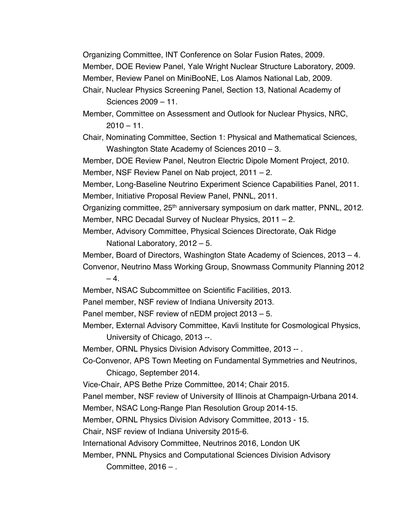Organizing Committee, INT Conference on Solar Fusion Rates, 2009. Member, DOE Review Panel, Yale Wright Nuclear Structure Laboratory, 2009. Member, Review Panel on MiniBooNE, Los Alamos National Lab, 2009.

Chair, Nuclear Physics Screening Panel, Section 13, National Academy of Sciences 2009 – 11.

Member, Committee on Assessment and Outlook for Nuclear Physics, NRC,  $2010 - 11$ .

Chair, Nominating Committee, Section 1: Physical and Mathematical Sciences, Washington State Academy of Sciences 2010 – 3.

Member, DOE Review Panel, Neutron Electric Dipole Moment Project, 2010. Member, NSF Review Panel on Nab project, 2011 – 2.

Member, Long-Baseline Neutrino Experiment Science Capabilities Panel, 2011. Member, Initiative Proposal Review Panel, PNNL, 2011.

Organizing committee, 25<sup>th</sup> anniversary symposium on dark matter, PNNL, 2012. Member, NRC Decadal Survey of Nuclear Physics, 2011 – 2.

Member, Advisory Committee, Physical Sciences Directorate, Oak Ridge National Laboratory, 2012 – 5.

Member, Board of Directors, Washington State Academy of Sciences, 2013 – 4.

Convenor, Neutrino Mass Working Group, Snowmass Community Planning 2012  $-4$ 

Member, NSAC Subcommittee on Scientific Facilities, 2013.

Panel member, NSF review of Indiana University 2013.

Panel member, NSF review of nEDM project 2013 – 5.

Member, External Advisory Committee, Kavli Institute for Cosmological Physics, University of Chicago, 2013 --.

Member, ORNL Physics Division Advisory Committee, 2013 -- .

Co-Convenor, APS Town Meeting on Fundamental Symmetries and Neutrinos, Chicago, September 2014.

Vice-Chair, APS Bethe Prize Committee, 2014; Chair 2015.

Panel member, NSF review of University of Illinois at Champaign-Urbana 2014.

Member, NSAC Long-Range Plan Resolution Group 2014-15.

Member, ORNL Physics Division Advisory Committee, 2013 - 15.

Chair, NSF review of Indiana University 2015-6.

International Advisory Committee, Neutrinos 2016, London UK

Member, PNNL Physics and Computational Sciences Division Advisory Committee, 2016 – .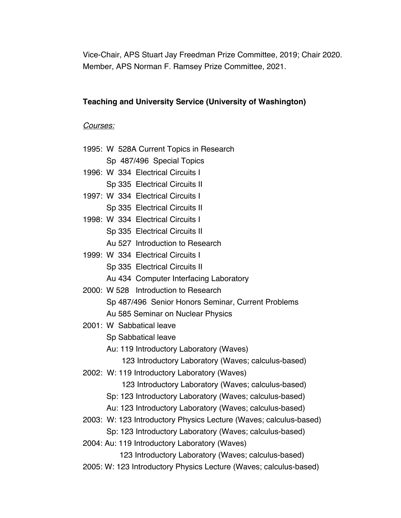Vice-Chair, APS Stuart Jay Freedman Prize Committee, 2019; Chair 2020. Member, APS Norman F. Ramsey Prize Committee, 2021.

## **Teaching and University Service (University of Washington)**

#### *Courses:*

- 1995: W 528A Current Topics in Research
	- Sp 487/496 Special Topics
- 1996: W 334 Electrical Circuits I
	- Sp 335 Electrical Circuits II
- 1997: W 334 Electrical Circuits I
	- Sp 335 Electrical Circuits II
- 1998: W 334 Electrical Circuits I
	- Sp 335 Electrical Circuits II
	- Au 527 Introduction to Research
- 1999: W 334 Electrical Circuits I
	- Sp 335 Electrical Circuits II
	- Au 434 Computer Interfacing Laboratory
- 2000: W 528 Introduction to Research
	- Sp 487/496 Senior Honors Seminar, Current Problems Au 585 Seminar on Nuclear Physics
- 2001: W Sabbatical leave
	- Sp Sabbatical leave
	- Au: 119 Introductory Laboratory (Waves)
		- 123 Introductory Laboratory (Waves; calculus-based)
- 2002: W: 119 Introductory Laboratory (Waves)
	- 123 Introductory Laboratory (Waves; calculus-based)
	- Sp: 123 Introductory Laboratory (Waves; calculus-based)
	- Au: 123 Introductory Laboratory (Waves; calculus-based)
- 2003: W: 123 Introductory Physics Lecture (Waves; calculus-based)
	- Sp: 123 Introductory Laboratory (Waves; calculus-based)
- 2004: Au: 119 Introductory Laboratory (Waves)
	- 123 Introductory Laboratory (Waves; calculus-based)
- 2005: W: 123 Introductory Physics Lecture (Waves; calculus-based)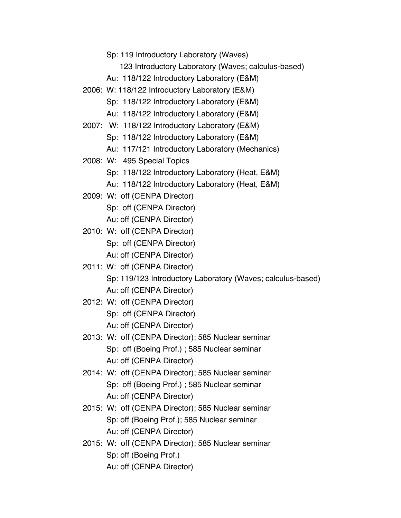Sp: 119 Introductory Laboratory (Waves)

123 Introductory Laboratory (Waves; calculus-based)

- Au: 118/122 Introductory Laboratory (E&M)
- 2006: W: 118/122 Introductory Laboratory (E&M)

Sp: 118/122 Introductory Laboratory (E&M)

- Au: 118/122 Introductory Laboratory (E&M)
- 2007: W: 118/122 Introductory Laboratory (E&M)
	- Sp: 118/122 Introductory Laboratory (E&M)
	- Au: 117/121 Introductory Laboratory (Mechanics)
- 2008: W: 495 Special Topics

Sp: 118/122 Introductory Laboratory (Heat, E&M)

- Au: 118/122 Introductory Laboratory (Heat, E&M)
- 2009: W: off (CENPA Director)

Sp: off (CENPA Director)

Au: off (CENPA Director)

- 2010: W: off (CENPA Director) Sp: off (CENPA Director) Au: off (CENPA Director)
- 2011: W: off (CENPA Director) Sp: 119/123 Introductory Laboratory (Waves; calculus-based) Au: off (CENPA Director)
- 2012: W: off (CENPA Director) Sp: off (CENPA Director) Au: off (CENPA Director)
- 2013: W: off (CENPA Director); 585 Nuclear seminar Sp: off (Boeing Prof.) ; 585 Nuclear seminar Au: off (CENPA Director)
- 2014: W: off (CENPA Director); 585 Nuclear seminar Sp: off (Boeing Prof.) ; 585 Nuclear seminar Au: off (CENPA Director)
- 2015: W: off (CENPA Director); 585 Nuclear seminar Sp: off (Boeing Prof.); 585 Nuclear seminar Au: off (CENPA Director)
- 2015: W: off (CENPA Director); 585 Nuclear seminar Sp: off (Boeing Prof.) Au: off (CENPA Director)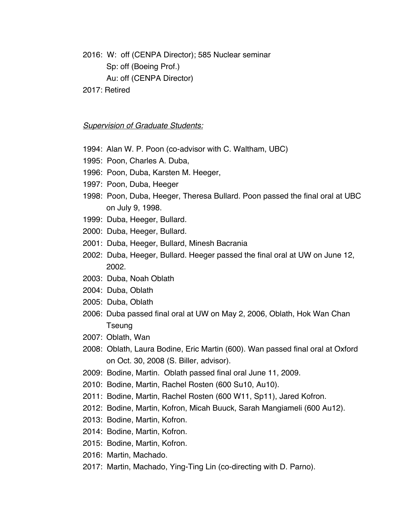2016: W: off (CENPA Director); 585 Nuclear seminar Sp: off (Boeing Prof.) Au: off (CENPA Director)

2017: Retired

#### *Supervision of Graduate Students:*

- 1994: Alan W. P. Poon (co-advisor with C. Waltham, UBC)
- 1995: Poon, Charles A. Duba,
- 1996: Poon, Duba, Karsten M. Heeger,
- 1997: Poon, Duba, Heeger
- 1998: Poon, Duba, Heeger, Theresa Bullard. Poon passed the final oral at UBC on July 9, 1998.
- 1999: Duba, Heeger, Bullard.
- 2000: Duba, Heeger, Bullard.
- 2001: Duba, Heeger, Bullard, Minesh Bacrania
- 2002: Duba, Heeger, Bullard. Heeger passed the final oral at UW on June 12, 2002.
- 2003: Duba, Noah Oblath
- 2004: Duba, Oblath
- 2005: Duba, Oblath
- 2006: Duba passed final oral at UW on May 2, 2006, Oblath, Hok Wan Chan Tseung
- 2007: Oblath, Wan
- 2008: Oblath, Laura Bodine, Eric Martin (600). Wan passed final oral at Oxford on Oct. 30, 2008 (S. Biller, advisor).
- 2009: Bodine, Martin. Oblath passed final oral June 11, 2009.
- 2010: Bodine, Martin, Rachel Rosten (600 Su10, Au10).
- 2011: Bodine, Martin, Rachel Rosten (600 W11, Sp11), Jared Kofron.
- 2012: Bodine, Martin, Kofron, Micah Buuck, Sarah Mangiameli (600 Au12).
- 2013: Bodine, Martin, Kofron.
- 2014: Bodine, Martin, Kofron.
- 2015: Bodine, Martin, Kofron.
- 2016: Martin, Machado.
- 2017: Martin, Machado, Ying-Ting Lin (co-directing with D. Parno).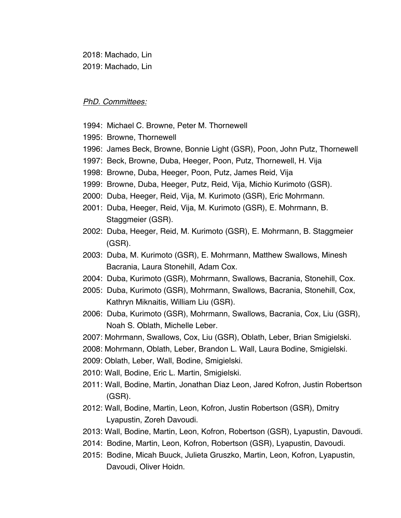2018: Machado, Lin 2019: Machado, Lin

#### *PhD. Committees:*

- 1994: Michael C. Browne, Peter M. Thornewell
- 1995: Browne, Thornewell
- 1996: James Beck, Browne, Bonnie Light (GSR), Poon, John Putz, Thornewell
- 1997: Beck, Browne, Duba, Heeger, Poon, Putz, Thornewell, H. Vija
- 1998: Browne, Duba, Heeger, Poon, Putz, James Reid, Vija
- 1999: Browne, Duba, Heeger, Putz, Reid, Vija, Michio Kurimoto (GSR).
- 2000: Duba, Heeger, Reid, Vija, M. Kurimoto (GSR), Eric Mohrmann.
- 2001: Duba, Heeger, Reid, Vija, M. Kurimoto (GSR), E. Mohrmann, B. Staggmeier (GSR).
- 2002: Duba, Heeger, Reid, M. Kurimoto (GSR), E. Mohrmann, B. Staggmeier (GSR).
- 2003: Duba, M. Kurimoto (GSR), E. Mohrmann, Matthew Swallows, Minesh Bacrania, Laura Stonehill, Adam Cox.
- 2004: Duba, Kurimoto (GSR), Mohrmann, Swallows, Bacrania, Stonehill, Cox.
- 2005: Duba, Kurimoto (GSR), Mohrmann, Swallows, Bacrania, Stonehill, Cox, Kathryn Miknaitis, William Liu (GSR).
- 2006: Duba, Kurimoto (GSR), Mohrmann, Swallows, Bacrania, Cox, Liu (GSR), Noah S. Oblath, Michelle Leber.
- 2007: Mohrmann, Swallows, Cox, Liu (GSR), Oblath, Leber, Brian Smigielski.
- 2008: Mohrmann, Oblath, Leber, Brandon L. Wall, Laura Bodine, Smigielski.
- 2009: Oblath, Leber, Wall, Bodine, Smigielski.
- 2010: Wall, Bodine, Eric L. Martin, Smigielski.
- 2011: Wall, Bodine, Martin, Jonathan Diaz Leon, Jared Kofron, Justin Robertson (GSR).
- 2012: Wall, Bodine, Martin, Leon, Kofron, Justin Robertson (GSR), Dmitry Lyapustin, Zoreh Davoudi.
- 2013: Wall, Bodine, Martin, Leon, Kofron, Robertson (GSR), Lyapustin, Davoudi.
- 2014: Bodine, Martin, Leon, Kofron, Robertson (GSR), Lyapustin, Davoudi.
- 2015: Bodine, Micah Buuck, Julieta Gruszko, Martin, Leon, Kofron, Lyapustin, Davoudi, Oliver Hoidn.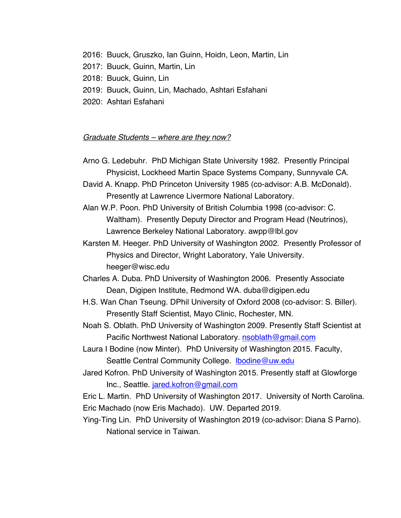- 2016: Buuck, Gruszko, Ian Guinn, Hoidn, Leon, Martin, Lin
- 2017: Buuck, Guinn, Martin, Lin
- 2018: Buuck, Guinn, Lin
- 2019: Buuck, Guinn, Lin, Machado, Ashtari Esfahani
- 2020: Ashtari Esfahani

#### *Graduate Students – where are they now?*

- Arno G. Ledebuhr. PhD Michigan State University 1982. Presently Principal Physicist, Lockheed Martin Space Systems Company, Sunnyvale CA.
- David A. Knapp. PhD Princeton University 1985 (co-advisor: A.B. McDonald). Presently at Lawrence Livermore National Laboratory.
- Alan W.P. Poon. PhD University of British Columbia 1998 (co-advisor: C. Waltham). Presently Deputy Director and Program Head (Neutrinos), Lawrence Berkeley National Laboratory. awpp@lbl.gov
- Karsten M. Heeger. PhD University of Washington 2002. Presently Professor of Physics and Director, Wright Laboratory, Yale University. heeger@wisc.edu
- Charles A. Duba. PhD University of Washington 2006. Presently Associate Dean, Digipen Institute, Redmond WA. duba@digipen.edu
- H.S. Wan Chan Tseung. DPhil University of Oxford 2008 (co-advisor: S. Biller). Presently Staff Scientist, Mayo Clinic, Rochester, MN.
- Noah S. Oblath. PhD University of Washington 2009. Presently Staff Scientist at Pacific Northwest National Laboratory. nsoblath@gmail.com
- Laura I Bodine (now Minter). PhD University of Washington 2015. Faculty, Seattle Central Community College. Ibodine@uw.edu
- Jared Kofron. PhD University of Washington 2015. Presently staff at Glowforge Inc., Seattle. jared.kofron@gmail.com
- Eric L. Martin. PhD University of Washington 2017. University of North Carolina. Eric Machado (now Eris Machado). UW. Departed 2019.
- Ying-Ting Lin. PhD University of Washington 2019 (co-advisor: Diana S Parno). National service in Taiwan.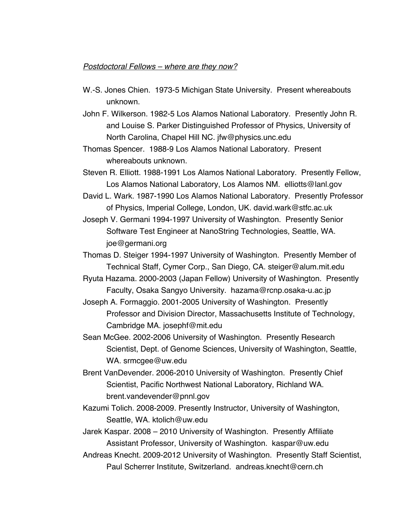#### *Postdoctoral Fellows – where are they now?*

- W.-S. Jones Chien. 1973-5 Michigan State University. Present whereabouts unknown.
- John F. Wilkerson. 1982-5 Los Alamos National Laboratory. Presently John R. and Louise S. Parker Distinguished Professor of Physics, University of North Carolina, Chapel Hill NC. jfw@physics.unc.edu

Thomas Spencer. 1988-9 Los Alamos National Laboratory. Present whereabouts unknown.

Steven R. Elliott. 1988-1991 Los Alamos National Laboratory. Presently Fellow, Los Alamos National Laboratory, Los Alamos NM. elliotts@lanl.gov

David L. Wark. 1987-1990 Los Alamos National Laboratory. Presently Professor of Physics, Imperial College, London, UK. david.wark@stfc.ac.uk

Joseph V. Germani 1994-1997 University of Washington. Presently Senior Software Test Engineer at NanoString Technologies, Seattle, WA. joe@germani.org

Thomas D. Steiger 1994-1997 University of Washington. Presently Member of Technical Staff, Cymer Corp., San Diego, CA. steiger@alum.mit.edu

Ryuta Hazama. 2000-2003 (Japan Fellow) University of Washington. Presently Faculty, Osaka Sangyo University. hazama@rcnp.osaka-u.ac.jp

Joseph A. Formaggio. 2001-2005 University of Washington. Presently Professor and Division Director, Massachusetts Institute of Technology, Cambridge MA. josephf@mit.edu

Sean McGee. 2002-2006 University of Washington. Presently Research Scientist, Dept. of Genome Sciences, University of Washington, Seattle, WA. srmcgee@uw.edu

Brent VanDevender. 2006-2010 University of Washington. Presently Chief Scientist, Pacific Northwest National Laboratory, Richland WA. brent.vandevender@pnnl.gov

Kazumi Tolich. 2008-2009. Presently Instructor, University of Washington, Seattle, WA. ktolich@uw.edu

Jarek Kaspar. 2008 – 2010 University of Washington. Presently Affiliate Assistant Professor, University of Washington. kaspar@uw.edu

Andreas Knecht. 2009-2012 University of Washington. Presently Staff Scientist, Paul Scherrer Institute, Switzerland. andreas.knecht@cern.ch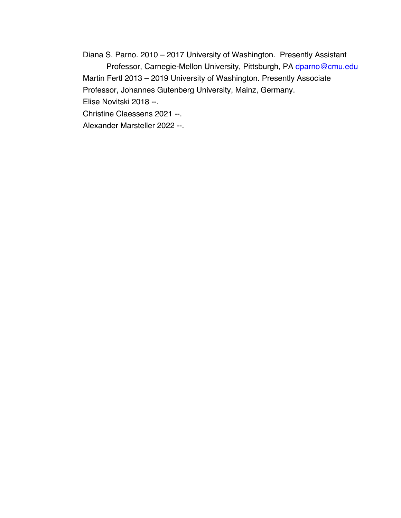Diana S. Parno. 2010 – 2017 University of Washington. Presently Assistant Professor, Carnegie-Mellon University, Pittsburgh, PA dparno@cmu.edu Martin Fertl 2013 – 2019 University of Washington. Presently Associate Professor, Johannes Gutenberg University, Mainz, Germany. Elise Novitski 2018 --.

Christine Claessens 2021 --.

Alexander Marsteller 2022 --.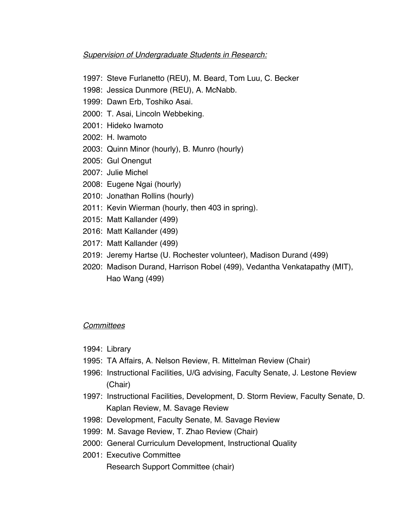## *Supervision of Undergraduate Students in Research:*

- 1997: Steve Furlanetto (REU), M. Beard, Tom Luu, C. Becker
- 1998: Jessica Dunmore (REU), A. McNabb.
- 1999: Dawn Erb, Toshiko Asai.
- 2000: T. Asai, Lincoln Webbeking.
- 2001: Hideko Iwamoto
- 2002: H. Iwamoto
- 2003: Quinn Minor (hourly), B. Munro (hourly)
- 2005: Gul Onengut
- 2007: Julie Michel
- 2008: Eugene Ngai (hourly)
- 2010: Jonathan Rollins (hourly)
- 2011: Kevin Wierman (hourly, then 403 in spring).
- 2015: Matt Kallander (499)
- 2016: Matt Kallander (499)
- 2017: Matt Kallander (499)
- 2019: Jeremy Hartse (U. Rochester volunteer), Madison Durand (499)
- 2020: Madison Durand, Harrison Robel (499), Vedantha Venkatapathy (MIT), Hao Wang (499)

# *Committees*

- 1994: Library
- 1995: TA Affairs, A. Nelson Review, R. Mittelman Review (Chair)
- 1996: Instructional Facilities, U/G advising, Faculty Senate, J. Lestone Review (Chair)
- 1997: Instructional Facilities, Development, D. Storm Review, Faculty Senate, D. Kaplan Review, M. Savage Review
- 1998: Development, Faculty Senate, M. Savage Review
- 1999: M. Savage Review, T. Zhao Review (Chair)
- 2000: General Curriculum Development, Instructional Quality
- 2001: Executive Committee Research Support Committee (chair)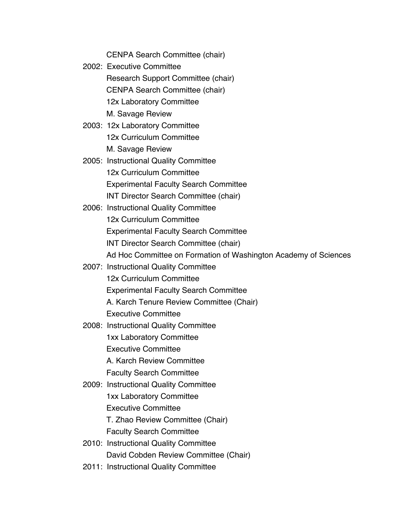CENPA Search Committee (chair)

- 2002: Executive Committee Research Support Committee (chair) CENPA Search Committee (chair) 12x Laboratory Committee M. Savage Review
- 2003: 12x Laboratory Committee 12x Curriculum Committee M. Savage Review
- 2005: Instructional Quality Committee 12x Curriculum Committee Experimental Faculty Search Committee INT Director Search Committee (chair)
- 2006: Instructional Quality Committee 12x Curriculum Committee Experimental Faculty Search Committee INT Director Search Committee (chair) Ad Hoc Committee on Formation of Washington Academy of Sciences
- 2007: Instructional Quality Committee 12x Curriculum Committee Experimental Faculty Search Committee A. Karch Tenure Review Committee (Chair)
	- Executive Committee
- 2008: Instructional Quality Committee 1xx Laboratory Committee Executive Committee A. Karch Review Committee
	- Faculty Search Committee
- 2009: Instructional Quality Committee 1xx Laboratory Committee Executive Committee

T. Zhao Review Committee (Chair)

Faculty Search Committee

- 2010: Instructional Quality Committee David Cobden Review Committee (Chair)
- 2011: Instructional Quality Committee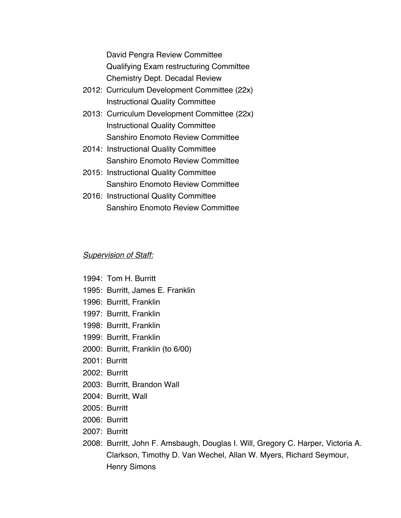David Pengra Review Committee Qualifying Exam restructuring Committee Chemistry Dept. Decadal Review

- 2012: Curriculum Development Committee (22x) Instructional Quality Committee
- 2013: Curriculum Development Committee (22x) Instructional Quality Committee Sanshiro Enomoto Review Committee
- 2014: Instructional Quality Committee Sanshiro Enomoto Review Committee
- 2015: Instructional Quality Committee Sanshiro Enomoto Review Committee
- 2016: Instructional Quality Committee Sanshiro Enomoto Review Committee

## *Supervision of Staff:*

- 1994: Tom H. Burritt
- 1995: Burritt, James E. Franklin
- 1996: Burritt, Franklin
- 1997: Burritt, Franklin
- 1998: Burritt, Franklin
- 1999: Burritt, Franklin
- 2000: Burritt, Franklin (to 6/00)
- 2001: Burritt
- 2002: Burritt
- 2003: Burritt, Brandon Wall
- 2004: Burritt, Wall
- 2005: Burritt
- 2006: Burritt
- 2007: Burritt
- 2008: Burritt, John F. Amsbaugh, Douglas I. Will, Gregory C. Harper, Victoria A. Clarkson, Timothy D. Van Wechel, Allan W. Myers, Richard Seymour, Henry Simons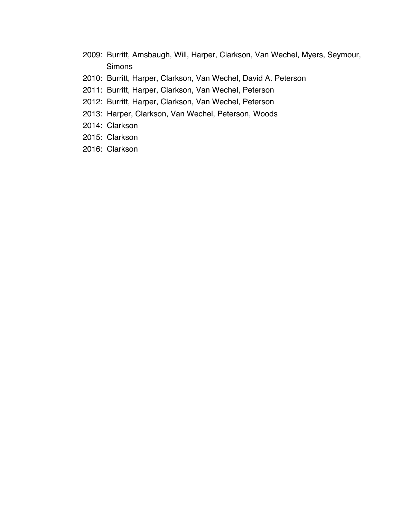- 2009: Burritt, Amsbaugh, Will, Harper, Clarkson, Van Wechel, Myers, Seymour, **Simons**
- 2010: Burritt, Harper, Clarkson, Van Wechel, David A. Peterson
- 2011: Burritt, Harper, Clarkson, Van Wechel, Peterson
- 2012: Burritt, Harper, Clarkson, Van Wechel, Peterson
- 2013: Harper, Clarkson, Van Wechel, Peterson, Woods
- 2014: Clarkson
- 2015: Clarkson
- 2016: Clarkson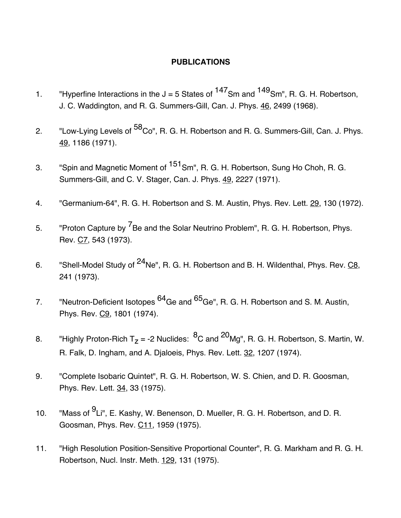# **PUBLICATIONS**

- 1. "Hyperfine Interactions in the  $J = 5$  States of  $147$ Sm and  $149$ Sm", R. G. H. Robertson, J. C. Waddington, and R. G. Summers-Gill, Can. J. Phys. 46, 2499 (1968).
- 2. "Low-Lying Levels of <sup>58</sup>Co", R. G. H. Robertson and R. G. Summers-Gill, Can. J. Phys. 49, 1186 (1971).
- 3. "Spin and Magnetic Moment of <sup>151</sup>Sm", R. G. H. Robertson, Sung Ho Choh, R. G. Summers-Gill, and C. V. Stager, Can. J. Phys. 49, 2227 (1971).
- 4. "Germanium-64", R. G. H. Robertson and S. M. Austin, Phys. Rev. Lett. 29, 130 (1972).
- 5. "Proton Capture by <sup>7</sup>Be and the Solar Neutrino Problem", R. G. H. Robertson, Phys. Rev. C7, 543 (1973).
- 6. "Shell-Model Study of <sup>24</sup>Ne", R. G. H. Robertson and B. H. Wildenthal, Phys. Rev. C8, 241 (1973).
- 7. "Neutron-Deficient Isotopes <sup>64</sup>Ge and <sup>65</sup>Ge", R. G. H. Robertson and S. M. Austin, Phys. Rev. C9, 1801 (1974).
- 8. "Highly Proton-Rich T<sub>z</sub> = -2 Nuclides:  ${}^{8}C$  and  ${}^{20}Mg''$ , R. G. H. Robertson, S. Martin, W. R. Falk, D. Ingham, and A. Djaloeis, Phys. Rev. Lett. 32, 1207 (1974).
- 9. "Complete Isobaric Quintet", R. G. H. Robertson, W. S. Chien, and D. R. Goosman, Phys. Rev. Lett. 34, 33 (1975).
- 10. "Mass of <sup>9</sup>Li", E. Kashy, W. Benenson, D. Mueller, R. G. H. Robertson, and D. R. Goosman, Phys. Rev. C11, 1959 (1975).
- 11. "High Resolution Position-Sensitive Proportional Counter", R. G. Markham and R. G. H. Robertson, Nucl. Instr. Meth. 129, 131 (1975).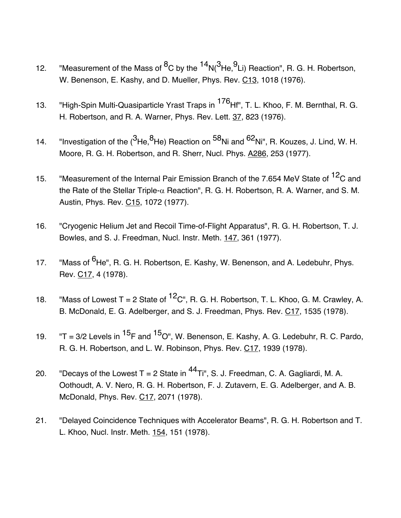- 12. "Measurement of the Mass of  ${}^{8}C$  by the  ${}^{14}N({}^{3}He, {}^{9}Li)$  Reaction", R. G. H. Robertson, W. Benenson, E. Kashy, and D. Mueller, Phys. Rev. C13, 1018 (1976).
- 13. "High-Spin Multi-Quasiparticle Yrast Traps in <sup>176</sup>Hf", T. L. Khoo, F. M. Bernthal, R. G. H. Robertson, and R. A. Warner, Phys. Rev. Lett. 37, 823 (1976).
- 14. "Investigation of the  $(3\text{He},8\text{He})$  Reaction on  $^{58}$ Ni and  $^{62}$ Ni", R. Kouzes, J. Lind, W. H. Moore, R. G. H. Robertson, and R. Sherr, Nucl. Phys. A286, 253 (1977).
- 15. "Measurement of the Internal Pair Emission Branch of the 7.654 MeV State of <sup>12</sup>C and the Rate of the Stellar Triple- $\alpha$  Reaction", R. G. H. Robertson, R. A. Warner, and S. M. Austin, Phys. Rev. C15, 1072 (1977).
- 16. "Cryogenic Helium Jet and Recoil Time-of-Flight Apparatus", R. G. H. Robertson, T. J. Bowles, and S. J. Freedman, Nucl. Instr. Meth. 147, 361 (1977).
- 17. "Mass of <sup>6</sup>He", R. G. H. Robertson, E. Kashy, W. Benenson, and A. Ledebuhr, Phys. Rev. C17, 4 (1978).
- 18. "Mass of Lowest T = 2 State of  ${}^{12}C$ ", R. G. H. Robertson, T. L. Khoo, G. M. Crawley, A. B. McDonald, E. G. Adelberger, and S. J. Freedman, Phys. Rev. C17, 1535 (1978).
- 19.  $"T = 3/2$  Levels in  $^{15}F$  and  $^{15}O''$ , W. Benenson, E. Kashy, A. G. Ledebuhr, R. C. Pardo, R. G. H. Robertson, and L. W. Robinson, Phys. Rev. C17, 1939 (1978).
- 20. "Decays of the Lowest T = 2 State in  $^{44}$ Ti", S. J. Freedman, C. A. Gagliardi, M. A. Oothoudt, A. V. Nero, R. G. H. Robertson, F. J. Zutavern, E. G. Adelberger, and A. B. McDonald, Phys. Rev. C17, 2071 (1978).
- 21. "Delayed Coincidence Techniques with Accelerator Beams", R. G. H. Robertson and T. L. Khoo, Nucl. Instr. Meth. 154, 151 (1978).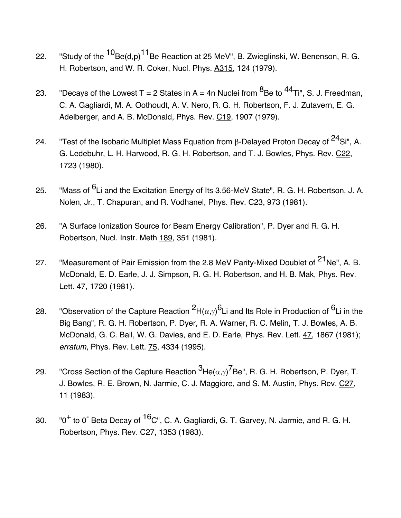- 22. "Study of the  ${}^{10}$ Be(d,p) ${}^{11}$ Be Reaction at 25 MeV", B. Zwieglinski, W. Benenson, R. G. H. Robertson, and W. R. Coker, Nucl. Phys. A315, 124 (1979).
- 23. "Decays of the Lowest T = 2 States in A = 4n Nuclei from  ${}^{8}$ Be to  ${}^{44}$ Ti", S. J. Freedman, C. A. Gagliardi, M. A. Oothoudt, A. V. Nero, R. G. H. Robertson, F. J. Zutavern, E. G. Adelberger, and A. B. McDonald, Phys. Rev. C19, 1907 (1979).
- 24. "Test of the Isobaric Multiplet Mass Equation from  $\beta$ -Delayed Proton Decay of  $^{24}$ Si", A. G. Ledebuhr, L. H. Harwood, R. G. H. Robertson, and T. J. Bowles, Phys. Rev. C22, 1723 (1980).
- 25. "Mass of <sup>6</sup>Li and the Excitation Energy of Its 3.56-MeV State", R. G. H. Robertson, J. A. Nolen, Jr., T. Chapuran, and R. Vodhanel, Phys. Rev. C23, 973 (1981).
- 26. "A Surface Ionization Source for Beam Energy Calibration", P. Dyer and R. G. H. Robertson, Nucl. Instr. Meth 189, 351 (1981).
- 27. "Measurement of Pair Emission from the 2.8 MeV Parity-Mixed Doublet of <sup>21</sup>Ne", A. B. McDonald, E. D. Earle, J. J. Simpson, R. G. H. Robertson, and H. B. Mak, Phys. Rev. Lett. 47, 1720 (1981).
- 28. "Observation of the Capture Reaction  $^2$ H( $\alpha,\gamma)^\mathsf{6}$ Li and Its Role in Production of  $^6$ Li in the Big Bang", R. G. H. Robertson, P. Dyer, R. A. Warner, R. C. Melin, T. J. Bowles, A. B. McDonald, G. C. Ball, W. G. Davies, and E. D. Earle, Phys. Rev. Lett. 47, 1867 (1981); *erratum*, Phys. Rev. Lett. 75, 4334 (1995).
- 29. Cross Section of the Capture Reaction  $^3$ He( $\alpha,\gamma$ ) $^7$ Be", R. G. H. Robertson, P. Dyer, T. J. Bowles, R. E. Brown, N. Jarmie, C. J. Maggiore, and S. M. Austin, Phys. Rev. C27, 11 (1983).
- 30.  $"0^+$  to 0<sup>-</sup> Beta Decay of  $^{16}$ C", C. A. Gagliardi, G. T. Garvey, N. Jarmie, and R. G. H. Robertson, Phys. Rev. C27, 1353 (1983).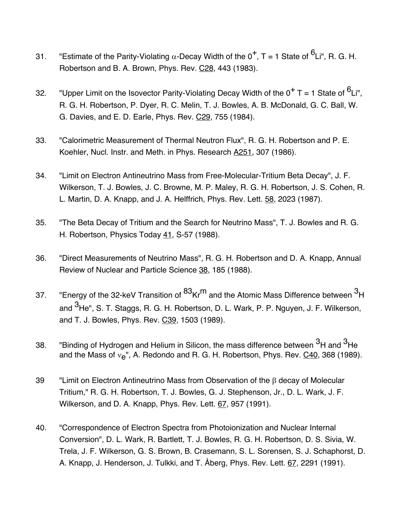- 31. "Estimate of the Parity-Violating  $\alpha$ -Decay Width of the  $0^+$ , T = 1 State of  $^6$ Li", R. G. H. Robertson and B. A. Brown, Phys. Rev. C28, 443 (1983).
- 32. "Upper Limit on the Isovector Parity-Violating Decay Width of the  $0^+$  T = 1 State of  $^6$ Li", R. G. H. Robertson, P. Dyer, R. C. Melin, T. J. Bowles, A. B. McDonald, G. C. Ball, W. G. Davies, and E. D. Earle, Phys. Rev. C29, 755 (1984).
- 33. "Calorimetric Measurement of Thermal Neutron Flux", R. G. H. Robertson and P. E. Koehler, Nucl. Instr. and Meth. in Phys. Research A251, 307 (1986).
- 34. "Limit on Electron Antineutrino Mass from Free-Molecular-Tritium Beta Decay", J. F. Wilkerson, T. J. Bowles, J. C. Browne, M. P. Maley, R. G. H. Robertson, J. S. Cohen, R. L. Martin, D. A. Knapp, and J. A. Helffrich, Phys. Rev. Lett. 58, 2023 (1987).
- 35. "The Beta Decay of Tritium and the Search for Neutrino Mass", T. J. Bowles and R. G. H. Robertson, Physics Today 41, S-57 (1988).
- 36. "Direct Measurements of Neutrino Mass", R. G. H. Robertson and D. A. Knapp, Annual Review of Nuclear and Particle Science 38, 185 (1988).
- 37. "Energy of the 32-keV Transition of  ${}^{83}$ Kr<sup>m</sup> and the Atomic Mass Difference between  ${}^{3}$ H and <sup>3</sup>He", S. T. Staggs, R. G. H. Robertson, D. L. Wark, P. P. Nguyen, J. F. Wilkerson, and T. J. Bowles, Phys. Rev. C39, 1503 (1989).
- 38. Is "Binding of Hydrogen and Helium in Silicon, the mass difference between <sup>3</sup>H and <sup>3</sup>He and the Mass of  $v_{\rm e}$ ", A. Redondo and R. G. H. Robertson, Phys. Rev.  $C$ 40, 368 (1989).
- 39 "Limit on Electron Antineutrino Mass from Observation of the  $\beta$  decay of Molecular Tritium," R. G. H. Robertson, T. J. Bowles, G. J. Stephenson, Jr., D. L. Wark, J. F. Wilkerson, and D. A. Knapp, Phys. Rev. Lett. 67, 957 (1991).
- 40. "Correspondence of Electron Spectra from Photoionization and Nuclear Internal Conversion", D. L. Wark, R. Bartlett, T. J. Bowles, R. G. H. Robertson, D. S. Sivia, W. Trela, J. F. Wilkerson, G. S. Brown, B. Crasemann, S. L. Sorensen, S. J. Schaphorst, D. A. Knapp, J. Henderson, J. Tulkki, and T. Åberg, Phys. Rev. Lett. 67, 2291 (1991).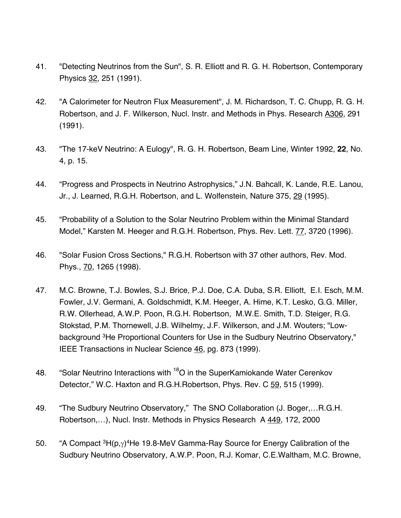- 41. "Detecting Neutrinos from the Sun", S. R. Elliott and R. G. H. Robertson, Contemporary Physics 32, 251 (1991).
- 42. "A Calorimeter for Neutron Flux Measurement", J. M. Richardson, T. C. Chupp, R. G. H. Robertson, and J. F. Wilkerson, Nucl. Instr. and Methods in Phys. Research A306, 291 (1991).
- 43. "The 17-keV Neutrino: A Eulogy", R. G. H. Robertson, Beam Line, Winter 1992, **22**, No. 4, p. 15.
- 44. "Progress and Prospects in Neutrino Astrophysics," J.N. Bahcall, K. Lande, R.E. Lanou, Jr., J. Learned, R.G.H. Robertson, and L. Wolfenstein, Nature 375, 29 (1995).
- 45. "Probability of a Solution to the Solar Neutrino Problem within the Minimal Standard Model," Karsten M. Heeger and R.G.H. Robertson, Phys. Rev. Lett. 77, 3720 (1996).
- 46. "Solar Fusion Cross Sections," R.G.H. Robertson with 37 other authors, Rev. Mod. Phys., 70, 1265 (1998).
- 47. M.C. Browne, T.J. Bowles, S.J. Brice, P.J. Doe, C.A. Duba, S.R. Elliott, E.I. Esch, M.M. Fowler, J.V. Germani, A. Goldschmidt, K.M. Heeger, A. Hime, K.T. Lesko, G.G. Miller, R.W. Ollerhead, A.W.P. Poon, R.G.H. Robertson, M.W.E. Smith, T.D. Steiger, R.G. Stokstad, P.M. Thornewell, J.B. Wilhelmy, J.F. Wilkerson, and J.M. Wouters; "Lowbackground 3He Proportional Counters for Use in the Sudbury Neutrino Observatory," IEEE Transactions in Nuclear Science 46, pg. 873 (1999).
- 48. "Solar Neutrino Interactions with 18O in the SuperKamiokande Water Cerenkov Detector," W.C. Haxton and R.G.H. Robertson, Phys. Rev. C 59, 515 (1999).
- 49. "The Sudbury Neutrino Observatory," The SNO Collaboration (J. Boger,…R.G.H. Robertson,…), Nucl. Instr. Methods in Physics Research A 449, 172, 2000
- 50. "A Compact  ${}^{3}H(p,y){}^{4}He$  19.8-MeV Gamma-Ray Source for Energy Calibration of the Sudbury Neutrino Observatory, A.W.P. Poon, R.J. Komar, C.E.Waltham, M.C. Browne,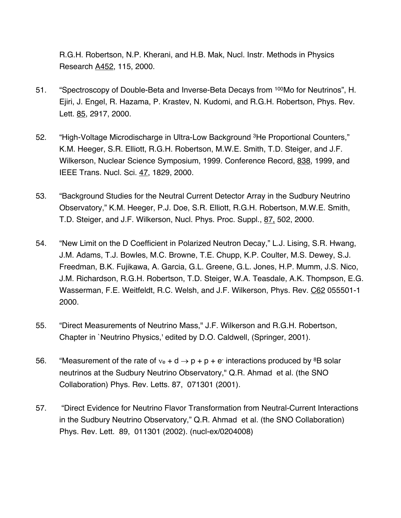R.G.H. Robertson, N.P. Kherani, and H.B. Mak, Nucl. Instr. Methods in Physics Research A452, 115, 2000.

- 51. "Spectroscopy of Double-Beta and Inverse-Beta Decays from <sup>100</sup>Mo for Neutrinos", H. Ejiri, J. Engel, R. Hazama, P. Krastev, N. Kudomi, and R.G.H. Robertson, Phys. Rev. Lett. 85, 2917, 2000.
- 52. "High-Voltage Microdischarge in Ultra-Low Background <sup>3</sup>He Proportional Counters," K.M. Heeger, S.R. Elliott, R.G.H. Robertson, M.W.E. Smith, T.D. Steiger, and J.F. Wilkerson, Nuclear Science Symposium, 1999. Conference Record, 838, 1999, and IEEE Trans. Nucl. Sci. 47, 1829, 2000.
- 53. "Background Studies for the Neutral Current Detector Array in the Sudbury Neutrino Observatory," K.M. Heeger, P.J. Doe, S.R. Elliott, R.G.H. Robertson, M.W.E. Smith, T.D. Steiger, and J.F. Wilkerson, Nucl. Phys. Proc. Suppl., 87, 502, 2000.
- 54. "New Limit on the D Coefficient in Polarized Neutron Decay," L.J. Lising, S.R. Hwang, J.M. Adams, T.J. Bowles, M.C. Browne, T.E. Chupp, K.P. Coulter, M.S. Dewey, S.J. Freedman, B.K. Fujikawa, A. Garcia, G.L. Greene, G.L. Jones, H.P. Mumm, J.S. Nico, J.M. Richardson, R.G.H. Robertson, T.D. Steiger, W.A. Teasdale, A.K. Thompson, E.G. Wasserman, F.E. Weitfeldt, R.C. Welsh, and J.F. Wilkerson, Phys. Rev. C62 055501-1 2000.
- 55. "Direct Measurements of Neutrino Mass," J.F. Wilkerson and R.G.H. Robertson, Chapter in `Neutrino Physics,' edited by D.O. Caldwell, (Springer, 2001).
- 56. "Measurement of the rate of  $v_e + d \rightarrow p + p + e$  interactions produced by <sup>8</sup>B solar neutrinos at the Sudbury Neutrino Observatory," Q.R. Ahmad et al. (the SNO Collaboration) Phys. Rev. Letts. 87, 071301 (2001).
- 57. "Direct Evidence for Neutrino Flavor Transformation from Neutral-Current Interactions in the Sudbury Neutrino Observatory," Q.R. Ahmad et al. (the SNO Collaboration) Phys. Rev. Lett. 89, 011301 (2002). (nucl-ex/0204008)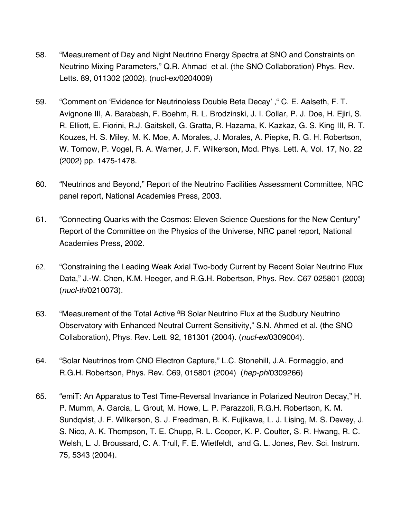- 58. "Measurement of Day and Night Neutrino Energy Spectra at SNO and Constraints on Neutrino Mixing Parameters," Q.R. Ahmad et al. (the SNO Collaboration) Phys. Rev. Letts. 89, 011302 (2002). (nucl-ex/0204009)
- 59. "Comment on 'Evidence for Neutrinoless Double Beta Decay' ," C. E. Aalseth, F. T. Avignone III, A. Barabash, F. Boehm, R. L. Brodzinski, J. I. Collar, P. J. Doe, H. Ejiri, S. R. Elliott, E. Fiorini, R.J. Gaitskell, G. Gratta, R. Hazama, K. Kazkaz, G. S. King III, R. T. Kouzes, H. S. Miley, M. K. Moe, A. Morales, J. Morales, A. Piepke, R. G. H. Robertson, W. Tornow, P. Vogel, R. A. Warner, J. F. Wilkerson, Mod. Phys. Lett. A, Vol. 17, No. 22 (2002) pp. 1475-1478.
- 60. "Neutrinos and Beyond," Report of the Neutrino Facilities Assessment Committee, NRC panel report, National Academies Press, 2003.
- 61. "Connecting Quarks with the Cosmos: Eleven Science Questions for the New Century" Report of the Committee on the Physics of the Universe, NRC panel report, National Academies Press, 2002.
- 62. "Constraining the Leading Weak Axial Two-body Current by Recent Solar Neutrino Flux Data," J.-W. Chen, K.M. Heeger, and R.G.H. Robertson, Phys. Rev. C67 025801 (2003) (*nucl-th*/0210073).
- 63. "Measurement of the Total Active <sup>8</sup>B Solar Neutrino Flux at the Sudbury Neutrino Observatory with Enhanced Neutral Current Sensitivity," S.N. Ahmed et al. (the SNO Collaboration), Phys. Rev. Lett. 92, 181301 (2004). (*nucl-ex*/0309004).
- 64. "Solar Neutrinos from CNO Electron Capture," L.C. Stonehill, J.A. Formaggio, and R.G.H. Robertson, Phys. Rev. C69, 015801 (2004) (*hep-ph*/0309266)
- 65. "emiT: An Apparatus to Test Time-Reversal Invariance in Polarized Neutron Decay," H. P. Mumm, A. Garcia, L. Grout, M. Howe, L. P. Parazzoli, R.G.H. Robertson, K. M. Sundqvist, J. F. Wilkerson, S. J. Freedman, B. K. Fujikawa, L. J. Lising, M. S. Dewey, J. S. Nico, A. K. Thompson, T. E. Chupp, R. L. Cooper, K. P. Coulter, S. R. Hwang, R. C. Welsh, L. J. Broussard, C. A. Trull, F. E. Wietfeldt, and G. L. Jones, Rev. Sci. Instrum. 75, 5343 (2004).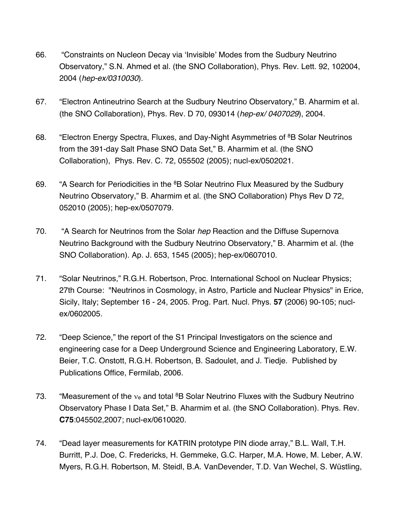- 66. "Constraints on Nucleon Decay via 'Invisible' Modes from the Sudbury Neutrino Observatory," S.N. Ahmed et al. (the SNO Collaboration), Phys. Rev. Lett. 92, 102004, 2004 (*hep-ex/0310030*).
- 67. "Electron Antineutrino Search at the Sudbury Neutrino Observatory," B. Aharmim et al. (the SNO Collaboration), Phys. Rev. D 70, 093014 (*hep-ex/ 0407029*), 2004.
- 68. "Electron Energy Spectra, Fluxes, and Day-Night Asymmetries of <sup>8</sup>B Solar Neutrinos from the 391-day Salt Phase SNO Data Set," B. Aharmim et al. (the SNO Collaboration), Phys. Rev. C. 72, 055502 (2005); nucl-ex/0502021.
- 69. "A Search for Periodicities in the <sup>8</sup>B Solar Neutrino Flux Measured by the Sudbury Neutrino Observatory," B. Aharmim et al. (the SNO Collaboration) Phys Rev D 72, 052010 (2005); hep-ex/0507079.
- 70. "A Search for Neutrinos from the Solar *hep* Reaction and the Diffuse Supernova Neutrino Background with the Sudbury Neutrino Observatory," B. Aharmim et al. (the SNO Collaboration). Ap. J. 653, 1545 (2005); hep-ex/0607010.
- 71. "Solar Neutrinos," R.G.H. Robertson, Proc. International School on Nuclear Physics; 27th Course: "Neutrinos in Cosmology, in Astro, Particle and Nuclear Physics" in Erice, Sicily, Italy; September 16 - 24, 2005. Prog. Part. Nucl. Phys. **57** (2006) 90-105; nuclex/0602005.
- 72. "Deep Science," the report of the S1 Principal Investigators on the science and engineering case for a Deep Underground Science and Engineering Laboratory, E.W. Beier, T.C. Onstott, R.G.H. Robertson, B. Sadoulet, and J. Tiedje. Published by Publications Office, Fermilab, 2006.
- 73. "Measurement of the  $v_e$  and total  ${}^{8}B$  Solar Neutrino Fluxes with the Sudbury Neutrino Observatory Phase I Data Set," B. Aharmim et al. (the SNO Collaboration). Phys. Rev. **C75**:045502,2007; nucl-ex/0610020.
- 74. "Dead layer measurements for KATRIN prototype PIN diode array," B.L. Wall, T.H. Burritt, P.J. Doe, C. Fredericks, H. Gemmeke, G.C. Harper, M.A. Howe, M. Leber, A.W. Myers, R.G.H. Robertson, M. Steidl, B.A. VanDevender, T.D. Van Wechel, S. Wüstling,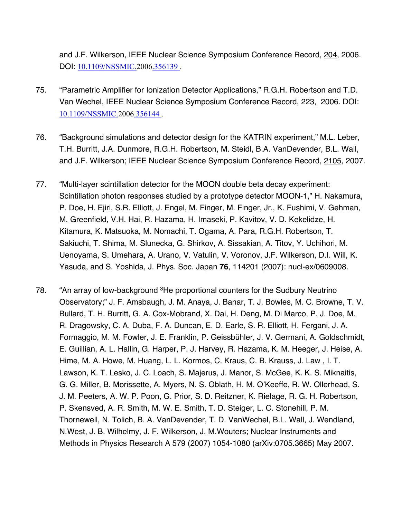and J.F. Wilkerson, IEEE Nuclear Science Symposium Conference Record, 204, 2006. DOI: 10.1109/NSSMIC.2006.356139 .

- 75. "Parametric Amplifier for Ionization Detector Applications," R.G.H. Robertson and T.D. Van Wechel, IEEE Nuclear Science Symposium Conference Record, 223, 2006. DOI: 10.1109/NSSMIC.2006.356144 .
- 76. "Background simulations and detector design for the KATRIN experiment," M.L. Leber, T.H. Burritt, J.A. Dunmore, R.G.H. Robertson, M. Steidl, B.A. VanDevender, B.L. Wall, and J.F. Wilkerson; IEEE Nuclear Science Symposium Conference Record, 2105, 2007.
- 77. "Multi-layer scintillation detector for the MOON double beta decay experiment: Scintillation photon responses studied by a prototype detector MOON-1," H. Nakamura, P. Doe, H. Ejiri, S.R. Elliott, J. Engel, M. Finger, M. Finger, Jr., K. Fushimi, V. Gehman, M. Greenfield, V.H. Hai, R. Hazama, H. Imaseki, P. Kavitov, V. D. Kekelidze, H. Kitamura, K. Matsuoka, M. Nomachi, T. Ogama, A. Para, R.G.H. Robertson, T. Sakiuchi, T. Shima, M. Slunecka, G. Shirkov, A. Sissakian, A. Titov, Y. Uchihori, M. Uenoyama, S. Umehara, A. Urano, V. Vatulin, V. Voronov, J.F. Wilkerson, D.I. Will, K. Yasuda, and S. Yoshida, J. Phys. Soc. Japan **76**, 114201 (2007): nucl-ex/0609008.
- 78. "An array of low-background <sup>3</sup>He proportional counters for the Sudbury Neutrino Observatory;" J. F. Amsbaugh, J. M. Anaya, J. Banar, T. J. Bowles, M. C. Browne, T. V. Bullard, T. H. Burritt, G. A. Cox-Mobrand, X. Dai, H. Deng, M. Di Marco, P. J. Doe, M. R. Dragowsky, C. A. Duba, F. A. Duncan, E. D. Earle, S. R. Elliott, H. Fergani, J. A. Formaggio, M. M. Fowler, J. E. Franklin, P. Geissbühler, J. V. Germani, A. Goldschmidt, E. Guillian, A. L. Hallin, G. Harper, P. J. Harvey, R. Hazama, K. M. Heeger, J. Heise, A. Hime, M. A. Howe, M. Huang, L. L. Kormos, C. Kraus, C. B. Krauss, J. Law , I. T. Lawson, K. T. Lesko, J. C. Loach, S. Majerus, J. Manor, S. McGee, K. K. S. Miknaitis, G. G. Miller, B. Morissette, A. Myers, N. S. Oblath, H. M. O'Keeffe, R. W. Ollerhead, S. J. M. Peeters, A. W. P. Poon, G. Prior, S. D. Reitzner, K. Rielage, R. G. H. Robertson, P. Skensved, A. R. Smith, M. W. E. Smith, T. D. Steiger, L. C. Stonehill, P. M. Thornewell, N. Tolich, B. A. VanDevender, T. D. VanWechel, B.L. Wall, J. Wendland, N.West, J. B. Wilhelmy, J. F. Wilkerson, J. M.Wouters; Nuclear Instruments and Methods in Physics Research A 579 (2007) 1054-1080 (arXiv:0705.3665) May 2007.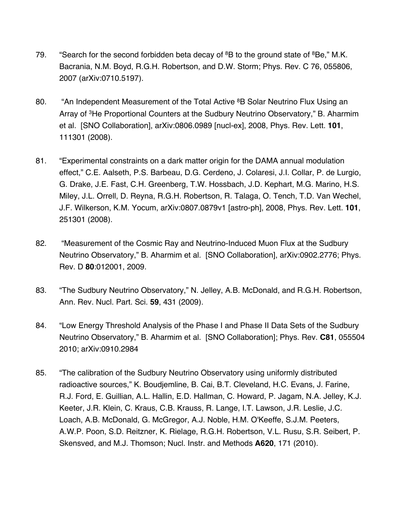- 79. "Search for the second forbidden beta decay of  ${}^{8}B$  to the ground state of  ${}^{8}Be$ ," M.K. Bacrania, N.M. Boyd, R.G.H. Robertson, and D.W. Storm; Phys. Rev. C 76, 055806, 2007 (arXiv:0710.5197).
- 80. "An Independent Measurement of the Total Active <sup>8</sup>B Solar Neutrino Flux Using an Array of 3He Proportional Counters at the Sudbury Neutrino Observatory," B. Aharmim et al. [SNO Collaboration], arXiv:0806.0989 [nucl-ex], 2008, Phys. Rev. Lett. **101**, 111301 (2008).
- 81. "Experimental constraints on a dark matter origin for the DAMA annual modulation effect," C.E. Aalseth, P.S. Barbeau, D.G. Cerdeno, J. Colaresi, J.I. Collar, P. de Lurgio, G. Drake, J.E. Fast, C.H. Greenberg, T.W. Hossbach, J.D. Kephart, M.G. Marino, H.S. Miley, J.L. Orrell, D. Reyna, R.G.H. Robertson, R. Talaga, O. Tench, T.D. Van Wechel, J.F. Wilkerson, K.M. Yocum, arXiv:0807.0879v1 [astro-ph], 2008, Phys. Rev. Lett. **101**, 251301 (2008).
- 82. "Measurement of the Cosmic Ray and Neutrino-Induced Muon Flux at the Sudbury Neutrino Observatory," B. Aharmim et al. [SNO Collaboration], arXiv:0902.2776; Phys. Rev. D **80**:012001, 2009.
- 83. "The Sudbury Neutrino Observatory," N. Jelley, A.B. McDonald, and R.G.H. Robertson, Ann. Rev. Nucl. Part. Sci. **59**, 431 (2009).
- 84. "Low Energy Threshold Analysis of the Phase I and Phase II Data Sets of the Sudbury Neutrino Observatory," B. Aharmim et al. [SNO Collaboration]; Phys. Rev. **C81**, 055504 2010; arXiv:0910.2984
- 85. "The calibration of the Sudbury Neutrino Observatory using uniformly distributed radioactive sources," K. Boudjemline, B. Cai, B.T. Cleveland, H.C. Evans, J. Farine, R.J. Ford, E. Guillian, A.L. Hallin, E.D. Hallman, C. Howard, P. Jagam, N.A. Jelley, K.J. Keeter, J.R. Klein, C. Kraus, C.B. Krauss, R. Lange, I.T. Lawson, J.R. Leslie, J.C. Loach, A.B. McDonald, G. McGregor, A.J. Noble, H.M. O'Keeffe, S.J.M. Peeters, A.W.P. Poon, S.D. Reitzner, K. Rielage, R.G.H. Robertson, V.L. Rusu, S.R. Seibert, P. Skensved, and M.J. Thomson; Nucl. Instr. and Methods **A620**, 171 (2010).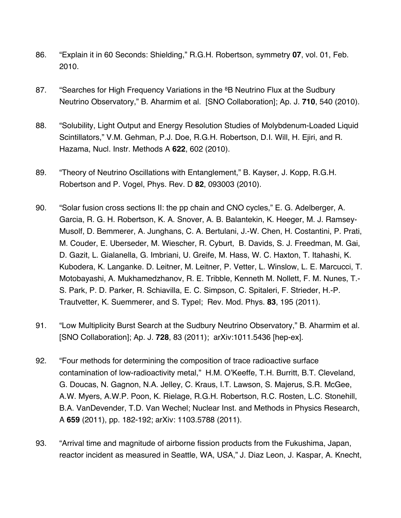- 86. "Explain it in 60 Seconds: Shielding," R.G.H. Robertson, symmetry **07**, vol. 01, Feb. 2010.
- 87. "Searches for High Frequency Variations in the <sup>8</sup>B Neutrino Flux at the Sudbury Neutrino Observatory," B. Aharmim et al. [SNO Collaboration]; Ap. J. **710**, 540 (2010).
- 88. "Solubility, Light Output and Energy Resolution Studies of Molybdenum-Loaded Liquid Scintillators," V.M. Gehman, P.J. Doe, R.G.H. Robertson, D.I. Will, H. Ejiri, and R. Hazama, Nucl. Instr. Methods A **622**, 602 (2010).
- 89. "Theory of Neutrino Oscillations with Entanglement," B. Kayser, J. Kopp, R.G.H. Robertson and P. Vogel, Phys. Rev. D **82**, 093003 (2010).
- 90. "Solar fusion cross sections II: the pp chain and CNO cycles," E. G. Adelberger, A. Garcia, R. G. H. Robertson, K. A. Snover, A. B. Balantekin, K. Heeger, M. J. Ramsey-Musolf, D. Bemmerer, A. Junghans, C. A. Bertulani, J.-W. Chen, H. Costantini, P. Prati, M. Couder, E. Uberseder, M. Wiescher, R. Cyburt, B. Davids, S. J. Freedman, M. Gai, D. Gazit, L. Gialanella, G. Imbriani, U. Greife, M. Hass, W. C. Haxton, T. Itahashi, K. Kubodera, K. Langanke. D. Leitner, M. Leitner, P. Vetter, L. Winslow, L. E. Marcucci, T. Motobayashi, A. Mukhamedzhanov, R. E. Tribble, Kenneth M. Nollett, F. M. Nunes, T.- S. Park, P. D. Parker, R. Schiavilla, E. C. Simpson, C. Spitaleri, F. Strieder, H.-P. Trautvetter, K. Suemmerer, and S. Typel; Rev. Mod. Phys. **83**, 195 (2011).
- 91. "Low Multiplicity Burst Search at the Sudbury Neutrino Observatory," B. Aharmim et al. [SNO Collaboration]; Ap. J. **728**, 83 (2011); arXiv:1011.5436 [hep-ex].
- 92. "Four methods for determining the composition of trace radioactive surface contamination of low-radioactivity metal," H.M. O'Keeffe, T.H. Burritt, B.T. Cleveland, G. Doucas, N. Gagnon, N.A. Jelley, C. Kraus, I.T. Lawson, S. Majerus, S.R. McGee, A.W. Myers, A.W.P. Poon, K. Rielage, R.G.H. Robertson, R.C. Rosten, L.C. Stonehill, B.A. VanDevender, T.D. Van Wechel; Nuclear Inst. and Methods in Physics Research, A **659** (2011), pp. 182-192; arXiv: 1103.5788 (2011).
- 93. "Arrival time and magnitude of airborne fission products from the Fukushima, Japan, reactor incident as measured in Seattle, WA, USA," J. Diaz Leon, J. Kaspar, A. Knecht,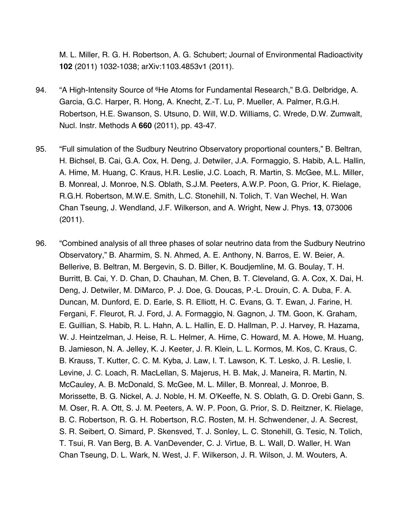M. L. Miller, R. G. H. Robertson, A. G. Schubert; Journal of Environmental Radioactivity **102** (2011) 1032-1038; arXiv:1103.4853v1 (2011).

- 94. "A High-Intensity Source of <sup>6</sup>He Atoms for Fundamental Research," B.G. Delbridge, A. Garcia, G.C. Harper, R. Hong, A. Knecht, Z.-T. Lu, P. Mueller, A. Palmer, R.G.H. Robertson, H.E. Swanson, S. Utsuno, D. Will, W.D. Williams, C. Wrede, D.W. Zumwalt, Nucl. Instr. Methods A **660** (2011), pp. 43-47.
- 95. "Full simulation of the Sudbury Neutrino Observatory proportional counters," B. Beltran, H. Bichsel, B. Cai, G.A. Cox, H. Deng, J. Detwiler, J.A. Formaggio, S. Habib, A.L. Hallin, A. Hime, M. Huang, C. Kraus, H.R. Leslie, J.C. Loach, R. Martin, S. McGee, M.L. Miller, B. Monreal, J. Monroe, N.S. Oblath, S.J.M. Peeters, A.W.P. Poon, G. Prior, K. Rielage, R.G.H. Robertson, M.W.E. Smith, L.C. Stonehill, N. Tolich, T. Van Wechel, H. Wan Chan Tseung, J. Wendland, J.F. Wilkerson, and A. Wright, New J. Phys. **13**, 073006 (2011).
- 96. "Combined analysis of all three phases of solar neutrino data from the Sudbury Neutrino Observatory," B. Aharmim, S. N. Ahmed, A. E. Anthony, N. Barros, E. W. Beier, A. Bellerive, B. Beltran, M. Bergevin, S. D. Biller, K. Boudjemline, M. G. Boulay, T. H. Burritt, B. Cai, Y. D. Chan, D. Chauhan, M. Chen, B. T. Cleveland, G. A. Cox, X. Dai, H. Deng, J. Detwiler, M. DiMarco, P. J. Doe, G. Doucas, P.-L. Drouin, C. A. Duba, F. A. Duncan, M. Dunford, E. D. Earle, S. R. Elliott, H. C. Evans, G. T. Ewan, J. Farine, H. Fergani, F. Fleurot, R. J. Ford, J. A. Formaggio, N. Gagnon, J. TM. Goon, K. Graham, E. Guillian, S. Habib, R. L. Hahn, A. L. Hallin, E. D. Hallman, P. J. Harvey, R. Hazama, W. J. Heintzelman, J. Heise, R. L. Helmer, A. Hime, C. Howard, M. A. Howe, M. Huang, B. Jamieson, N. A. Jelley, K. J. Keeter, J. R. Klein, L. L. Kormos, M. Kos, C. Kraus, C. B. Krauss, T. Kutter, C. C. M. Kyba, J. Law, I. T. Lawson, K. T. Lesko, J. R. Leslie, I. Levine, J. C. Loach, R. MacLellan, S. Majerus, H. B. Mak, J. Maneira, R. Martin, N. McCauley, A. B. McDonald, S. McGee, M. L. Miller, B. Monreal, J. Monroe, B. Morissette, B. G. Nickel, A. J. Noble, H. M. O'Keeffe, N. S. Oblath, G. D. Orebi Gann, S. M. Oser, R. A. Ott, S. J. M. Peeters, A. W. P. Poon, G. Prior, S. D. Reitzner, K. Rielage, B. C. Robertson, R. G. H. Robertson, R.C. Rosten, M. H. Schwendener, J. A. Secrest, S. R. Seibert, O. Simard, P. Skensved, T. J. Sonley, L. C. Stonehill, G. Tesic, N. Tolich, T. Tsui, R. Van Berg, B. A. VanDevender, C. J. Virtue, B. L. Wall, D. Waller, H. Wan Chan Tseung, D. L. Wark, N. West, J. F. Wilkerson, J. R. Wilson, J. M. Wouters, A.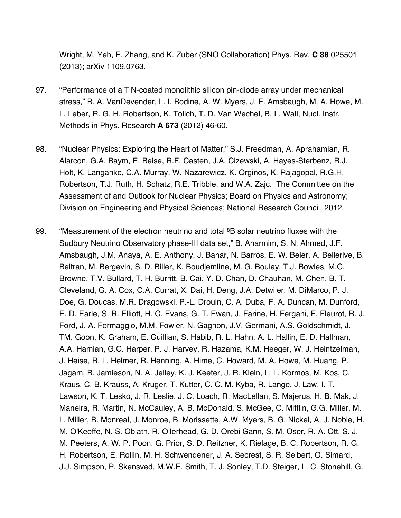Wright, M. Yeh, F. Zhang, and K. Zuber (SNO Collaboration) Phys. Rev. **C 88** 025501 (2013); arXiv 1109.0763.

- 97. "Performance of a TiN-coated monolithic silicon pin-diode array under mechanical stress," B. A. VanDevender, L. I. Bodine, A. W. Myers, J. F. Amsbaugh, M. A. Howe, M. L. Leber, R. G. H. Robertson, K. Tolich, T. D. Van Wechel, B. L. Wall, Nucl. Instr. Methods in Phys. Research **A 673** (2012) 46-60.
- 98. "Nuclear Physics: Exploring the Heart of Matter," S.J. Freedman, A. Aprahamian, R. Alarcon, G.A. Baym, E. Beise, R.F. Casten, J.A. Cizewski, A. Hayes-Sterbenz, R.J. Holt, K. Langanke, C.A. Murray, W. Nazarewicz, K. Orginos, K. Rajagopal, R.G.H. Robertson, T.J. Ruth, H. Schatz, R.E. Tribble, and W.A. Zajc, The Committee on the Assessment of and Outlook for Nuclear Physics; Board on Physics and Astronomy; Division on Engineering and Physical Sciences; National Research Council, 2012.
- 99. "Measurement of the electron neutrino and total <sup>8</sup>B solar neutrino fluxes with the Sudbury Neutrino Observatory phase-III data set," B. Aharmim, S. N. Ahmed, J.F. Amsbaugh, J.M. Anaya, A. E. Anthony, J. Banar, N. Barros, E. W. Beier, A. Bellerive, B. Beltran, M. Bergevin, S. D. Biller, K. Boudjemline, M. G. Boulay, T.J. Bowles, M.C. Browne, T.V. Bullard, T. H. Burritt, B. Cai, Y. D. Chan, D. Chauhan, M. Chen, B. T. Cleveland, G. A. Cox, C.A. Currat, X. Dai, H. Deng, J.A. Detwiler, M. DiMarco, P. J. Doe, G. Doucas, M.R. Dragowski, P.-L. Drouin, C. A. Duba, F. A. Duncan, M. Dunford, E. D. Earle, S. R. Elliott, H. C. Evans, G. T. Ewan, J. Farine, H. Fergani, F. Fleurot, R. J. Ford, J. A. Formaggio, M.M. Fowler, N. Gagnon, J.V. Germani, A.S. Goldschmidt, J. TM. Goon, K. Graham, E. Guillian, S. Habib, R. L. Hahn, A. L. Hallin, E. D. Hallman, A.A. Hamian, G.C. Harper, P. J. Harvey, R. Hazama, K.M. Heeger, W. J. Heintzelman, J. Heise, R. L. Helmer, R. Henning, A. Hime, C. Howard, M. A. Howe, M. Huang, P. Jagam, B. Jamieson, N. A. Jelley, K. J. Keeter, J. R. Klein, L. L. Kormos, M. Kos, C. Kraus, C. B. Krauss, A. Kruger, T. Kutter, C. C. M. Kyba, R. Lange, J. Law, I. T. Lawson, K. T. Lesko, J. R. Leslie, J. C. Loach, R. MacLellan, S. Majerus, H. B. Mak, J. Maneira, R. Martin, N. McCauley, A. B. McDonald, S. McGee, C. Mifflin, G.G. Miller, M. L. Miller, B. Monreal, J. Monroe, B. Morissette, A.W. Myers, B. G. Nickel, A. J. Noble, H. M. O'Keeffe, N. S. Oblath, R. Ollerhead, G. D. Orebi Gann, S. M. Oser, R. A. Ott, S. J. M. Peeters, A. W. P. Poon, G. Prior, S. D. Reitzner, K. Rielage, B. C. Robertson, R. G. H. Robertson, E. Rollin, M. H. Schwendener, J. A. Secrest, S. R. Seibert, O. Simard, J.J. Simpson, P. Skensved, M.W.E. Smith, T. J. Sonley, T.D. Steiger, L. C. Stonehill, G.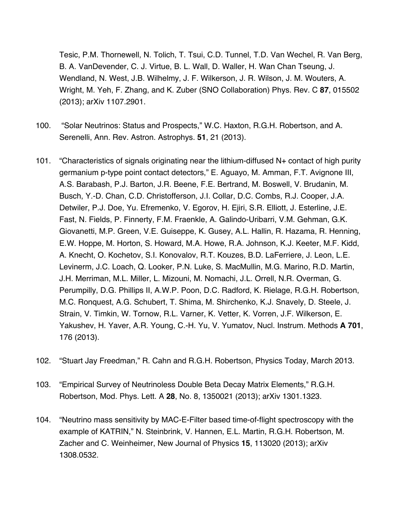Tesic, P.M. Thornewell, N. Tolich, T. Tsui, C.D. Tunnel, T.D. Van Wechel, R. Van Berg, B. A. VanDevender, C. J. Virtue, B. L. Wall, D. Waller, H. Wan Chan Tseung, J. Wendland, N. West, J.B. Wilhelmy, J. F. Wilkerson, J. R. Wilson, J. M. Wouters, A. Wright, M. Yeh, F. Zhang, and K. Zuber (SNO Collaboration) Phys. Rev. C **87**, 015502 (2013); arXiv 1107.2901.

- 100. "Solar Neutrinos: Status and Prospects," W.C. Haxton, R.G.H. Robertson, and A. Serenelli, Ann. Rev. Astron. Astrophys. **51**, 21 (2013).
- 101. "Characteristics of signals originating near the lithium-diffused N+ contact of high purity germanium p-type point contact detectors," E. Aguayo, M. Amman, F.T. Avignone III, A.S. Barabash, P.J. Barton, J.R. Beene, F.E. Bertrand, M. Boswell, V. Brudanin, M. Busch, Y.-D. Chan, C.D. Christofferson, J.I. Collar, D.C. Combs, R.J. Cooper, J.A. Detwiler, P.J. Doe, Yu. Efremenko, V. Egorov, H. Ejiri, S.R. Elliott, J. Esterline, J.E. Fast, N. Fields, P. Finnerty, F.M. Fraenkle, A. Galindo-Uribarri, V.M. Gehman, G.K. Giovanetti, M.P. Green, V.E. Guiseppe, K. Gusey, A.L. Hallin, R. Hazama, R. Henning, E.W. Hoppe, M. Horton, S. Howard, M.A. Howe, R.A. Johnson, K.J. Keeter, M.F. Kidd, A. Knecht, O. Kochetov, S.I. Konovalov, R.T. Kouzes, B.D. LaFerriere, J. Leon, L.E. Levinerm, J.C. Loach, Q. Looker, P.N. Luke, S. MacMullin, M.G. Marino, R.D. Martin, J.H. Merriman, M.L. Miller, L. Mizouni, M. Nomachi, J.L. Orrell, N.R. Overman, G. Perumpilly, D.G. Phillips II, A.W.P. Poon, D.C. Radford, K. Rielage, R.G.H. Robertson, M.C. Ronquest, A.G. Schubert, T. Shima, M. Shirchenko, K.J. Snavely, D. Steele, J. Strain, V. Timkin, W. Tornow, R.L. Varner, K. Vetter, K. Vorren, J.F. Wilkerson, E. Yakushev, H. Yaver, A.R. Young, C.-H. Yu, V. Yumatov, Nucl. Instrum. Methods **A 701**, 176 (2013).
- 102. "Stuart Jay Freedman," R. Cahn and R.G.H. Robertson, Physics Today, March 2013.
- 103. "Empirical Survey of Neutrinoless Double Beta Decay Matrix Elements," R.G.H. Robertson, Mod. Phys. Lett. A **28**, No. 8, 1350021 (2013); arXiv 1301.1323.
- 104. "Neutrino mass sensitivity by MAC-E-Filter based time-of-flight spectroscopy with the example of KATRIN," N. Steinbrink, V. Hannen, E.L. Martin, R.G.H. Robertson, M. Zacher and C. Weinheimer, New Journal of Physics **15**, 113020 (2013); arXiv 1308.0532.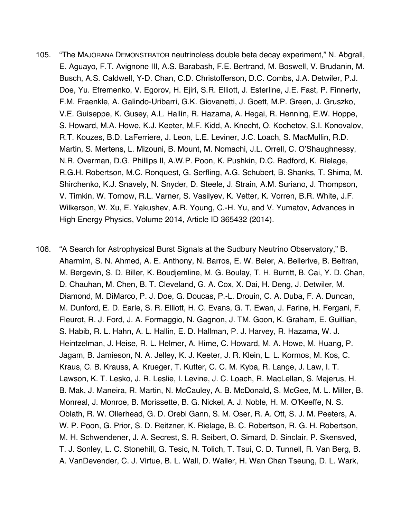- 105. "The MAJORANA DEMONSTRATOR neutrinoless double beta decay experiment," N. Abgrall, E. Aguayo, F.T. Avignone III, A.S. Barabash, F.E. Bertrand, M. Boswell, V. Brudanin, M. Busch, A.S. Caldwell, Y-D. Chan, C.D. Christofferson, D.C. Combs, J.A. Detwiler, P.J. Doe, Yu. Efremenko, V. Egorov, H. Ejiri, S.R. Elliott, J. Esterline, J.E. Fast, P. Finnerty, F.M. Fraenkle, A. Galindo-Uribarri, G.K. Giovanetti, J. Goett, M.P. Green, J. Gruszko, V.E. Guiseppe, K. Gusey, A.L. Hallin, R. Hazama, A. Hegai, R. Henning, E.W. Hoppe, S. Howard, M.A. Howe, K.J. Keeter, M.F. Kidd, A. Knecht, O. Kochetov, S.I. Konovalov, R.T. Kouzes, B.D. LaFerriere, J. Leon, L.E. Leviner, J.C. Loach, S. MacMullin, R.D. Martin, S. Mertens, L. Mizouni, B. Mount, M. Nomachi, J.L. Orrell, C. O'Shaughnessy, N.R. Overman, D.G. Phillips II, A.W.P. Poon, K. Pushkin, D.C. Radford, K. Rielage, R.G.H. Robertson, M.C. Ronquest, G. Serfling, A.G. Schubert, B. Shanks, T. Shima, M. Shirchenko, K.J. Snavely, N. Snyder, D. Steele, J. Strain, A.M. Suriano, J. Thompson, V. Timkin, W. Tornow, R.L. Varner, S. Vasilyev, K. Vetter, K. Vorren, B.R. White, J.F. Wilkerson, W. Xu, E. Yakushev, A.R. Young, C.-H. Yu, and V. Yumatov, Advances in High Energy Physics, Volume 2014, Article ID 365432 (2014).
- 106. "A Search for Astrophysical Burst Signals at the Sudbury Neutrino Observatory," B. Aharmim, S. N. Ahmed, A. E. Anthony, N. Barros, E. W. Beier, A. Bellerive, B. Beltran, M. Bergevin, S. D. Biller, K. Boudjemline, M. G. Boulay, T. H. Burritt, B. Cai, Y. D. Chan, D. Chauhan, M. Chen, B. T. Cleveland, G. A. Cox, X. Dai, H. Deng, J. Detwiler, M. Diamond, M. DiMarco, P. J. Doe, G. Doucas, P.-L. Drouin, C. A. Duba, F. A. Duncan, M. Dunford, E. D. Earle, S. R. Elliott, H. C. Evans, G. T. Ewan, J. Farine, H. Fergani, F. Fleurot, R. J. Ford, J. A. Formaggio, N. Gagnon, J. TM. Goon, K. Graham, E. Guillian, S. Habib, R. L. Hahn, A. L. Hallin, E. D. Hallman, P. J. Harvey, R. Hazama, W. J. Heintzelman, J. Heise, R. L. Helmer, A. Hime, C. Howard, M. A. Howe, M. Huang, P. Jagam, B. Jamieson, N. A. Jelley, K. J. Keeter, J. R. Klein, L. L. Kormos, M. Kos, C. Kraus, C. B. Krauss, A. Krueger, T. Kutter, C. C. M. Kyba, R. Lange, J. Law, I. T. Lawson, K. T. Lesko, J. R. Leslie, I. Levine, J. C. Loach, R. MacLellan, S. Majerus, H. B. Mak, J. Maneira, R. Martin, N. McCauley, A. B. McDonald, S. McGee, M. L. Miller, B. Monreal, J. Monroe, B. Morissette, B. G. Nickel, A. J. Noble, H. M. O'Keeffe, N. S. Oblath, R. W. Ollerhead, G. D. Orebi Gann, S. M. Oser, R. A. Ott, S. J. M. Peeters, A. W. P. Poon, G. Prior, S. D. Reitzner, K. Rielage, B. C. Robertson, R. G. H. Robertson, M. H. Schwendener, J. A. Secrest, S. R. Seibert, O. Simard, D. Sinclair, P. Skensved, T. J. Sonley, L. C. Stonehill, G. Tesic, N. Tolich, T. Tsui, C. D. Tunnell, R. Van Berg, B. A. VanDevender, C. J. Virtue, B. L. Wall, D. Waller, H. Wan Chan Tseung, D. L. Wark,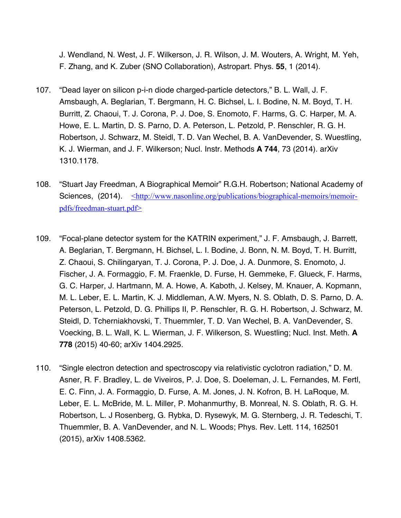J. Wendland, N. West, J. F. Wilkerson, J. R. Wilson, J. M. Wouters, A. Wright, M. Yeh, F. Zhang, and K. Zuber (SNO Collaboration), Astropart. Phys. **55**, 1 (2014).

- 107. "Dead layer on silicon p-i-n diode charged-particle detectors," B. L. Wall, J. F. Amsbaugh, A. Beglarian, T. Bergmann, H. C. Bichsel, L. I. Bodine, N. M. Boyd, T. H. Burritt, Z. Chaoui, T. J. Corona, P. J. Doe, S. Enomoto, F. Harms, G. C. Harper, M. A. Howe, E. L. Martin, D. S. Parno, D. A. Peterson, L. Petzold, P. Renschler, R. G. H. Robertson, J. Schwarz, M. Steidl, T. D. Van Wechel, B. A. VanDevender, S. Wuestling, K. J. Wierman, and J. F. Wilkerson; Nucl. Instr. Methods **A 744**, 73 (2014). arXiv 1310.1178.
- 108. "Stuart Jay Freedman, A Biographical Memoir" R.G.H. Robertson; National Academy of Sciences, (2014). <http://www.nasonline.org/publications/biographical-memoirs/memoirpdfs/freedman-stuart.pdf>
- 109. "Focal-plane detector system for the KATRIN experiment," J. F. Amsbaugh, J. Barrett, A. Beglarian, T. Bergmann, H. Bichsel, L. I. Bodine, J. Bonn, N. M. Boyd, T. H. Burritt, Z. Chaoui, S. Chilingaryan, T. J. Corona, P. J. Doe, J. A. Dunmore, S. Enomoto, J. Fischer, J. A. Formaggio, F. M. Fraenkle, D. Furse, H. Gemmeke, F. Glueck, F. Harms, G. C. Harper, J. Hartmann, M. A. Howe, A. Kaboth, J. Kelsey, M. Knauer, A. Kopmann, M. L. Leber, E. L. Martin, K. J. Middleman, A.W. Myers, N. S. Oblath, D. S. Parno, D. A. Peterson, L. Petzold, D. G. Phillips II, P. Renschler, R. G. H. Robertson, J. Schwarz, M. Steidl, D. Tcherniakhovski, T. Thuemmler, T. D. Van Wechel, B. A. VanDevender, S. Voecking, B. L. Wall, K. L. Wierman, J. F. Wilkerson, S. Wuestling; Nucl. Inst. Meth. **A 778** (2015) 40-60; arXiv 1404.2925.
- 110. "Single electron detection and spectroscopy via relativistic cyclotron radiation," D. M. Asner, R. F. Bradley, L. de Viveiros, P. J. Doe, S. Doeleman, J. L. Fernandes, M. Fertl, E. C. Finn, J. A. Formaggio, D. Furse, A. M. Jones, J. N. Kofron, B. H. LaRoque, M. Leber, E. L. McBride, M. L. Miller, P. Mohanmurthy, B. Monreal, N. S. Oblath, R. G. H. Robertson, L. J Rosenberg, G. Rybka, D. Rysewyk, M. G. Sternberg, J. R. Tedeschi, T. Thuemmler, B. A. VanDevender, and N. L. Woods; Phys. Rev. Lett. 114, 162501 (2015), arXiv 1408.5362.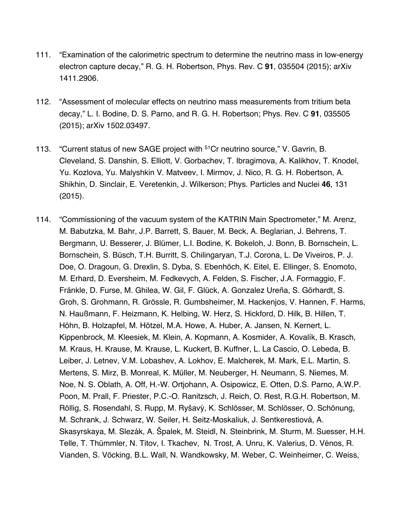- 111. "Examination of the calorimetric spectrum to determine the neutrino mass in low-energy electron capture decay," R. G. H. Robertson, Phys. Rev. C **91**, 035504 (2015); arXiv 1411.2906.
- 112. "Assessment of molecular effects on neutrino mass measurements from tritium beta decay," L. I. Bodine, D. S. Parno, and R. G. H. Robertson; Phys. Rev. C **91**, 035505 (2015); arXiv 1502.03497.
- 113. "Current status of new SAGE project with <sup>51</sup>Cr neutrino source," V. Gavrin, B. Cleveland, S. Danshin, S. Elliott, V. Gorbachev, T. Ibragimova, A. Kalikhov, T. Knodel, Yu. Kozlova, Yu. Malyshkin V. Matveev, I. Mirmov, J. Nico, R. G. H. Robertson, A. Shikhin, D. Sinclair, E. Veretenkin, J. Wilkerson; Phys. Particles and Nuclei **46**, 131 (2015).
- 114. "Commissioning of the vacuum system of the KATRIN Main Spectrometer," M. Arenz, M. Babutzka, M. Bahr, J.P. Barrett, S. Bauer, M. Beck, A. Beglarian, J. Behrens, T. Bergmann, U. Besserer, J. Blümer, L.I. Bodine, K. Bokeloh, J. Bonn, B. Bornschein, L. Bornschein, S. Büsch, T.H. Burritt, S. Chilingaryan, T.J. Corona, L. De Viveiros, P. J. Doe, O. Dragoun, G. Drexlin, S. Dyba, S. Ebenhöch, K. Eitel, E. Ellinger, S. Enomoto, M. Erhard, D. Eversheim, M. Fedkevych, A. Felden, S. Fischer, J.A. Formaggio, F. Fränkle, D. Furse, M. Ghilea, W. Gil, F. Glück, A. Gonzalez Ureña, S. Görhardt, S. Groh, S. Grohmann, R. Grössle, R. Gumbsheimer, M. Hackenjos, V. Hannen, F. Harms, N. Haußmann, F. Heizmann, K. Helbing, W. Herz, S. Hickford, D. Hilk, B. Hillen, T. Höhn, B. Holzapfel, M. Hötzel, M.A. Howe, A. Huber, A. Jansen, N. Kernert, L. Kippenbrock, M. Kleesiek, M. Klein, A. Kopmann, A. Kosmider, A. Kovalík, B. Krasch, M. Kraus, H. Krause, M. Krause, L. Kuckert, B. Kuffner, L. La Cascio, O. Lebeda, B. Leiber, J. Letnev, V.M. Lobashev, A. Lokhov, E. Malcherek, M. Mark, E.L. Martin, S. Mertens, S. Mirz, B. Monreal, K. Müller, M. Neuberger, H. Neumann, S. Niemes, M. Noe, N. S. Oblath, A. Off, H.-W. Ortjohann, A. Osipowicz, E. Otten, D.S. Parno, A.W.P. Poon, M. Prall, F. Priester, P.C.-O. Ranitzsch, J. Reich, O. Rest, R.G.H. Robertson, M. Röllig, S. Rosendahl, S. Rupp, M. Ryšavý, K. Schlösser, M. Schlösser, O. Schönung, M. Schrank, J. Schwarz, W. Seiler, H. Seitz-Moskaliuk, J. Sentkerestiová, A. Skasyrskaya, M. Slezák, A. Špalek, M. Steidl, N. Steinbrink, M. Sturm, M. Suesser, H.H. Telle, T. Thümmler, N. Titov, I. Tkachev, N. Trost, A. Unru, K. Valerius, D. Vénos, R. Vianden, S. Vöcking, B.L. Wall, N. Wandkowsky, M. Weber, C. Weinheimer, C. Weiss,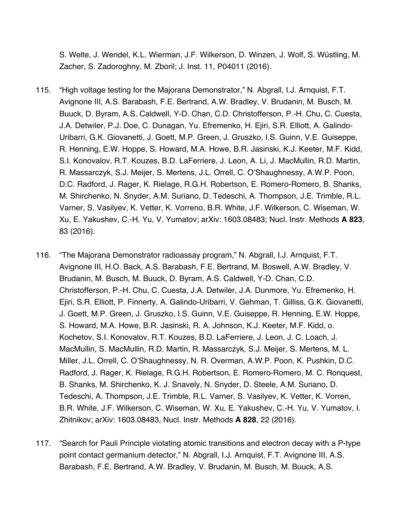S. Welte, J. Wendel, K.L. Wierman, J.F. Wilkerson, D. Winzen, J. Wolf, S. Wustling, M. ̈ Zacher, S. Zadoroghny, M. Zboril; J. Inst. 11, P04011 (2016).

- 115. "High voltage testing for the Majorana Demonstrator," N. Abgrall, I.J. Arnquist, F.T. Avignone III, A.S. Barabash, F.E. Bertrand, A.W. Bradley, V. Brudanin, M. Busch, M. Buuck, D. Byram, A.S. Caldwell, Y-D. Chan, C.D. Christofferson, P.-H. Chu, C. Cuesta, J.A. Detwiler, P.J. Doe, C. Dunagan, Yu. Efremenko, H. Ejiri, S.R. Elliott, A. Galindo-Uribarri, G.K. Giovanetti, J. Goett, M.P. Green, J. Gruszko, I.S. Guinn, V.E. Guiseppe, R. Henning, E.W. Hoppe, S. Howard, M.A. Howe, B.R. Jasinski, K.J. Keeter, M.F. Kidd, S.I. Konovalov, R.T. Kouzes, B.D. LaFerriere, J. Leon, A. Li, J. MacMullin, R.D. Martin, R. Massarczyk, S.J. Meijer, S. Mertens, J.L. Orrell, C. O'Shaughnessy, A.W.P. Poon, D.C. Radford, J. Rager, K. Rielage, R.G.H. Robertson, E. Romero-Romero, B. Shanks, M. Shirchenko, N. Snyder, A.M. Suriano, D. Tedeschi, A. Thompson, J.E. Trimble, R.L. Varner, S. Vasilyev, K. Vetter, K. Vorreno, B.R. White, J.F. Wilkerson, C. Wiseman, W. Xu, E. Yakushev, C.-H. Yu, V. Yumatov; arXiv: 1603.08483; Nucl. Instr. Methods **A 823**, 83 (2016).
- 116. "The Majorana Demonstrator radioassay program," N. Abgrall, I.J. Arnquist, F.T. Avignone III, H.O. Back, A.S. Barabash, F.E. Bertrand, M. Boswell, A.W. Bradley, V. Brudanin, M. Busch, M. Buuck, D. Byram, A.S. Caldwell, Y-D. Chan, C.D. Christofferson, P.-H. Chu, C. Cuesta, J.A. Detwiler, J.A. Dunmore, Yu. Efremenko, H. Ejiri, S.R. Elliott, P. Finnerty, A. Galindo-Uribarri, V. Gehman, T. Gilliss, G.K. Giovanetti, J. Goett, M.P. Green, J. Gruszko, I.S. Guinn, V.E. Guiseppe, R. Henning, E.W. Hoppe, S. Howard, M.A. Howe, B.R. Jasinski, R. A. Johnson, K.J. Keeter, M.F. Kidd, o. Kochetov, S.I. Konovalov, R.T. Kouzes, B.D. LaFerriere, J. Leon, J. C. Loach, J. MacMullin, S. MacMullin, R.D. Martin, R. Massarczyk, S.J. Meijer, S. Mertens, M. L. Miller, J.L. Orrell, C. O'Shaughnessy, N. R. Overman, A.W.P. Poon, K. Pushkin, D.C. Radford, J. Rager, K. Rielage, R.G.H. Robertson, E. Romero-Romero, M. C. Ronquest, B. Shanks, M. Shirchenko, K. J. Snavely, N. Snyder, D. Steele, A.M. Suriano, D. Tedeschi, A. Thompson, J.E. Trimble, R.L. Varner, S. Vasilyev, K. Vetter, K. Vorren, B.R. White, J.F. Wilkerson, C. Wiseman, W. Xu, E. Yakushev, C.-H. Yu, V. Yumatov, I. Zhitnikov; arXiv: 1603.08483, Nucl. Instr. Methods **A 828**, 22 (2016).
- 117. "Search for Pauli Principle violating atomic transitions and electron decay with a P-type point contact germanium detector," N. Abgrall, I.J. Arnquist, F.T. Avignone III, A.S. Barabash, F.E. Bertrand, A.W. Bradley, V. Brudanin, M. Busch, M. Buuck, A.S.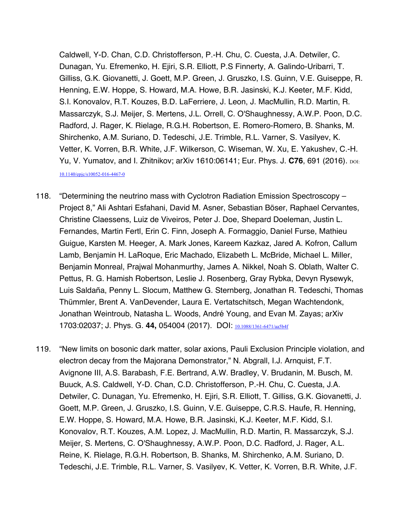Caldwell, Y-D. Chan, C.D. Christofferson, P.-H. Chu, C. Cuesta, J.A. Detwiler, C. Dunagan, Yu. Efremenko, H. Ejiri, S.R. Elliott, P.S Finnerty, A. Galindo-Uribarri, T. Gilliss, G.K. Giovanetti, J. Goett, M.P. Green, J. Gruszko, I.S. Guinn, V.E. Guiseppe, R. Henning, E.W. Hoppe, S. Howard, M.A. Howe, B.R. Jasinski, K.J. Keeter, M.F. Kidd, S.I. Konovalov, R.T. Kouzes, B.D. LaFerriere, J. Leon, J. MacMullin, R.D. Martin, R. Massarczyk, S.J. Meijer, S. Mertens, J.L. Orrell, C. O'Shaughnessy, A.W.P. Poon, D.C. Radford, J. Rager, K. Rielage, R.G.H. Robertson, E. Romero-Romero, B. Shanks, M. Shirchenko, A.M. Suriano, D. Tedeschi, J.E. Trimble, R.L. Varner, S. Vasilyev, K. Vetter, K. Vorren, B.R. White, J.F. Wilkerson, C. Wiseman, W. Xu, E. Yakushev, C.-H. Yu, V. Yumatov, and I. Zhitnikov; arXiv 1610:06141; Eur. Phys. J. **C76**, 691 (2016). DOI: 10.1140/epjc/s10052-016-4467-0

- 118. "Determining the neutrino mass with Cyclotron Radiation Emission Spectroscopy Project 8," Ali Ashtari Esfahani, David M. Asner, Sebastian Böser, Raphael Cervantes, Christine Claessens, Luiz de Viveiros, Peter J. Doe, Shepard Doeleman, Justin L. Fernandes, Martin Fertl, Erin C. Finn, Joseph A. Formaggio, Daniel Furse, Mathieu Guigue, Karsten M. Heeger, A. Mark Jones, Kareem Kazkaz, Jared A. Kofron, Callum Lamb, Benjamin H. LaRoque, Eric Machado, Elizabeth L. McBride, Michael L. Miller, Benjamin Monreal, Prajwal Mohanmurthy, James A. Nikkel, Noah S. Oblath, Walter C. Pettus, R. G. Hamish Robertson, Leslie J. Rosenberg, Gray Rybka, Devyn Rysewyk, Luis Saldaña, Penny L. Slocum, Matthew G. Sternberg, Jonathan R. Tedeschi, Thomas Thümmler, Brent A. VanDevender, Laura E. Vertatschitsch, Megan Wachtendonk, Jonathan Weintroub, Natasha L. Woods, André Young, and Evan M. Zayas; arXiv 1703:02037; J. Phys. G. **44,** 054004 (2017). DOI: 10.1088/1361-6471/aa5b4f
- 119. "New limits on bosonic dark matter, solar axions, Pauli Exclusion Principle violation, and electron decay from the Majorana Demonstrator," N. Abgrall, I.J. Arnquist, F.T. Avignone III, A.S. Barabash, F.E. Bertrand, A.W. Bradley, V. Brudanin, M. Busch, M. Buuck, A.S. Caldwell, Y-D. Chan, C.D. Christofferson, P.-H. Chu, C. Cuesta, J.A. Detwiler, C. Dunagan, Yu. Efremenko, H. Ejiri, S.R. Elliott, T. Gilliss, G.K. Giovanetti, J. Goett, M.P. Green, J. Gruszko, I.S. Guinn, V.E. Guiseppe, C.R.S. Haufe, R. Henning, E.W. Hoppe, S. Howard, M.A. Howe, B.R. Jasinski, K.J. Keeter, M.F. Kidd, S.I. Konovalov, R.T. Kouzes, A.M. Lopez, J. MacMullin, R.D. Martin, R. Massarczyk, S.J. Meijer, S. Mertens, C. O'Shaughnessy, A.W.P. Poon, D.C. Radford, J. Rager, A.L. Reine, K. Rielage, R.G.H. Robertson, B. Shanks, M. Shirchenko, A.M. Suriano, D. Tedeschi, J.E. Trimble, R.L. Varner, S. Vasilyev, K. Vetter, K. Vorren, B.R. White, J.F.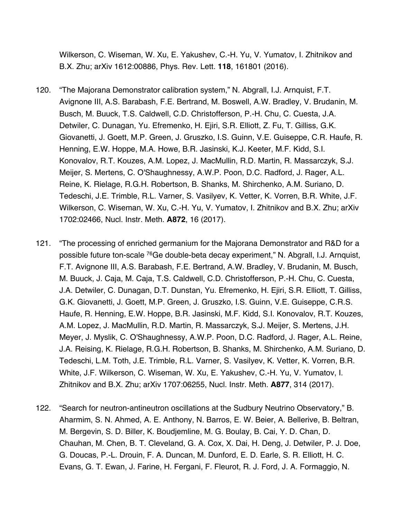Wilkerson, C. Wiseman, W. Xu, E. Yakushev, C.-H. Yu, V. Yumatov, I. Zhitnikov and B.X. Zhu; arXiv 1612:00886, Phys. Rev. Lett. **118**, 161801 (2016).

- 120. "The Majorana Demonstrator calibration system," N. Abgrall, I.J. Arnquist, F.T. Avignone III, A.S. Barabash, F.E. Bertrand, M. Boswell, A.W. Bradley, V. Brudanin, M. Busch, M. Buuck, T.S. Caldwell, C.D. Christofferson, P.-H. Chu, C. Cuesta, J.A. Detwiler, C. Dunagan, Yu. Efremenko, H. Ejiri, S.R. Elliott, Z. Fu, T. Gilliss, G.K. Giovanetti, J. Goett, M.P. Green, J. Gruszko, I.S. Guinn, V.E. Guiseppe, C.R. Haufe, R. Henning, E.W. Hoppe, M.A. Howe, B.R. Jasinski, K.J. Keeter, M.F. Kidd, S.I. Konovalov, R.T. Kouzes, A.M. Lopez, J. MacMullin, R.D. Martin, R. Massarczyk, S.J. Meijer, S. Mertens, C. O'Shaughnessy, A.W.P. Poon, D.C. Radford, J. Rager, A.L. Reine, K. Rielage, R.G.H. Robertson, B. Shanks, M. Shirchenko, A.M. Suriano, D. Tedeschi, J.E. Trimble, R.L. Varner, S. Vasilyev, K. Vetter, K. Vorren, B.R. White, J.F. Wilkerson, C. Wiseman, W. Xu, C.-H. Yu, V. Yumatov, I. Zhitnikov and B.X. Zhu; arXiv 1702:02466, Nucl. Instr. Meth. **A872**, 16 (2017).
- 121. "The processing of enriched germanium for the Majorana Demonstrator and R&D for a possible future ton-scale 76Ge double-beta decay experiment," N. Abgrall, I.J. Arnquist, F.T. Avignone III, A.S. Barabash, F.E. Bertrand, A.W. Bradley, V. Brudanin, M. Busch, M. Buuck, J. Caja, M. Caja, T.S. Caldwell, C.D. Christofferson, P.-H. Chu, C. Cuesta, J.A. Detwiler, C. Dunagan, D.T. Dunstan, Yu. Efremenko, H. Ejiri, S.R. Elliott, T. Gilliss, G.K. Giovanetti, J. Goett, M.P. Green, J. Gruszko, I.S. Guinn, V.E. Guiseppe, C.R.S. Haufe, R. Henning, E.W. Hoppe, B.R. Jasinski, M.F. Kidd, S.I. Konovalov, R.T. Kouzes, A.M. Lopez, J. MacMullin, R.D. Martin, R. Massarczyk, S.J. Meijer, S. Mertens, J.H. Meyer, J. Myslik, C. O'Shaughnessy, A.W.P. Poon, D.C. Radford, J. Rager, A.L. Reine, J.A. Reising, K. Rielage, R.G.H. Robertson, B. Shanks, M. Shirchenko, A.M. Suriano, D. Tedeschi, L.M. Toth, J.E. Trimble, R.L. Varner, S. Vasilyev, K. Vetter, K. Vorren, B.R. White, J.F. Wilkerson, C. Wiseman, W. Xu, E. Yakushev, C.-H. Yu, V. Yumatov, I. Zhitnikov and B.X. Zhu; arXiv 1707:06255, Nucl. Instr. Meth. **A877**, 314 (2017).
- 122. "Search for neutron-antineutron oscillations at the Sudbury Neutrino Observatory," B. Aharmim, S. N. Ahmed, A. E. Anthony, N. Barros, E. W. Beier, A. Bellerive, B. Beltran, M. Bergevin, S. D. Biller, K. Boudjemline, M. G. Boulay, B. Cai, Y. D. Chan, D. Chauhan, M. Chen, B. T. Cleveland, G. A. Cox, X. Dai, H. Deng, J. Detwiler, P. J. Doe, G. Doucas, P.-L. Drouin, F. A. Duncan, M. Dunford, E. D. Earle, S. R. Elliott, H. C. Evans, G. T. Ewan, J. Farine, H. Fergani, F. Fleurot, R. J. Ford, J. A. Formaggio, N.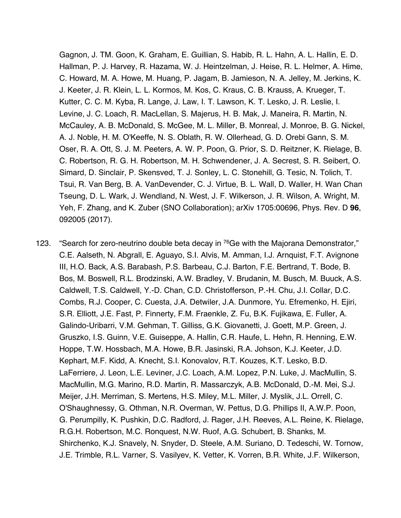Gagnon, J. TM. Goon, K. Graham, E. Guillian, S. Habib, R. L. Hahn, A. L. Hallin, E. D. Hallman, P. J. Harvey, R. Hazama, W. J. Heintzelman, J. Heise, R. L. Helmer, A. Hime, C. Howard, M. A. Howe, M. Huang, P. Jagam, B. Jamieson, N. A. Jelley, M. Jerkins, K. J. Keeter, J. R. Klein, L. L. Kormos, M. Kos, C. Kraus, C. B. Krauss, A. Krueger, T. Kutter, C. C. M. Kyba, R. Lange, J. Law, I. T. Lawson, K. T. Lesko, J. R. Leslie, I. Levine, J. C. Loach, R. MacLellan, S. Majerus, H. B. Mak, J. Maneira, R. Martin, N. McCauley, A. B. McDonald, S. McGee, M. L. Miller, B. Monreal, J. Monroe, B. G. Nickel, A. J. Noble, H. M. O'Keeffe, N. S. Oblath, R. W. Ollerhead, G. D. Orebi Gann, S. M. Oser, R. A. Ott, S. J. M. Peeters, A. W. P. Poon, G. Prior, S. D. Reitzner, K. Rielage, B. C. Robertson, R. G. H. Robertson, M. H. Schwendener, J. A. Secrest, S. R. Seibert, O. Simard, D. Sinclair, P. Skensved, T. J. Sonley, L. C. Stonehill, G. Tesic, N. Tolich, T. Tsui, R. Van Berg, B. A. VanDevender, C. J. Virtue, B. L. Wall, D. Waller, H. Wan Chan Tseung, D. L. Wark, J. Wendland, N. West, J. F. Wilkerson, J. R. Wilson, A. Wright, M. Yeh, F. Zhang, and K. Zuber (SNO Collaboration); arXiv 1705:00696, Phys. Rev. D **96**, 092005 (2017).

123. "Search for zero-neutrino double beta decay in  $76$ Ge with the Majorana Demonstrator," C.E. Aalseth, N. Abgrall, E. Aguayo, S.I. Alvis, M. Amman, I.J. Arnquist, F.T. Avignone III, H.O. Back, A.S. Barabash, P.S. Barbeau, C.J. Barton, F.E. Bertrand, T. Bode, B. Bos, M. Boswell, R.L. Brodzinski, A.W. Bradley, V. Brudanin, M. Busch, M. Buuck, A.S. Caldwell, T.S. Caldwell, Y.-D. Chan, C.D. Christofferson, P.-H. Chu, J.I. Collar, D.C. Combs, R.J. Cooper, C. Cuesta, J.A. Detwiler, J.A. Dunmore, Yu. Efremenko, H. Ejiri, S.R. Elliott, J.E. Fast, P. Finnerty, F.M. Fraenkle, Z. Fu, B.K. Fujikawa, E. Fuller, A. Galindo-Uribarri, V.M. Gehman, T. Gilliss, G.K. Giovanetti, J. Goett, M.P. Green, J. Gruszko, I.S. Guinn, V.E. Guiseppe, A. Hallin, C.R. Haufe, L. Hehn, R. Henning, E.W. Hoppe, T.W. Hossbach, M.A. Howe, B.R. Jasinski, R.A. Johson, K.J. Keeter, J.D. Kephart, M.F. Kidd, A. Knecht, S.I. Konovalov, R.T. Kouzes, K.T. Lesko, B.D. LaFerriere, J. Leon, L.E. Leviner, J.C. Loach, A.M. Lopez, P.N. Luke, J. MacMullin, S. MacMullin, M.G. Marino, R.D. Martin, R. Massarczyk, A.B. McDonald, D.-M. Mei, S.J. Meijer, J.H. Merriman, S. Mertens, H.S. Miley, M.L. Miller, J. Myslik, J.L. Orrell, C. O'Shaughnessy, G. Othman, N.R. Overman, W. Pettus, D.G. Phillips II, A.W.P. Poon, G. Perumpilly, K. Pushkin, D.C. Radford, J. Rager, J.H. Reeves, A.L. Reine, K. Rielage, R.G.H. Robertson, M.C. Ronquest, N.W. Ruof, A.G. Schubert, B. Shanks, M. Shirchenko, K.J. Snavely, N. Snyder, D. Steele, A.M. Suriano, D. Tedeschi, W. Tornow, J.E. Trimble, R.L. Varner, S. Vasilyev, K. Vetter, K. Vorren, B.R. White, J.F. Wilkerson,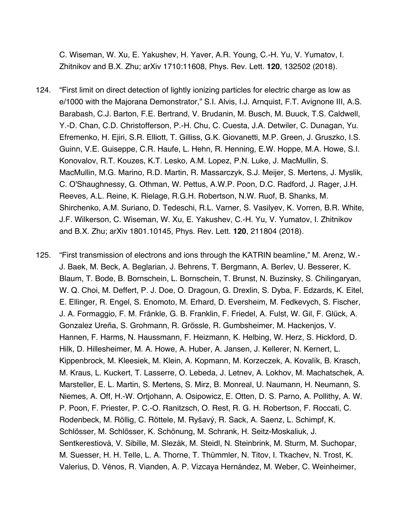C. Wiseman, W. Xu, E. Yakushev, H. Yaver, A.R. Young, C.-H. Yu, V. Yumatov, I. Zhitnikov and B.X. Zhu; arXiv 1710:11608, Phys. Rev. Lett. **120**, 132502 (2018).

- 124. "First limit on direct detection of lightly ionizing particles for electric charge as low as e/1000 with the Majorana Demonstrator," S.I. Alvis, I.J. Arnquist, F.T. Avignone III, A.S. Barabash, C.J. Barton, F.E. Bertrand, V. Brudanin, M. Busch, M. Buuck, T.S. Caldwell, Y.-D. Chan, C.D. Christofferson, P.-H. Chu, C. Cuesta, J.A. Detwiler, C. Dunagan, Yu. Efremenko, H. Ejiri, S.R. Elliott, T. Gilliss, G.K. Giovanetti, M.P. Green, J. Gruszko, I.S. Guinn, V.E. Guiseppe, C.R. Haufe, L. Hehn, R. Henning, E.W. Hoppe, M.A. Howe, S.I. Konovalov, R.T. Kouzes, K.T. Lesko, A.M. Lopez, P.N. Luke, J. MacMullin, S. MacMullin, M.G. Marino, R.D. Martin, R. Massarczyk, S.J. Meijer, S. Mertens, J. Myslik, C. O'Shaughnessy, G. Othman, W. Pettus, A.W.P. Poon, D.C. Radford, J. Rager, J.H. Reeves, A.L. Reine, K. Rielage, R.G.H. Robertson, N.W. Ruof, B. Shanks, M. Shirchenko, A.M. Suriano, D. Tedeschi, R.L. Varner, S. Vasilyev, K. Vorren, B.R. White, J.F. Wilkerson, C. Wiseman, W. Xu, E. Yakushev, C.-H. Yu, V. Yumatov, I. Zhitnikov and B.X. Zhu; arXiv 1801.10145, Phys. Rev. Lett. **120**, 211804 (2018).
- 125. "First transmission of electrons and ions through the KATRIN beamline," M. Arenz, W.- J. Baek, M. Beck, A. Beglarian, J. Behrens, T. Bergmann, A. Berlev, U. Besserer, K. Blaum, T. Bode, B. Bornschein, L. Bornschein, T. Brunst, N. Buzinsky, S. Chilingaryan, W. Q. Choi, M. Deffert, P. J. Doe, O. Dragoun, G. Drexlin, S. Dyba, F. Edzards, K. Eitel, E. Ellinger, R. Engel, S. Enomoto, M. Erhard, D. Eversheim, M. Fedkevych, S. Fischer, J. A. Formaggio, F. M. Fränkle, G. B. Franklin, F. Friedel, A. Fulst, W. Gil, F. Glück, A. Gonzalez Ureña, S. Grohmann, R. Grössle, R. Gumbsheimer, M. Hackenjos, V. Hannen, F. Harms, N. Haussmann, F. Heizmann, K. Helbing, W. Herz, S. Hickford, D. Hilk, D. Hillesheimer, M. A. Howe, A. Huber, A. Jansen, J. Kellerer, N. Kernert, L. Kippenbrock, M. Kleesiek, M. Klein, A. Kopmann, M. Korzeczek, A. Kovalík, B. Krasch, M. Kraus, L. Kuckert, T. Lasserre, O. Lebeda, J. Letnev, A. Lokhov, M. Machatschek, A. Marsteller, E. L. Martin, S. Mertens, S. Mirz, B. Monreal, U. Naumann, H. Neumann, S. Niemes, A. Off, H.-W. Ortjohann, A. Osipowicz, E. Otten, D. S. Parno, A. Pollithy, A. W. P. Poon, F. Priester, P. C.-O. Ranitzsch, O. Rest, R. G. H. Robertson, F. Roccati, C. Rodenbeck, M. Röllig, C. Röttele, M. Ryšavý, R. Sack, A. Saenz, L. Schimpf, K. Schlösser, M. Schlösser, K. Schönung, M. Schrank, H. Seitz-Moskaliuk, J. Sentkerestiová, V. Sibille, M. Slezák, M. Steidl, N. Steinbrink, M. Sturm, M. Suchopar, M. Suesser, H. H. Telle, L. A. Thorne, T. Thümmler, N. Titov, I. Tkachev, N. Trost, K. Valerius, D. Vénos, R. Vianden, A. P. Vizcaya Hernández, M. Weber, C. Weinheimer,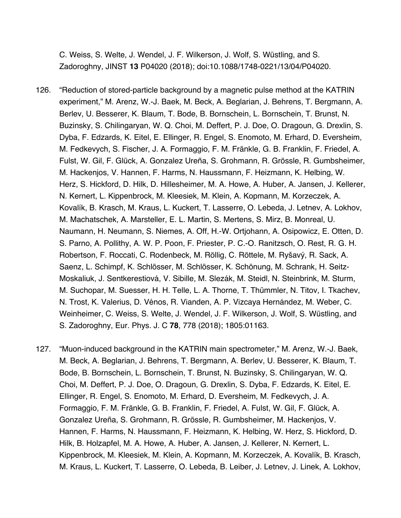C. Weiss, S. Welte, J. Wendel, J. F. Wilkerson, J. Wolf, S. Wüstling, and S. Zadoroghny, JINST **13** P04020 (2018); doi:10.1088/1748-0221/13/04/P04020.

- 126. "Reduction of stored-particle background by a magnetic pulse method at the KATRIN experiment," M. Arenz, W.-J. Baek, M. Beck, A. Beglarian, J. Behrens, T. Bergmann, A. Berlev, U. Besserer, K. Blaum, T. Bode, B. Bornschein, L. Bornschein, T. Brunst, N. Buzinsky, S. Chilingaryan, W. Q. Choi, M. Deffert, P. J. Doe, O. Dragoun, G. Drexlin, S. Dyba, F. Edzards, K. Eitel, E. Ellinger, R. Engel, S. Enomoto, M. Erhard, D. Eversheim, M. Fedkevych, S. Fischer, J. A. Formaggio, F. M. Fränkle, G. B. Franklin, F. Friedel, A. Fulst, W. Gil, F. Glück, A. Gonzalez Ureña, S. Grohmann, R. Grössle, R. Gumbsheimer, M. Hackenjos, V. Hannen, F. Harms, N. Haussmann, F. Heizmann, K. Helbing, W. Herz, S. Hickford, D. Hilk, D. Hillesheimer, M. A. Howe, A. Huber, A. Jansen, J. Kellerer, N. Kernert, L. Kippenbrock, M. Kleesiek, M. Klein, A. Kopmann, M. Korzeczek, A. Kovalík, B. Krasch, M. Kraus, L. Kuckert, T. Lasserre, O. Lebeda, J. Letnev, A. Lokhov, M. Machatschek, A. Marsteller, E. L. Martin, S. Mertens, S. Mirz, B. Monreal, U. Naumann, H. Neumann, S. Niemes, A. Off, H.-W. Ortjohann, A. Osipowicz, E. Otten, D. S. Parno, A. Pollithy, A. W. P. Poon, F. Priester, P. C.-O. Ranitzsch, O. Rest, R. G. H. Robertson, F. Roccati, C. Rodenbeck, M. Röllig, C. Röttele, M. Ryšavý, R. Sack, A. Saenz, L. Schimpf, K. Schlösser, M. Schlösser, K. Schönung, M. Schrank, H. Seitz-Moskaliuk, J. Sentkerestiová, V. Sibille, M. Slezák, M. Steidl, N. Steinbrink, M. Sturm, M. Suchopar, M. Suesser, H. H. Telle, L. A. Thorne, T. Thümmler, N. Titov, I. Tkachev, N. Trost, K. Valerius, D. Vénos, R. Vianden, A. P. Vizcaya Hernández, M. Weber, C. Weinheimer, C. Weiss, S. Welte, J. Wendel, J. F. Wilkerson, J. Wolf, S. Wüstling, and S. Zadoroghny, Eur. Phys. J. C **78**, 778 (2018); 1805:01163.
- 127. "Muon-induced background in the KATRIN main spectrometer," M. Arenz, W.-J. Baek, M. Beck, A. Beglarian, J. Behrens, T. Bergmann, A. Berlev, U. Besserer, K. Blaum, T. Bode, B. Bornschein, L. Bornschein, T. Brunst, N. Buzinsky, S. Chilingaryan, W. Q. Choi, M. Deffert, P. J. Doe, O. Dragoun, G. Drexlin, S. Dyba, F. Edzards, K. Eitel, E. Ellinger, R. Engel, S. Enomoto, M. Erhard, D. Eversheim, M. Fedkevych, J. A. Formaggio, F. M. Fränkle, G. B. Franklin, F. Friedel, A. Fulst, W. Gil, F. Glück, A. Gonzalez Ureña, S. Grohmann, R. Grössle, R. Gumbsheimer, M. Hackenjos, V. Hannen, F. Harms, N. Haussmann, F. Heizmann, K. Helbing, W. Herz, S. Hickford, D. Hilk, B. Holzapfel, M. A. Howe, A. Huber, A. Jansen, J. Kellerer, N. Kernert, L. Kippenbrock, M. Kleesiek, M. Klein, A. Kopmann, M. Korzeczek, A. Kovalík, B. Krasch, M. Kraus, L. Kuckert, T. Lasserre, O. Lebeda, B. Leiber, J. Letnev, J. Linek, A. Lokhov,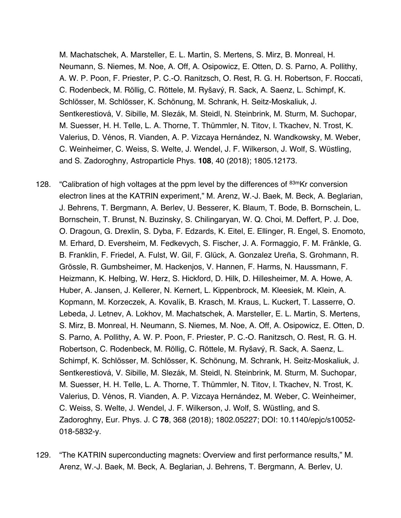M. Machatschek, A. Marsteller, E. L. Martin, S. Mertens, S. Mirz, B. Monreal, H. Neumann, S. Niemes, M. Noe, A. Off, A. Osipowicz, E. Otten, D. S. Parno, A. Pollithy, A. W. P. Poon, F. Priester, P. C.-O. Ranitzsch, O. Rest, R. G. H. Robertson, F. Roccati, C. Rodenbeck, M. Röllig, C. Röttele, M. Ryšavý, R. Sack, A. Saenz, L. Schimpf, K. Schlösser, M. Schlösser, K. Schönung, M. Schrank, H. Seitz-Moskaliuk, J. Sentkerestiová, V. Sibille, M. Slezák, M. Steidl, N. Steinbrink, M. Sturm, M. Suchopar, M. Suesser, H. H. Telle, L. A. Thorne, T. Thümmler, N. Titov, I. Tkachev, N. Trost, K. Valerius, D. Vénos, R. Vianden, A. P. Vizcaya Hernández, N. Wandkowsky, M. Weber, C. Weinheimer, C. Weiss, S. Welte, J. Wendel, J. F. Wilkerson, J. Wolf, S. Wüstling, and S. Zadoroghny, Astroparticle Phys. **108**, 40 (2018); 1805.12173.

- 128. "Calibration of high voltages at the ppm level by the differences of 83mKr conversion electron lines at the KATRIN experiment," M. Arenz, W.-J. Baek, M. Beck, A. Beglarian, J. Behrens, T. Bergmann, A. Berlev, U. Besserer, K. Blaum, T. Bode, B. Bornschein, L. Bornschein, T. Brunst, N. Buzinsky, S. Chilingaryan, W. Q. Choi, M. Deffert, P. J. Doe, O. Dragoun, G. Drexlin, S. Dyba, F. Edzards, K. Eitel, E. Ellinger, R. Engel, S. Enomoto, M. Erhard, D. Eversheim, M. Fedkevych, S. Fischer, J. A. Formaggio, F. M. Fränkle, G. B. Franklin, F. Friedel, A. Fulst, W. Gil, F. Glück, A. Gonzalez Ureña, S. Grohmann, R. Grössle, R. Gumbsheimer, M. Hackenjos, V. Hannen, F. Harms, N. Haussmann, F. Heizmann, K. Helbing, W. Herz, S. Hickford, D. Hilk, D. Hillesheimer, M. A. Howe, A. Huber, A. Jansen, J. Kellerer, N. Kernert, L. Kippenbrock, M. Kleesiek, M. Klein, A. Kopmann, M. Korzeczek, A. Kovalík, B. Krasch, M. Kraus, L. Kuckert, T. Lasserre, O. Lebeda, J. Letnev, A. Lokhov, M. Machatschek, A. Marsteller, E. L. Martin, S. Mertens, S. Mirz, B. Monreal, H. Neumann, S. Niemes, M. Noe, A. Off, A. Osipowicz, E. Otten, D. S. Parno, A. Pollithy, A. W. P. Poon, F. Priester, P. C.-O. Ranitzsch, O. Rest, R. G. H. Robertson, C. Rodenbeck, M. Röllig, C. Röttele, M. Ryšavý, R. Sack, A. Saenz, L. Schimpf, K. Schlösser, M. Schlösser, K. Schönung, M. Schrank, H. Seitz-Moskaliuk, J. Sentkerestiová, V. Sibille, M. Slezák, M. Steidl, N. Steinbrink, M. Sturm, M. Suchopar, M. Suesser, H. H. Telle, L. A. Thorne, T. Thümmler, N. Titov, I. Tkachev, N. Trost, K. Valerius, D. Vénos, R. Vianden, A. P. Vizcaya Hernández, M. Weber, C. Weinheimer, C. Weiss, S. Welte, J. Wendel, J. F. Wilkerson, J. Wolf, S. Wüstling, and S. Zadoroghny, Eur. Phys. J. C **78**, 368 (2018); 1802.05227; DOI: 10.1140/epjc/s10052- 018-5832-y.
- 129. "The KATRIN superconducting magnets: Overview and first performance results," M. Arenz, W.-J. Baek, M. Beck, A. Beglarian, J. Behrens, T. Bergmann, A. Berlev, U.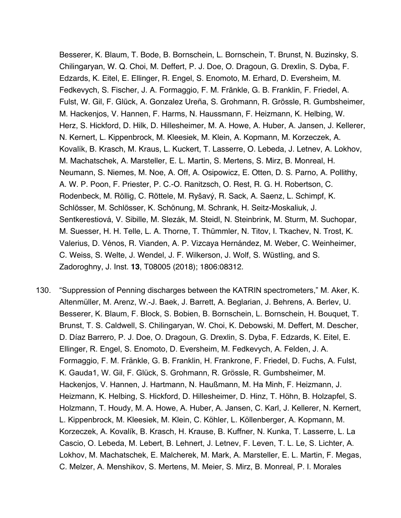Besserer, K. Blaum, T. Bode, B. Bornschein, L. Bornschein, T. Brunst, N. Buzinsky, S. Chilingaryan, W. Q. Choi, M. Deffert, P. J. Doe, O. Dragoun, G. Drexlin, S. Dyba, F. Edzards, K. Eitel, E. Ellinger, R. Engel, S. Enomoto, M. Erhard, D. Eversheim, M. Fedkevych, S. Fischer, J. A. Formaggio, F. M. Fränkle, G. B. Franklin, F. Friedel, A. Fulst, W. Gil, F. Glück, A. Gonzalez Ureña, S. Grohmann, R. Grössle, R. Gumbsheimer, M. Hackenjos, V. Hannen, F. Harms, N. Haussmann, F. Heizmann, K. Helbing, W. Herz, S. Hickford, D. Hilk, D. Hillesheimer, M. A. Howe, A. Huber, A. Jansen, J. Kellerer, N. Kernert, L. Kippenbrock, M. Kleesiek, M. Klein, A. Kopmann, M. Korzeczek, A. Kovalík, B. Krasch, M. Kraus, L. Kuckert, T. Lasserre, O. Lebeda, J. Letnev, A. Lokhov, M. Machatschek, A. Marsteller, E. L. Martin, S. Mertens, S. Mirz, B. Monreal, H. Neumann, S. Niemes, M. Noe, A. Off, A. Osipowicz, E. Otten, D. S. Parno, A. Pollithy, A. W. P. Poon, F. Priester, P. C.-O. Ranitzsch, O. Rest, R. G. H. Robertson, C. Rodenbeck, M. Röllig, C. Röttele, M. Ryšavý, R. Sack, A. Saenz, L. Schimpf, K. Schlösser, M. Schlösser, K. Schönung, M. Schrank, H. Seitz-Moskaliuk, J. Sentkerestiová, V. Sibille, M. Slezák, M. Steidl, N. Steinbrink, M. Sturm, M. Suchopar, M. Suesser, H. H. Telle, L. A. Thorne, T. Thümmler, N. Titov, I. Tkachev, N. Trost, K. Valerius, D. Vénos, R. Vianden, A. P. Vizcaya Hernández, M. Weber, C. Weinheimer, C. Weiss, S. Welte, J. Wendel, J. F. Wilkerson, J. Wolf, S. Wüstling, and S. Zadoroghny, J. Inst. **13**, T08005 (2018); 1806:08312.

130. "Suppression of Penning discharges between the KATRIN spectrometers," M. Aker, K. Altenmüller, M. Arenz, W.-J. Baek, J. Barrett, A. Beglarian, J. Behrens, A. Berlev, U. Besserer, K. Blaum, F. Block, S. Bobien, B. Bornschein, L. Bornschein, H. Bouquet, T. Brunst, T. S. Caldwell, S. Chilingaryan, W. Choi, K. Debowski, M. Deffert, M. Descher, D. Díaz Barrero, P. J. Doe, O. Dragoun, G. Drexlin, S. Dyba, F. Edzards, K. Eitel, E. Ellinger, R. Engel, S. Enomoto, D. Eversheim, M. Fedkevych, A. Felden, J. A. Formaggio, F. M. Fränkle, G. B. Franklin, H. Frankrone, F. Friedel, D. Fuchs, A. Fulst, K. Gauda1, W. Gil, F. Glück, S. Grohmann, R. Grössle, R. Gumbsheimer, M. Hackenjos, V. Hannen, J. Hartmann, N. Haußmann, M. Ha Minh, F. Heizmann, J. Heizmann, K. Helbing, S. Hickford, D. Hillesheimer, D. Hinz, T. Höhn, B. Holzapfel, S. Holzmann, T. Houdy, M. A. Howe, A. Huber, A. Jansen, C. Karl, J. Kellerer, N. Kernert, L. Kippenbrock, M. Kleesiek, M. Klein, C. Köhler, L. Köllenberger, A. Kopmann, M. Korzeczek, A. Kovalík, B. Krasch, H. Krause, B. Kuffner, N. Kunka, T. Lasserre, L. La Cascio, O. Lebeda, M. Lebert, B. Lehnert, J. Letnev, F. Leven, T. L. Le, S. Lichter, A. Lokhov, M. Machatschek, E. Malcherek, M. Mark, A. Marsteller, E. L. Martin, F. Megas, C. Melzer, A. Menshikov, S. Mertens, M. Meier, S. Mirz, B. Monreal, P. I. Morales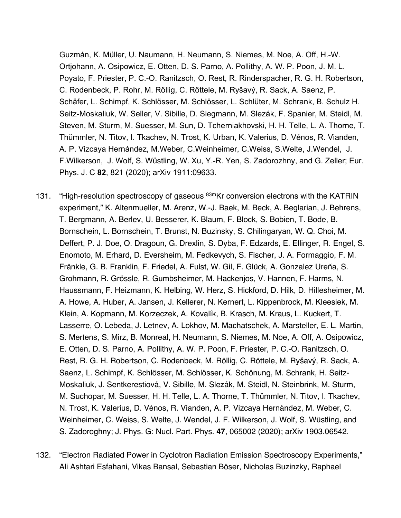Guzmán, K. Müller, U. Naumann, H. Neumann, S. Niemes, M. Noe, A. Off, H.-W. Ortjohann, A. Osipowicz, E. Otten, D. S. Parno, A. Pollithy, A. W. P. Poon, J. M. L. Poyato, F. Priester, P. C.-O. Ranitzsch, O. Rest, R. Rinderspacher, R. G. H. Robertson, C. Rodenbeck, P. Rohr, M. Röllig, C. Röttele, M. Ryšavý, R. Sack, A. Saenz, P. Schäfer, L. Schimpf, K. Schlösser, M. Schlösser, L. Schlüter, M. Schrank, B. Schulz H. Seitz-Moskaliuk, W. Seller, V. Sibille, D. Siegmann, M. Slezák, F. Spanier, M. Steidl, M. Steven, M. Sturm, M. Suesser, M. Sun, D. Tcherniakhovski, H. H. Telle, L. A. Thorne, T. Thümmler, N. Titov, I. Tkachev, N. Trost, K. Urban, K. Valerius, D. Vénos, R. Vianden, A. P. Vizcaya Hernández, M.Weber, C.Weinheimer, C.Weiss, S.Welte, J.Wendel, J. F.Wilkerson, J. Wolf, S. Wüstling, W. Xu, Y.-R. Yen, S. Zadorozhny, and G. Zeller; Eur. Phys. J. C **82**, 821 (2020); arXiv 1911:09633.

- 131. "High-resolution spectroscopy of gaseous <sup>83m</sup>Kr conversion electrons with the KATRIN experiment," K. Altenmueller, M. Arenz, W.-J. Baek, M. Beck, A. Beglarian, J. Behrens, T. Bergmann, A. Berlev, U. Besserer, K. Blaum, F. Block, S. Bobien, T. Bode, B. Bornschein, L. Bornschein, T. Brunst, N. Buzinsky, S. Chilingaryan, W. Q. Choi, M. Deffert, P. J. Doe, O. Dragoun, G. Drexlin, S. Dyba, F. Edzards, E. Ellinger, R. Engel, S. Enomoto, M. Erhard, D. Eversheim, M. Fedkevych, S. Fischer, J. A. Formaggio, F. M. Fränkle, G. B. Franklin, F. Friedel, A. Fulst, W. Gil, F. Glück, A. Gonzalez Ureña, S. Grohmann, R. Grössle, R. Gumbsheimer, M. Hackenjos, V. Hannen, F. Harms, N. Haussmann, F. Heizmann, K. Helbing, W. Herz, S. Hickford, D. Hilk, D. Hillesheimer, M. A. Howe, A. Huber, A. Jansen, J. Kellerer, N. Kernert, L. Kippenbrock, M. Kleesiek, M. Klein, A. Kopmann, M. Korzeczek, A. Kovalík, B. Krasch, M. Kraus, L. Kuckert, T. Lasserre, O. Lebeda, J. Letnev, A. Lokhov, M. Machatschek, A. Marsteller, E. L. Martin, S. Mertens, S. Mirz, B. Monreal, H. Neumann, S. Niemes, M. Noe, A. Off, A. Osipowicz, E. Otten, D. S. Parno, A. Pollithy, A. W. P. Poon, F. Priester, P. C.-O. Ranitzsch, O. Rest, R. G. H. Robertson, C. Rodenbeck, M. Röllig, C. Röttele, M. Ryšavý, R. Sack, A. Saenz, L. Schimpf, K. Schlösser, M. Schlösser, K. Schönung, M. Schrank, H. Seitz-Moskaliuk, J. Sentkerestiová, V. Sibille, M. Slezák, M. Steidl, N. Steinbrink, M. Sturm, M. Suchopar, M. Suesser, H. H. Telle, L. A. Thorne, T. Thümmler, N. Titov, I. Tkachev, N. Trost, K. Valerius, D. Vénos, R. Vianden, A. P. Vizcaya Hernández, M. Weber, C. Weinheimer, C. Weiss, S. Welte, J. Wendel, J. F. Wilkerson, J. Wolf, S. Wüstling, and S. Zadoroghny; J. Phys. G: Nucl. Part. Phys. **47**, 065002 (2020); arXiv 1903.06542.
- 132. "Electron Radiated Power in Cyclotron Radiation Emission Spectroscopy Experiments," Ali Ashtari Esfahani, Vikas Bansal, Sebastian Böser, Nicholas Buzinzky, Raphael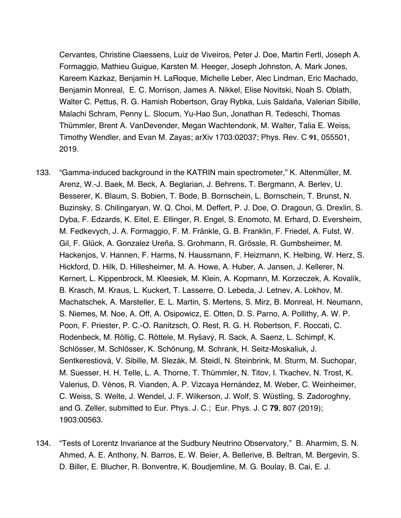Cervantes, Christine Claessens, Luiz de Viveiros, Peter J. Doe, Martin Fertl, Joseph A. Formaggio, Mathieu Guigue, Karsten M. Heeger, Joseph Johnston, A. Mark Jones, Kareem Kazkaz, Benjamin H. LaRoque, Michelle Leber, Alec Lindman, Eric Machado, Benjamin Monreal, E. C. Morrison, James A. Nikkel, Elise Novitski, Noah S. Oblath, Walter C. Pettus, R. G. Hamish Robertson, Gray Rybka, Luis Saldaña, Valerian Sibille, Malachi Schram, Penny L. Slocum, Yu-Hao Sun, Jonathan R. Tedeschi, Thomas Thümmler, Brent A. VanDevender, Megan Wachtendonk, M. Walter, Talia E. Weiss, Timothy Wendler, and Evan M. Zayas; arXiv 1703:02037; Phys. Rev. C **91**, 055501, 2019.

- 133. "Gamma-induced background in the KATRIN main spectrometer," K. Altenmüller, M. Arenz, W.-J. Baek, M. Beck, A. Beglarian, J. Behrens, T. Bergmann, A. Berlev, U. Besserer, K. Blaum, S. Bobien, T. Bode, B. Bornschein, L. Bornschein, T. Brunst, N. Buzinsky, S. Chilingaryan, W. Q. Choi, M. Deffert, P. J. Doe, O. Dragoun, G. Drexlin, S. Dyba, F. Edzards, K. Eitel, E. Ellinger, R. Engel, S. Enomoto, M. Erhard, D. Eversheim, M. Fedkevych, J. A. Formaggio, F. M. Fränkle, G. B. Franklin, F. Friedel, A. Fulst, W. Gil, F. Glück, A. Gonzalez Ureña, S. Grohmann, R. Grössle, R. Gumbsheimer, M. Hackenjos, V. Hannen, F. Harms, N. Haussmann, F. Heizmann, K. Helbing, W. Herz, S. Hickford, D. Hilk, D. Hillesheimer, M. A. Howe, A. Huber, A. Jansen, J. Kellerer, N. Kernert, L. Kippenbrock, M. Kleesiek, M. Klein, A. Kopmann, M. Korzeczek, A. Kovalík, B. Krasch, M. Kraus, L. Kuckert, T. Lasserre, O. Lebeda, J. Letnev, A. Lokhov, M. Machatschek, A. Marsteller, E. L. Martin, S. Mertens, S. Mirz, B. Monreal, H. Neumann, S. Niemes, M. Noe, A. Off, A. Osipowicz, E. Otten, D. S. Parno, A. Pollithy, A. W. P. Poon, F. Priester, P. C.-O. Ranitzsch, O. Rest, R. G. H. Robertson, F. Roccati, C. Rodenbeck, M. Röllig, C. Röttele, M. Ryšavý, R. Sack, A. Saenz, L. Schimpf, K. Schlösser, M. Schlösser, K. Schönung, M. Schrank, H. Seitz-Moskaliuk, J. Sentkerestiová, V. Sibille, M. Slezák, M. Steidl, N. Steinbrink, M. Sturm, M. Suchopar, M. Suesser, H. H. Telle, L. A. Thorne, T. Thümmler, N. Titov, I. Tkachev, N. Trost, K. Valerius, D. Vénos, R. Vianden, A. P. Vizcaya Hernández, M. Weber, C. Weinheimer, C. Weiss, S. Welte, J. Wendel, J. F. Wilkerson, J. Wolf, S. Wüstling, S. Zadoroghny, and G. Zeller, submitted to Eur. Phys. J. C.; Eur. Phys. J. C **79**, 807 (2019); 1903:00563.
- 134. "Tests of Lorentz Invariance at the Sudbury Neutrino Observatory," B. Aharmim, S. N. Ahmed, A. E. Anthony, N. Barros, E. W. Beier, A. Bellerive, B. Beltran, M. Bergevin, S. D. Biller, E. Blucher, R. Bonventre, K. Boudjemline, M. G. Boulay, B. Cai, E. J.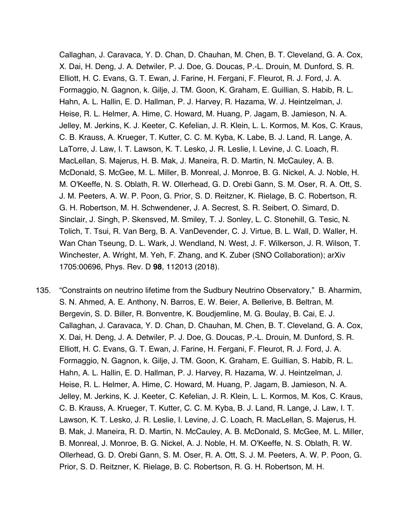Callaghan, J. Caravaca, Y. D. Chan, D. Chauhan, M. Chen, B. T. Cleveland, G. A. Cox, X. Dai, H. Deng, J. A. Detwiler, P. J. Doe, G. Doucas, P.-L. Drouin, M. Dunford, S. R. Elliott, H. C. Evans, G. T. Ewan, J. Farine, H. Fergani, F. Fleurot, R. J. Ford, J. A. Formaggio, N. Gagnon, k. Gilje, J. TM. Goon, K. Graham, E. Guillian, S. Habib, R. L. Hahn, A. L. Hallin, E. D. Hallman, P. J. Harvey, R. Hazama, W. J. Heintzelman, J. Heise, R. L. Helmer, A. Hime, C. Howard, M. Huang, P. Jagam, B. Jamieson, N. A. Jelley, M. Jerkins, K. J. Keeter, C. Kefelian, J. R. Klein, L. L. Kormos, M. Kos, C. Kraus, C. B. Krauss, A. Krueger, T. Kutter, C. C. M. Kyba, K. Labe, B. J. Land, R. Lange, A. LaTorre, J. Law, I. T. Lawson, K. T. Lesko, J. R. Leslie, I. Levine, J. C. Loach, R. MacLellan, S. Majerus, H. B. Mak, J. Maneira, R. D. Martin, N. McCauley, A. B. McDonald, S. McGee, M. L. Miller, B. Monreal, J. Monroe, B. G. Nickel, A. J. Noble, H. M. O'Keeffe, N. S. Oblath, R. W. Ollerhead, G. D. Orebi Gann, S. M. Oser, R. A. Ott, S. J. M. Peeters, A. W. P. Poon, G. Prior, S. D. Reitzner, K. Rielage, B. C. Robertson, R. G. H. Robertson, M. H. Schwendener, J. A. Secrest, S. R. Seibert, O. Simard, D. Sinclair, J. Singh, P. Skensved, M. Smiley, T. J. Sonley, L. C. Stonehill, G. Tesic, N. Tolich, T. Tsui, R. Van Berg, B. A. VanDevender, C. J. Virtue, B. L. Wall, D. Waller, H. Wan Chan Tseung, D. L. Wark, J. Wendland, N. West, J. F. Wilkerson, J. R. Wilson, T. Winchester, A. Wright, M. Yeh, F. Zhang, and K. Zuber (SNO Collaboration); arXiv 1705:00696, Phys. Rev. D **98**, 112013 (2018).

135. "Constraints on neutrino lifetime from the Sudbury Neutrino Observatory," B. Aharmim, S. N. Ahmed, A. E. Anthony, N. Barros, E. W. Beier, A. Bellerive, B. Beltran, M. Bergevin, S. D. Biller, R. Bonventre, K. Boudjemline, M. G. Boulay, B. Cai, E. J. Callaghan, J. Caravaca, Y. D. Chan, D. Chauhan, M. Chen, B. T. Cleveland, G. A. Cox, X. Dai, H. Deng, J. A. Detwiler, P. J. Doe, G. Doucas, P.-L. Drouin, M. Dunford, S. R. Elliott, H. C. Evans, G. T. Ewan, J. Farine, H. Fergani, F. Fleurot, R. J. Ford, J. A. Formaggio, N. Gagnon, k. Gilje, J. TM. Goon, K. Graham, E. Guillian, S. Habib, R. L. Hahn, A. L. Hallin, E. D. Hallman, P. J. Harvey, R. Hazama, W. J. Heintzelman, J. Heise, R. L. Helmer, A. Hime, C. Howard, M. Huang, P. Jagam, B. Jamieson, N. A. Jelley, M. Jerkins, K. J. Keeter, C. Kefelian, J. R. Klein, L. L. Kormos, M. Kos, C. Kraus, C. B. Krauss, A. Krueger, T. Kutter, C. C. M. Kyba, B. J. Land, R. Lange, J. Law, I. T. Lawson, K. T. Lesko, J. R. Leslie, I. Levine, J. C. Loach, R. MacLellan, S. Majerus, H. B. Mak, J. Maneira, R. D. Martin, N. McCauley, A. B. McDonald, S. McGee, M. L. Miller, B. Monreal, J. Monroe, B. G. Nickel, A. J. Noble, H. M. O'Keeffe, N. S. Oblath, R. W. Ollerhead, G. D. Orebi Gann, S. M. Oser, R. A. Ott, S. J. M. Peeters, A. W. P. Poon, G. Prior, S. D. Reitzner, K. Rielage, B. C. Robertson, R. G. H. Robertson, M. H.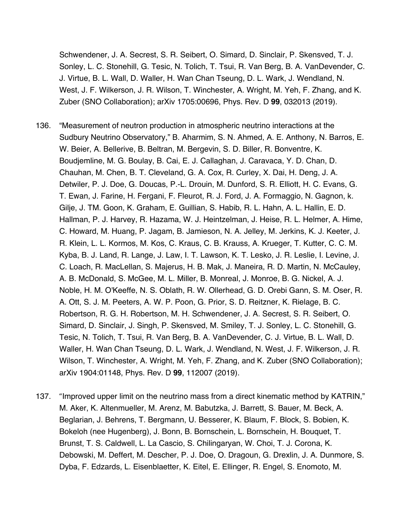Schwendener, J. A. Secrest, S. R. Seibert, O. Simard, D. Sinclair, P. Skensved, T. J. Sonley, L. C. Stonehill, G. Tesic, N. Tolich, T. Tsui, R. Van Berg, B. A. VanDevender, C. J. Virtue, B. L. Wall, D. Waller, H. Wan Chan Tseung, D. L. Wark, J. Wendland, N. West, J. F. Wilkerson, J. R. Wilson, T. Winchester, A. Wright, M. Yeh, F. Zhang, and K. Zuber (SNO Collaboration); arXiv 1705:00696, Phys. Rev. D **99**, 032013 (2019).

- 136. "Measurement of neutron production in atmospheric neutrino interactions at the Sudbury Neutrino Observatory," B. Aharmim, S. N. Ahmed, A. E. Anthony, N. Barros, E. W. Beier, A. Bellerive, B. Beltran, M. Bergevin, S. D. Biller, R. Bonventre, K. Boudjemline, M. G. Boulay, B. Cai, E. J. Callaghan, J. Caravaca, Y. D. Chan, D. Chauhan, M. Chen, B. T. Cleveland, G. A. Cox, R. Curley, X. Dai, H. Deng, J. A. Detwiler, P. J. Doe, G. Doucas, P.-L. Drouin, M. Dunford, S. R. Elliott, H. C. Evans, G. T. Ewan, J. Farine, H. Fergani, F. Fleurot, R. J. Ford, J. A. Formaggio, N. Gagnon, k. Gilje, J. TM. Goon, K. Graham, E. Guillian, S. Habib, R. L. Hahn, A. L. Hallin, E. D. Hallman, P. J. Harvey, R. Hazama, W. J. Heintzelman, J. Heise, R. L. Helmer, A. Hime, C. Howard, M. Huang, P. Jagam, B. Jamieson, N. A. Jelley, M. Jerkins, K. J. Keeter, J. R. Klein, L. L. Kormos, M. Kos, C. Kraus, C. B. Krauss, A. Krueger, T. Kutter, C. C. M. Kyba, B. J. Land, R. Lange, J. Law, I. T. Lawson, K. T. Lesko, J. R. Leslie, I. Levine, J. C. Loach, R. MacLellan, S. Majerus, H. B. Mak, J. Maneira, R. D. Martin, N. McCauley, A. B. McDonald, S. McGee, M. L. Miller, B. Monreal, J. Monroe, B. G. Nickel, A. J. Noble, H. M. O'Keeffe, N. S. Oblath, R. W. Ollerhead, G. D. Orebi Gann, S. M. Oser, R. A. Ott, S. J. M. Peeters, A. W. P. Poon, G. Prior, S. D. Reitzner, K. Rielage, B. C. Robertson, R. G. H. Robertson, M. H. Schwendener, J. A. Secrest, S. R. Seibert, O. Simard, D. Sinclair, J. Singh, P. Skensved, M. Smiley, T. J. Sonley, L. C. Stonehill, G. Tesic, N. Tolich, T. Tsui, R. Van Berg, B. A. VanDevender, C. J. Virtue, B. L. Wall, D. Waller, H. Wan Chan Tseung, D. L. Wark, J. Wendland, N. West, J. F. Wilkerson, J. R. Wilson, T. Winchester, A. Wright, M. Yeh, F. Zhang, and K. Zuber (SNO Collaboration); arXiv 1904:01148, Phys. Rev. D **99**, 112007 (2019).
- 137. "Improved upper limit on the neutrino mass from a direct kinematic method by KATRIN," M. Aker, K. Altenmueller, M. Arenz, M. Babutzka, J. Barrett, S. Bauer, M. Beck, A. Beglarian, J. Behrens, T. Bergmann, U. Besserer, K. Blaum, F. Block, S. Bobien, K. Bokeloh (nee Hugenberg), J. Bonn, B. Bornschein, L. Bornschein, H. Bouquet, T. Brunst, T. S. Caldwell, L. La Cascio, S. Chilingaryan, W. Choi, T. J. Corona, K. Debowski, M. Deffert, M. Descher, P. J. Doe, O. Dragoun, G. Drexlin, J. A. Dunmore, S. Dyba, F. Edzards, L. Eisenblaetter, K. Eitel, E. Ellinger, R. Engel, S. Enomoto, M.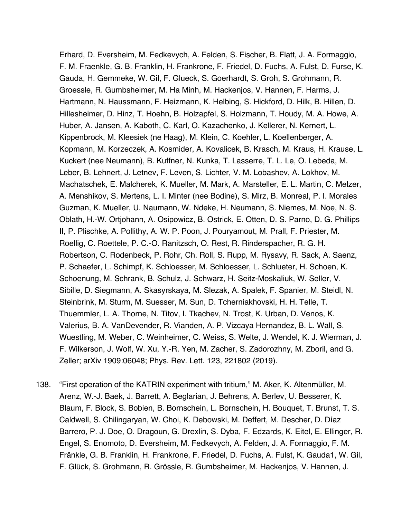Erhard, D. Eversheim, M. Fedkevych, A. Felden, S. Fischer, B. Flatt, J. A. Formaggio, F. M. Fraenkle, G. B. Franklin, H. Frankrone, F. Friedel, D. Fuchs, A. Fulst, D. Furse, K. Gauda, H. Gemmeke, W. Gil, F. Glueck, S. Goerhardt, S. Groh, S. Grohmann, R. Groessle, R. Gumbsheimer, M. Ha Minh, M. Hackenjos, V. Hannen, F. Harms, J. Hartmann, N. Haussmann, F. Heizmann, K. Helbing, S. Hickford, D. Hilk, B. Hillen, D. Hillesheimer, D. Hinz, T. Hoehn, B. Holzapfel, S. Holzmann, T. Houdy, M. A. Howe, A. Huber, A. Jansen, A. Kaboth, C. Karl, O. Kazachenko, J. Kellerer, N. Kernert, L. Kippenbrock, M. Kleesiek (ne Haag), M. Klein, C. Koehler, L. Koellenberger, A. Kopmann, M. Korzeczek, A. Kosmider, A. Kovalicek, B. Krasch, M. Kraus, H. Krause, L. Kuckert (nee Neumann), B. Kuffner, N. Kunka, T. Lasserre, T. L. Le, O. Lebeda, M. Leber, B. Lehnert, J. Letnev, F. Leven, S. Lichter, V. M. Lobashev, A. Lokhov, M. Machatschek, E. Malcherek, K. Mueller, M. Mark, A. Marsteller, E. L. Martin, C. Melzer, A. Menshikov, S. Mertens, L. I. Minter (nee Bodine), S. Mirz, B. Monreal, P. I. Morales Guzman, K. Mueller, U. Naumann, W. Ndeke, H. Neumann, S. Niemes, M. Noe, N. S. Oblath, H.-W. Ortjohann, A. Osipowicz, B. Ostrick, E. Otten, D. S. Parno, D. G. Phillips II, P. Plischke, A. Pollithy, A. W. P. Poon, J. Pouryamout, M. Prall, F. Priester, M. Roellig, C. Roettele, P. C.-O. Ranitzsch, O. Rest, R. Rinderspacher, R. G. H. Robertson, C. Rodenbeck, P. Rohr, Ch. Roll, S. Rupp, M. Rysavy, R. Sack, A. Saenz, P. Schaefer, L. Schimpf, K. Schloesser, M. Schloesser, L. Schlueter, H. Schoen, K. Schoenung, M. Schrank, B. Schulz, J. Schwarz, H. Seitz-Moskaliuk, W. Seller, V. Sibille, D. Siegmann, A. Skasyrskaya, M. Slezak, A. Spalek, F. Spanier, M. Steidl, N. Steinbrink, M. Sturm, M. Suesser, M. Sun, D. Tcherniakhovski, H. H. Telle, T. Thuemmler, L. A. Thorne, N. Titov, I. Tkachev, N. Trost, K. Urban, D. Venos, K. Valerius, B. A. VanDevender, R. Vianden, A. P. Vizcaya Hernandez, B. L. Wall, S. Wuestling, M. Weber, C. Weinheimer, C. Weiss, S. Welte, J. Wendel, K. J. Wierman, J. F. Wilkerson, J. Wolf, W. Xu, Y.-R. Yen, M. Zacher, S. Zadorozhny, M. Zboril, and G. Zeller; arXiv 1909:06048; Phys. Rev. Lett. 123, 221802 (2019).

138. "First operation of the KATRIN experiment with tritium," M. Aker, K. Altenmüller, M. Arenz, W.-J. Baek, J. Barrett, A. Beglarian, J. Behrens, A. Berlev, U. Besserer, K. Blaum, F. Block, S. Bobien, B. Bornschein, L. Bornschein, H. Bouquet, T. Brunst, T. S. Caldwell, S. Chilingaryan, W. Choi, K. Debowski, M. Deffert, M. Descher, D. Díaz Barrero, P. J. Doe, O. Dragoun, G. Drexlin, S. Dyba, F. Edzards, K. Eitel, E. Ellinger, R. Engel, S. Enomoto, D. Eversheim, M. Fedkevych, A. Felden, J. A. Formaggio, F. M. Fränkle, G. B. Franklin, H. Frankrone, F. Friedel, D. Fuchs, A. Fulst, K. Gauda1, W. Gil, F. Glück, S. Grohmann, R. Grössle, R. Gumbsheimer, M. Hackenjos, V. Hannen, J.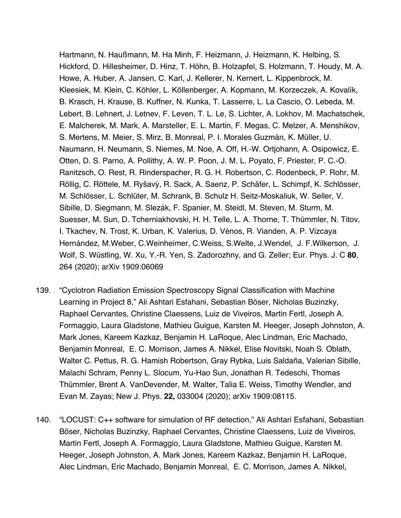Hartmann, N. Haußmann, M. Ha Minh, F. Heizmann, J. Heizmann, K. Helbing, S. Hickford, D. Hillesheimer, D. Hinz, T. Höhn, B. Holzapfel, S. Holzmann, T. Houdy, M. A. Howe, A. Huber, A. Jansen, C. Karl, J. Kellerer, N. Kernert, L. Kippenbrock, M. Kleesiek, M. Klein, C. Köhler, L. Köllenberger, A. Kopmann, M. Korzeczek, A. Kovalík, B. Krasch, H. Krause, B. Kuffner, N. Kunka, T. Lasserre, L. La Cascio, O. Lebeda, M. Lebert, B. Lehnert, J. Letnev, F. Leven, T. L. Le, S. Lichter, A. Lokhov, M. Machatschek, E. Malcherek, M. Mark, A. Marsteller, E. L. Martin, F. Megas, C. Melzer, A. Menshikov, S. Mertens, M. Meier, S. Mirz, B. Monreal, P. I. Morales Guzmán, K. Müller, U. Naumann, H. Neumann, S. Niemes, M. Noe, A. Off, H.-W. Ortjohann, A. Osipowicz, E. Otten, D. S. Parno, A. Pollithy, A. W. P. Poon, J. M. L. Poyato, F. Priester, P. C.-O. Ranitzsch, O. Rest, R. Rinderspacher, R. G. H. Robertson, C. Rodenbeck, P. Rohr, M. Röllig, C. Röttele, M. Ryšavý, R. Sack, A. Saenz, P. Schäfer, L. Schimpf, K. Schlösser, M. Schlösser, L. Schlüter, M. Schrank, B. Schulz H. Seitz-Moskaliuk, W. Seller, V. Sibille, D. Siegmann, M. Slezák, F. Spanier, M. Steidl, M. Steven, M. Sturm, M. Suesser, M. Sun, D. Tcherniakhovski, H. H. Telle, L. A. Thorne, T. Thümmler, N. Titov, I. Tkachev, N. Trost, K. Urban, K. Valerius, D. Vénos, R. Vianden, A. P. Vizcaya Hernández, M.Weber, C.Weinheimer, C.Weiss, S.Welte, J.Wendel, J. F.Wilkerson, J. Wolf, S. Wüstling, W. Xu, Y.-R. Yen, S. Zadorozhny, and G. Zeller; Eur. Phys. J. C 80, 264 (2020); arXiv 1909:06069

- 139. "Cyclotron Radiation Emission Spectroscopy Signal Classification with Machine Learning in Project 8," Ali Ashtari Esfahani, Sebastian Böser, Nicholas Buzinzky, Raphael Cervantes, Christine Claessens, Luiz de Viveiros, Martin Fertl, Joseph A. Formaggio, Laura Gladstone, Mathieu Guigue, Karsten M. Heeger, Joseph Johnston, A. Mark Jones, Kareem Kazkaz, Benjamin H. LaRoque, Alec Lindman, Eric Machado, Benjamin Monreal, E. C. Morrison, James A. Nikkel, Elise Novitski, Noah S. Oblath, Walter C. Pettus, R. G. Hamish Robertson, Gray Rybka, Luis Saldaña, Valerian Sibille, Malachi Schram, Penny L. Slocum, Yu-Hao Sun, Jonathan R. Tedeschi, Thomas Thümmler, Brent A. VanDevender, M. Walter, Talia E. Weiss, Timothy Wendler, and Evan M. Zayas; New J. Phys. **22,** 033004 (2020); arXiv 1909:08115.
- 140. "LOCUST: C++ software for simulation of RF detection," Ali Ashtari Esfahani, Sebastian Böser, Nicholas Buzinzky, Raphael Cervantes, Christine Claessens, Luiz de Viveiros, Martin Fertl, Joseph A. Formaggio, Laura Gladstone, Mathieu Guigue, Karsten M. Heeger, Joseph Johnston, A. Mark Jones, Kareem Kazkaz, Benjamin H. LaRoque, Alec Lindman, Eric Machado, Benjamin Monreal, E. C. Morrison, James A. Nikkel,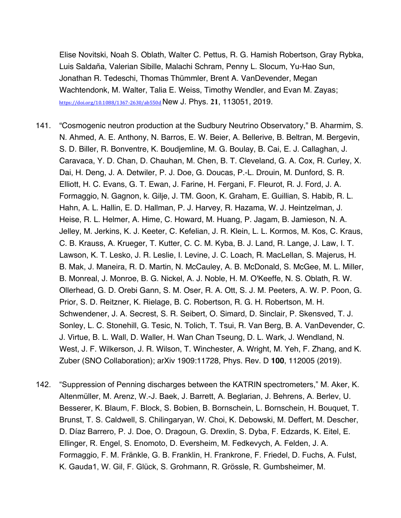Elise Novitski, Noah S. Oblath, Walter C. Pettus, R. G. Hamish Robertson, Gray Rybka, Luis Saldaña, Valerian Sibille, Malachi Schram, Penny L. Slocum, Yu-Hao Sun, Jonathan R. Tedeschi, Thomas Thümmler, Brent A. VanDevender, Megan Wachtendonk, M. Walter, Talia E. Weiss, Timothy Wendler, and Evan M. Zayas; https://doi.org/10.1088/1367-2630/ab550d New J. Phys. **21**, 113051, 2019.

- 141. "Cosmogenic neutron production at the Sudbury Neutrino Observatory," B. Aharmim, S. N. Ahmed, A. E. Anthony, N. Barros, E. W. Beier, A. Bellerive, B. Beltran, M. Bergevin, S. D. Biller, R. Bonventre, K. Boudjemline, M. G. Boulay, B. Cai, E. J. Callaghan, J. Caravaca, Y. D. Chan, D. Chauhan, M. Chen, B. T. Cleveland, G. A. Cox, R. Curley, X. Dai, H. Deng, J. A. Detwiler, P. J. Doe, G. Doucas, P.-L. Drouin, M. Dunford, S. R. Elliott, H. C. Evans, G. T. Ewan, J. Farine, H. Fergani, F. Fleurot, R. J. Ford, J. A. Formaggio, N. Gagnon, k. Gilje, J. TM. Goon, K. Graham, E. Guillian, S. Habib, R. L. Hahn, A. L. Hallin, E. D. Hallman, P. J. Harvey, R. Hazama, W. J. Heintzelman, J. Heise, R. L. Helmer, A. Hime, C. Howard, M. Huang, P. Jagam, B. Jamieson, N. A. Jelley, M. Jerkins, K. J. Keeter, C. Kefelian, J. R. Klein, L. L. Kormos, M. Kos, C. Kraus, C. B. Krauss, A. Krueger, T. Kutter, C. C. M. Kyba, B. J. Land, R. Lange, J. Law, I. T. Lawson, K. T. Lesko, J. R. Leslie, I. Levine, J. C. Loach, R. MacLellan, S. Majerus, H. B. Mak, J. Maneira, R. D. Martin, N. McCauley, A. B. McDonald, S. McGee, M. L. Miller, B. Monreal, J. Monroe, B. G. Nickel, A. J. Noble, H. M. O'Keeffe, N. S. Oblath, R. W. Ollerhead, G. D. Orebi Gann, S. M. Oser, R. A. Ott, S. J. M. Peeters, A. W. P. Poon, G. Prior, S. D. Reitzner, K. Rielage, B. C. Robertson, R. G. H. Robertson, M. H. Schwendener, J. A. Secrest, S. R. Seibert, O. Simard, D. Sinclair, P. Skensved, T. J. Sonley, L. C. Stonehill, G. Tesic, N. Tolich, T. Tsui, R. Van Berg, B. A. VanDevender, C. J. Virtue, B. L. Wall, D. Waller, H. Wan Chan Tseung, D. L. Wark, J. Wendland, N. West, J. F. Wilkerson, J. R. Wilson, T. Winchester, A. Wright, M. Yeh, F. Zhang, and K. Zuber (SNO Collaboration); arXiv 1909:11728, Phys. Rev. D **100**, 112005 (2019).
- 142. "Suppression of Penning discharges between the KATRIN spectrometers," M. Aker, K. Altenmüller, M. Arenz, W.-J. Baek, J. Barrett, A. Beglarian, J. Behrens, A. Berlev, U. Besserer, K. Blaum, F. Block, S. Bobien, B. Bornschein, L. Bornschein, H. Bouquet, T. Brunst, T. S. Caldwell, S. Chilingaryan, W. Choi, K. Debowski, M. Deffert, M. Descher, D. Díaz Barrero, P. J. Doe, O. Dragoun, G. Drexlin, S. Dyba, F. Edzards, K. Eitel, E. Ellinger, R. Engel, S. Enomoto, D. Eversheim, M. Fedkevych, A. Felden, J. A. Formaggio, F. M. Fränkle, G. B. Franklin, H. Frankrone, F. Friedel, D. Fuchs, A. Fulst, K. Gauda1, W. Gil, F. Glück, S. Grohmann, R. Grössle, R. Gumbsheimer, M.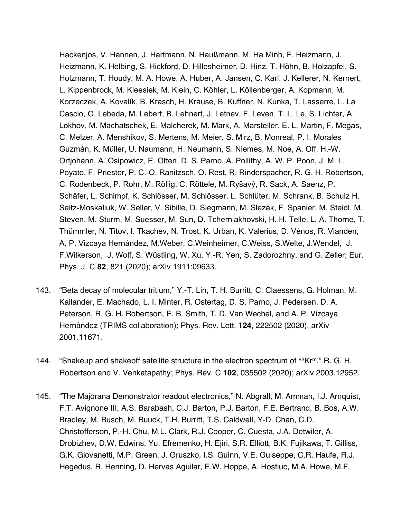Hackenjos, V. Hannen, J. Hartmann, N. Haußmann, M. Ha Minh, F. Heizmann, J. Heizmann, K. Helbing, S. Hickford, D. Hillesheimer, D. Hinz, T. Höhn, B. Holzapfel, S. Holzmann, T. Houdy, M. A. Howe, A. Huber, A. Jansen, C. Karl, J. Kellerer, N. Kernert, L. Kippenbrock, M. Kleesiek, M. Klein, C. Köhler, L. Köllenberger, A. Kopmann, M. Korzeczek, A. Kovalík, B. Krasch, H. Krause, B. Kuffner, N. Kunka, T. Lasserre, L. La Cascio, O. Lebeda, M. Lebert, B. Lehnert, J. Letnev, F. Leven, T. L. Le, S. Lichter, A. Lokhov, M. Machatschek, E. Malcherek, M. Mark, A. Marsteller, E. L. Martin, F. Megas, C. Melzer, A. Menshikov, S. Mertens, M. Meier, S. Mirz, B. Monreal, P. I. Morales Guzmán, K. Müller, U. Naumann, H. Neumann, S. Niemes, M. Noe, A. Off, H.-W. Ortjohann, A. Osipowicz, E. Otten, D. S. Parno, A. Pollithy, A. W. P. Poon, J. M. L. Poyato, F. Priester, P. C.-O. Ranitzsch, O. Rest, R. Rinderspacher, R. G. H. Robertson, C. Rodenbeck, P. Rohr, M. Röllig, C. Röttele, M. Ryšavý, R. Sack, A. Saenz, P. Schäfer, L. Schimpf, K. Schlösser, M. Schlösser, L. Schlüter, M. Schrank, B. Schulz H. Seitz-Moskaliuk, W. Seller, V. Sibille, D. Siegmann, M. Slezák, F. Spanier, M. Steidl, M. Steven, M. Sturm, M. Suesser, M. Sun, D. Tcherniakhovski, H. H. Telle, L. A. Thorne, T. Thümmler, N. Titov, I. Tkachev, N. Trost, K. Urban, K. Valerius, D. Vénos, R. Vianden, A. P. Vizcaya Hernández, M.Weber, C.Weinheimer, C.Weiss, S.Welte, J.Wendel, J. F.Wilkerson, J. Wolf, S. Wüstling, W. Xu, Y.-R. Yen, S. Zadorozhny, and G. Zeller; Eur. Phys. J. C **82**, 821 (2020); arXiv 1911:09633.

- 143. "Beta decay of molecular tritium," Y.-T. Lin, T. H. Burritt, C. Claessens, G. Holman, M. Kallander, E. Machado, L. I. Minter, R. Ostertag, D. S. Parno, J. Pedersen, D. A. Peterson, R. G. H. Robertson, E. B. Smith, T. D. Van Wechel, and A. P. Vizcaya Hernández (TRIMS collaboration); Phys. Rev. Lett. **124**, 222502 (2020), arXiv 2001.11671.
- 144. "Shakeup and shakeoff satellite structure in the electron spectrum of  $83Kr^m$ ," R. G. H. Robertson and V. Venkatapathy; Phys. Rev. C **102**, 035502 (2020); arXiv 2003.12952.
- 145. "The Majorana Demonstrator readout electronics," N. Abgrall, M. Amman, I.J. Arnquist, F.T. Avignone III, A.S. Barabash, C.J. Barton, P.J. Barton, F.E. Bertrand, B. Bos, A.W. Bradley, M. Busch, M. Buuck, T.H. Burritt, T.S. Caldwell, Y-D. Chan, C.D. Christofferson, P.-H. Chu, M.L. Clark, R.J. Cooper, C. Cuesta, J.A. Detwiler, A. Drobizhev, D.W. Edwins, Yu. Efremenko, H. Ejiri, S.R. Elliott, B.K. Fujikawa, T. Gilliss, G.K. Giovanetti, M.P. Green, J. Gruszko, I.S. Guinn, V.E. Guiseppe, C.R. Haufe, R.J. Hegedus, R. Henning, D. Hervas Aguilar, E.W. Hoppe, A. Hostiuc, M.A. Howe, M.F.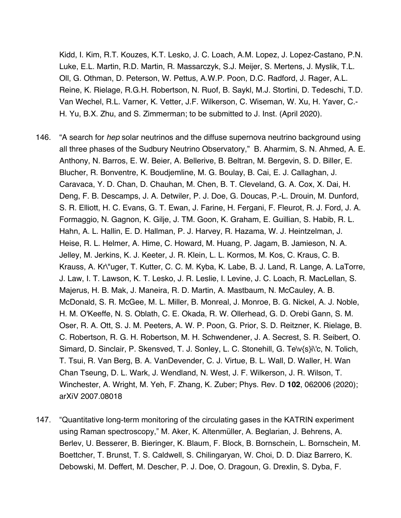Kidd, I. Kim, R.T. Kouzes, K.T. Lesko, J. C. Loach, A.M. Lopez, J. Lopez-Castano, P.N. Luke, E.L. Martin, R.D. Martin, R. Massarczyk, S.J. Meijer, S. Mertens, J. Myslik, T.L. Oll, G. Othman, D. Peterson, W. Pettus, A.W.P. Poon, D.C. Radford, J. Rager, A.L. Reine, K. Rielage, R.G.H. Robertson, N. Ruof, B. Saykl, M.J. Stortini, D. Tedeschi, T.D. Van Wechel, R.L. Varner, K. Vetter, J.F. Wilkerson, C. Wiseman, W. Xu, H. Yaver, C.- H. Yu, B.X. Zhu, and S. Zimmerman; to be submitted to J. Inst. (April 2020).

- 146. "A search for *hep* solar neutrinos and the diffuse supernova neutrino background using all three phases of the Sudbury Neutrino Observatory," B. Aharmim, S. N. Ahmed, A. E. Anthony, N. Barros, E. W. Beier, A. Bellerive, B. Beltran, M. Bergevin, S. D. Biller, E. Blucher, R. Bonventre, K. Boudjemline, M. G. Boulay, B. Cai, E. J. Callaghan, J. Caravaca, Y. D. Chan, D. Chauhan, M. Chen, B. T. Cleveland, G. A. Cox, X. Dai, H. Deng, F. B. Descamps, J. A. Detwiler, P. J. Doe, G. Doucas, P.-L. Drouin, M. Dunford, S. R. Elliott, H. C. Evans, G. T. Ewan, J. Farine, H. Fergani, F. Fleurot, R. J. Ford, J. A. Formaggio, N. Gagnon, K. Gilje, J. TM. Goon, K. Graham, E. Guillian, S. Habib, R. L. Hahn, A. L. Hallin, E. D. Hallman, P. J. Harvey, R. Hazama, W. J. Heintzelman, J. Heise, R. L. Helmer, A. Hime, C. Howard, M. Huang, P. Jagam, B. Jamieson, N. A. Jelley, M. Jerkins, K. J. Keeter, J. R. Klein, L. L. Kormos, M. Kos, C. Kraus, C. B. Krauss, A. Kr\"uger, T. Kutter, C. C. M. Kyba, K. Labe, B. J. Land, R. Lange, A. LaTorre, J. Law, I. T. Lawson, K. T. Lesko, J. R. Leslie, I. Levine, J. C. Loach, R. MacLellan, S. Majerus, H. B. Mak, J. Maneira, R. D. Martin, A. Mastbaum, N. McCauley, A. B. McDonald, S. R. McGee, M. L. Miller, B. Monreal, J. Monroe, B. G. Nickel, A. J. Noble, H. M. O'Keeffe, N. S. Oblath, C. E. Okada, R. W. Ollerhead, G. D. Orebi Gann, S. M. Oser, R. A. Ott, S. J. M. Peeters, A. W. P. Poon, G. Prior, S. D. Reitzner, K. Rielage, B. C. Robertson, R. G. H. Robertson, M. H. Schwendener, J. A. Secrest, S. R. Seibert, O. Simard, D. Sinclair, P. Skensved, T. J. Sonley, L. C. Stonehill, G. Te\v{s}i\'c, N. Tolich, T. Tsui, R. Van Berg, B. A. VanDevender, C. J. Virtue, B. L. Wall, D. Waller, H. Wan Chan Tseung, D. L. Wark, J. Wendland, N. West, J. F. Wilkerson, J. R. Wilson, T. Winchester, A. Wright, M. Yeh, F. Zhang, K. Zuber; Phys. Rev. D **102**, 062006 (2020); arXiV 2007.08018
- 147. "Quantitative long-term monitoring of the circulating gases in the KATRIN experiment using Raman spectroscopy," M. Aker, K. Altenmüller, A. Beglarian, J. Behrens, A. Berlev, U. Besserer, B. Bieringer, K. Blaum, F. Block, B. Bornschein, L. Bornschein, M. Boettcher, T. Brunst, T. S. Caldwell, S. Chilingaryan, W. Choi, D. D. Diaz Barrero, K. Debowski, M. Deffert, M. Descher, P. J. Doe, O. Dragoun, G. Drexlin, S. Dyba, F.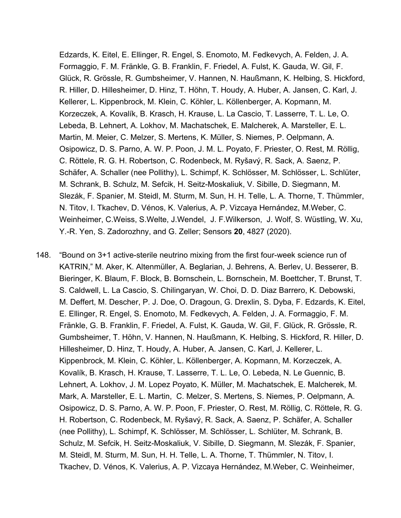Edzards, K. Eitel, E. Ellinger, R. Engel, S. Enomoto, M. Fedkevych, A. Felden, J. A. Formaggio, F. M. Fränkle, G. B. Franklin, F. Friedel, A. Fulst, K. Gauda, W. Gil, F. Glück, R. Grössle, R. Gumbsheimer, V. Hannen, N. Haußmann, K. Helbing, S. Hickford, R. Hiller, D. Hillesheimer, D. Hinz, T. Höhn, T. Houdy, A. Huber, A. Jansen, C. Karl, J. Kellerer, L. Kippenbrock, M. Klein, C. Köhler, L. Köllenberger, A. Kopmann, M. Korzeczek, A. Kovalík, B. Krasch, H. Krause, L. La Cascio, T. Lasserre, T. L. Le, O. Lebeda, B. Lehnert, A. Lokhov, M. Machatschek, E. Malcherek, A. Marsteller, E. L. Martin, M. Meier, C. Melzer, S. Mertens, K. Müller, S. Niemes, P. Oelpmann, A. Osipowicz, D. S. Parno, A. W. P. Poon, J. M. L. Poyato, F. Priester, O. Rest, M. Röllig, C. Röttele, R. G. H. Robertson, C. Rodenbeck, M. Ryšavý, R. Sack, A. Saenz, P. Schäfer, A. Schaller (nee Pollithy), L. Schimpf, K. Schlösser, M. Schlösser, L. Schlüter, M. Schrank, B. Schulz, M. Sefcik, H. Seitz-Moskaliuk, V. Sibille, D. Siegmann, M. Slezák, F. Spanier, M. Steidl, M. Sturm, M. Sun, H. H. Telle, L. A. Thorne, T. Thümmler, N. Titov, I. Tkachev, D. Vénos, K. Valerius, A. P. Vizcaya Hernández, M.Weber, C. Weinheimer, C.Weiss, S.Welte, J.Wendel, J. F.Wilkerson, J. Wolf, S. Wüstling, W. Xu, Y.-R. Yen, S. Zadorozhny, and G. Zeller; Sensors **20**, 4827 (2020).

148. "Bound on 3+1 active-sterile neutrino mixing from the first four-week science run of KATRIN," M. Aker, K. Altenmüller, A. Beglarian, J. Behrens, A. Berlev, U. Besserer, B. Bieringer, K. Blaum, F. Block, B. Bornschein, L. Bornschein, M. Boettcher, T. Brunst, T. S. Caldwell, L. La Cascio, S. Chilingaryan, W. Choi, D. D. Diaz Barrero, K. Debowski, M. Deffert, M. Descher, P. J. Doe, O. Dragoun, G. Drexlin, S. Dyba, F. Edzards, K. Eitel, E. Ellinger, R. Engel, S. Enomoto, M. Fedkevych, A. Felden, J. A. Formaggio, F. M. Fränkle, G. B. Franklin, F. Friedel, A. Fulst, K. Gauda, W. Gil, F. Glück, R. Grössle, R. Gumbsheimer, T. Höhn, V. Hannen, N. Haußmann, K. Helbing, S. Hickford, R. Hiller, D. Hillesheimer, D. Hinz, T. Houdy, A. Huber, A. Jansen, C. Karl, J. Kellerer, L. Kippenbrock, M. Klein, C. Köhler, L. Köllenberger, A. Kopmann, M. Korzeczek, A. Kovalík, B. Krasch, H. Krause, T. Lasserre, T. L. Le, O. Lebeda, N. Le Guennic, B. Lehnert, A. Lokhov, J. M. Lopez Poyato, K. Müller, M. Machatschek, E. Malcherek, M. Mark, A. Marsteller, E. L. Martin, C. Melzer, S. Mertens, S. Niemes, P. Oelpmann, A. Osipowicz, D. S. Parno, A. W. P. Poon, F. Priester, O. Rest, M. Röllig, C. Röttele, R. G. H. Robertson, C. Rodenbeck, M. Ryšavý, R. Sack, A. Saenz, P. Schäfer, A. Schaller (nee Pollithy), L. Schimpf, K. Schlösser, M. Schlösser, L. Schlüter, M. Schrank, B. Schulz, M. Sefcik, H. Seitz-Moskaliuk, V. Sibille, D. Siegmann, M. Slezák, F. Spanier, M. Steidl, M. Sturm, M. Sun, H. H. Telle, L. A. Thorne, T. Thümmler, N. Titov, I. Tkachev, D. Vénos, K. Valerius, A. P. Vizcaya Hernández, M.Weber, C. Weinheimer,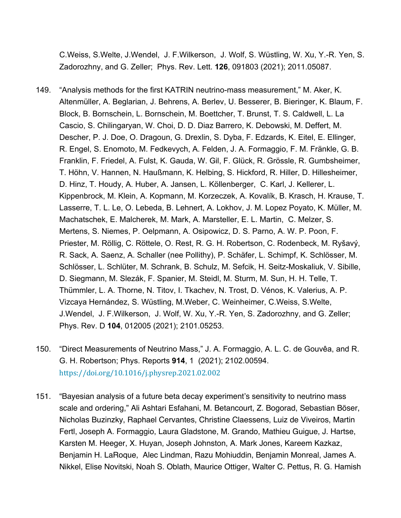C.Weiss, S.Welte, J.Wendel, J. F.Wilkerson, J. Wolf, S. Wüstling, W. Xu, Y.-R. Yen, S. Zadorozhny, and G. Zeller; Phys. Rev. Lett. **126**, 091803 (2021); 2011.05087.

- 149. "Analysis methods for the first KATRIN neutrino-mass measurement," M. Aker, K. Altenmüller, A. Beglarian, J. Behrens, A. Berlev, U. Besserer, B. Bieringer, K. Blaum, F. Block, B. Bornschein, L. Bornschein, M. Boettcher, T. Brunst, T. S. Caldwell, L. La Cascio, S. Chilingaryan, W. Choi, D. D. Diaz Barrero, K. Debowski, M. Deffert, M. Descher, P. J. Doe, O. Dragoun, G. Drexlin, S. Dyba, F. Edzards, K. Eitel, E. Ellinger, R. Engel, S. Enomoto, M. Fedkevych, A. Felden, J. A. Formaggio, F. M. Fränkle, G. B. Franklin, F. Friedel, A. Fulst, K. Gauda, W. Gil, F. Glück, R. Grössle, R. Gumbsheimer, T. Höhn, V. Hannen, N. Haußmann, K. Helbing, S. Hickford, R. Hiller, D. Hillesheimer, D. Hinz, T. Houdy, A. Huber, A. Jansen, L. Köllenberger, C. Karl, J. Kellerer, L. Kippenbrock, M. Klein, A. Kopmann, M. Korzeczek, A. Kovalík, B. Krasch, H. Krause, T. Lasserre, T. L. Le, O. Lebeda, B. Lehnert, A. Lokhov, J. M. Lopez Poyato, K. Müller, M. Machatschek, E. Malcherek, M. Mark, A. Marsteller, E. L. Martin, C. Melzer, S. Mertens, S. Niemes, P. Oelpmann, A. Osipowicz, D. S. Parno, A. W. P. Poon, F. Priester, M. Röllig, C. Röttele, O. Rest, R. G. H. Robertson, C. Rodenbeck, M. Ryšavý, R. Sack, A. Saenz, A. Schaller (nee Pollithy), P. Schäfer, L. Schimpf, K. Schlösser, M. Schlösser, L. Schlüter, M. Schrank, B. Schulz, M. Sefcik, H. Seitz-Moskaliuk, V. Sibille, D. Siegmann, M. Slezák, F. Spanier, M. Steidl, M. Sturm, M. Sun, H. H. Telle, T. Thümmler, L. A. Thorne, N. Titov, I. Tkachev, N. Trost, D. Vénos, K. Valerius, A. P. Vizcaya Hernández, S. Wüstling, M.Weber, C. Weinheimer, C.Weiss, S.Welte, J.Wendel, J. F.Wilkerson, J. Wolf, W. Xu, Y.-R. Yen, S. Zadorozhny, and G. Zeller; Phys. Rev. D **104**, 012005 (2021); 2101.05253.
- 150. "Direct Measurements of Neutrino Mass," J. A. Formaggio, A. L. C. de Gouvêa, and R. G. H. Robertson; Phys. Reports **914**, 1 (2021); 2102.00594. https://doi.org/10.1016/j.physrep.2021.02.002
- 151. "Bayesian analysis of a future beta decay experiment's sensitivity to neutrino mass scale and ordering," Ali Ashtari Esfahani, M. Betancourt, Z. Bogorad, Sebastian Böser, Nicholas Buzinzky, Raphael Cervantes, Christine Claessens, Luiz de Viveiros, Martin Fertl, Joseph A. Formaggio, Laura Gladstone, M. Grando, Mathieu Guigue, J. Hartse, Karsten M. Heeger, X. Huyan, Joseph Johnston, A. Mark Jones, Kareem Kazkaz, Benjamin H. LaRoque, Alec Lindman, Razu Mohiuddin, Benjamin Monreal, James A. Nikkel, Elise Novitski, Noah S. Oblath, Maurice Ottiger, Walter C. Pettus, R. G. Hamish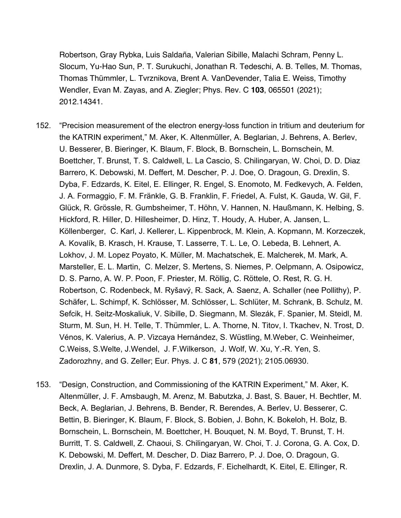Robertson, Gray Rybka, Luis Saldaña, Valerian Sibille, Malachi Schram, Penny L. Slocum, Yu-Hao Sun, P. T. Surukuchi, Jonathan R. Tedeschi, A. B. Telles, M. Thomas, Thomas Thümmler, L. Tvrznikova, Brent A. VanDevender, Talia E. Weiss, Timothy Wendler, Evan M. Zayas, and A. Ziegler; Phys. Rev. C **103**, 065501 (2021); 2012.14341.

- 152. "Precision measurement of the electron energy-loss function in tritium and deuterium for the KATRIN experiment," M. Aker, K. Altenmüller, A. Beglarian, J. Behrens, A. Berlev, U. Besserer, B. Bieringer, K. Blaum, F. Block, B. Bornschein, L. Bornschein, M. Boettcher, T. Brunst, T. S. Caldwell, L. La Cascio, S. Chilingaryan, W. Choi, D. D. Diaz Barrero, K. Debowski, M. Deffert, M. Descher, P. J. Doe, O. Dragoun, G. Drexlin, S. Dyba, F. Edzards, K. Eitel, E. Ellinger, R. Engel, S. Enomoto, M. Fedkevych, A. Felden, J. A. Formaggio, F. M. Fränkle, G. B. Franklin, F. Friedel, A. Fulst, K. Gauda, W. Gil, F. Glück, R. Grössle, R. Gumbsheimer, T. Höhn, V. Hannen, N. Haußmann, K. Helbing, S. Hickford, R. Hiller, D. Hillesheimer, D. Hinz, T. Houdy, A. Huber, A. Jansen, L. Köllenberger, C. Karl, J. Kellerer, L. Kippenbrock, M. Klein, A. Kopmann, M. Korzeczek, A. Kovalík, B. Krasch, H. Krause, T. Lasserre, T. L. Le, O. Lebeda, B. Lehnert, A. Lokhov, J. M. Lopez Poyato, K. Müller, M. Machatschek, E. Malcherek, M. Mark, A. Marsteller, E. L. Martin, C. Melzer, S. Mertens, S. Niemes, P. Oelpmann, A. Osipowicz, D. S. Parno, A. W. P. Poon, F. Priester, M. Röllig, C. Röttele, O. Rest, R. G. H. Robertson, C. Rodenbeck, M. Ryšavý, R. Sack, A. Saenz, A. Schaller (nee Pollithy), P. Schäfer, L. Schimpf, K. Schlösser, M. Schlösser, L. Schlüter, M. Schrank, B. Schulz, M. Sefcik, H. Seitz-Moskaliuk, V. Sibille, D. Siegmann, M. Slezák, F. Spanier, M. Steidl, M. Sturm, M. Sun, H. H. Telle, T. Thümmler, L. A. Thorne, N. Titov, I. Tkachev, N. Trost, D. Vénos, K. Valerius, A. P. Vizcaya Hernández, S. Wüstling, M.Weber, C. Weinheimer, C.Weiss, S.Welte, J.Wendel, J. F.Wilkerson, J. Wolf, W. Xu, Y.-R. Yen, S. Zadorozhny, and G. Zeller; Eur. Phys. J. C **81**, 579 (2021); 2105.06930.
- 153. "Design, Construction, and Commissioning of the KATRIN Experiment," M. Aker, K. Altenmüller, J. F. Amsbaugh, M. Arenz, M. Babutzka, J. Bast, S. Bauer, H. Bechtler, M. Beck, A. Beglarian, J. Behrens, B. Bender, R. Berendes, A. Berlev, U. Besserer, C. Bettin, B. Bieringer, K. Blaum, F. Block, S. Bobien, J. Bohn, K. Bokeloh, H. Bolz, B. Bornschein, L. Bornschein, M. Boettcher, H. Bouquet, N. M. Boyd, T. Brunst, T. H. Burritt, T. S. Caldwell, Z. Chaoui, S. Chilingaryan, W. Choi, T. J. Corona, G. A. Cox, D. K. Debowski, M. Deffert, M. Descher, D. Diaz Barrero, P. J. Doe, O. Dragoun, G. Drexlin, J. A. Dunmore, S. Dyba, F. Edzards, F. Eichelhardt, K. Eitel, E. Ellinger, R.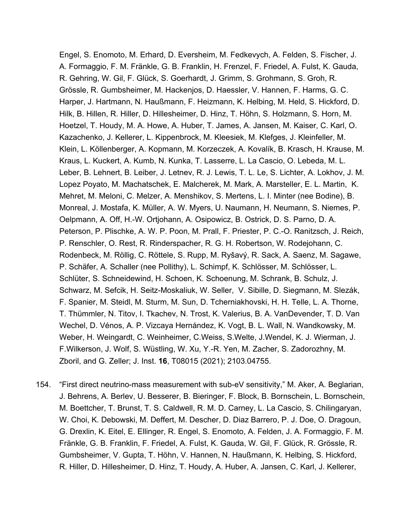Engel, S. Enomoto, M. Erhard, D. Eversheim, M. Fedkevych, A. Felden, S. Fischer, J. A. Formaggio, F. M. Fränkle, G. B. Franklin, H. Frenzel, F. Friedel, A. Fulst, K. Gauda, R. Gehring, W. Gil, F. Glück, S. Goerhardt, J. Grimm, S. Grohmann, S. Groh, R. Grössle, R. Gumbsheimer, M. Hackenjos, D. Haessler, V. Hannen, F. Harms, G. C. Harper, J. Hartmann, N. Haußmann, F. Heizmann, K. Helbing, M. Held, S. Hickford, D. Hilk, B. Hillen, R. Hiller, D. Hillesheimer, D. Hinz, T. Höhn, S. Holzmann, S. Horn, M. Hoetzel, T. Houdy, M. A. Howe, A. Huber, T. James, A. Jansen, M. Kaiser, C. Karl, O. Kazachenko, J. Kellerer, L. Kippenbrock, M. Kleesiek, M. Klefges, J. Kleinfeller, M. Klein, L. Köllenberger, A. Kopmann, M. Korzeczek, A. Kovalík, B. Krasch, H. Krause, M. Kraus, L. Kuckert, A. Kumb, N. Kunka, T. Lasserre, L. La Cascio, O. Lebeda, M. L. Leber, B. Lehnert, B. Leiber, J. Letnev, R. J. Lewis, T. L. Le, S. Lichter, A. Lokhov, J. M. Lopez Poyato, M. Machatschek, E. Malcherek, M. Mark, A. Marsteller, E. L. Martin, K. Mehret, M. Meloni, C. Melzer, A. Menshikov, S. Mertens, L. I. Minter (nee Bodine), B. Monreal, J. Mostafa, K. Müller, A. W. Myers, U. Naumann, H. Neumann, S. Niemes, P. Oelpmann, A. Off, H.-W. Ortjohann, A. Osipowicz, B. Ostrick, D. S. Parno, D. A. Peterson, P. Plischke, A. W. P. Poon, M. Prall, F. Priester, P. C.-O. Ranitzsch, J. Reich, P. Renschler, O. Rest, R. Rinderspacher, R. G. H. Robertson, W. Rodejohann, C. Rodenbeck, M. Röllig, C. Röttele, S. Rupp, M. Ryšavý, R. Sack, A. Saenz, M. Sagawe, P. Schäfer, A. Schaller (nee Pollithy), L. Schimpf, K. Schlösser, M. Schlösser, L. Schlüter, S. Schneidewind, H. Schoen, K. Schoenung, M. Schrank, B. Schulz, J. Schwarz, M. Sefcik, H. Seitz-Moskaliuk, W. Seller, V. Sibille, D. Siegmann, M. Slezák, F. Spanier, M. Steidl, M. Sturm, M. Sun, D. Tcherniakhovski, H. H. Telle, L. A. Thorne, T. Thümmler, N. Titov, I. Tkachev, N. Trost, K. Valerius, B. A. VanDevender, T. D. Van Wechel, D. Vénos, A. P. Vizcaya Hernández, K. Vogt, B. L. Wall, N. Wandkowsky, M. Weber, H. Weingardt, C. Weinheimer, C.Weiss, S.Welte, J.Wendel, K. J. Wierman, J. F.Wilkerson, J. Wolf, S. Wüstling, W. Xu, Y.-R. Yen, M. Zacher, S. Zadorozhny, M. Zboril, and G. Zeller; J. Inst. **16**, T08015 (2021); 2103.04755.

154. "First direct neutrino-mass measurement with sub-eV sensitivity," M. Aker, A. Beglarian, J. Behrens, A. Berlev, U. Besserer, B. Bieringer, F. Block, B. Bornschein, L. Bornschein, M. Boettcher, T. Brunst, T. S. Caldwell, R. M. D. Carney, L. La Cascio, S. Chilingaryan, W. Choi, K. Debowski, M. Deffert, M. Descher, D. Diaz Barrero, P. J. Doe, O. Dragoun, G. Drexlin, K. Eitel, E. Ellinger, R. Engel, S. Enomoto, A. Felden, J. A. Formaggio, F. M. Fränkle, G. B. Franklin, F. Friedel, A. Fulst, K. Gauda, W. Gil, F. Glück, R. Grössle, R. Gumbsheimer, V. Gupta, T. Höhn, V. Hannen, N. Haußmann, K. Helbing, S. Hickford, R. Hiller, D. Hillesheimer, D. Hinz, T. Houdy, A. Huber, A. Jansen, C. Karl, J. Kellerer,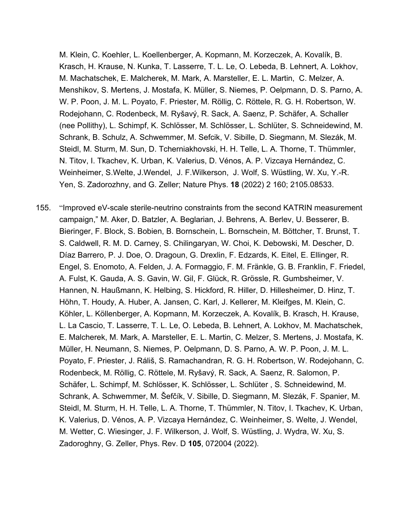M. Klein, C. Koehler, L. Koellenberger, A. Kopmann, M. Korzeczek, A. Kovalík, B. Krasch, H. Krause, N. Kunka, T. Lasserre, T. L. Le, O. Lebeda, B. Lehnert, A. Lokhov, M. Machatschek, E. Malcherek, M. Mark, A. Marsteller, E. L. Martin, C. Melzer, A. Menshikov, S. Mertens, J. Mostafa, K. Müller, S. Niemes, P. Oelpmann, D. S. Parno, A. W. P. Poon, J. M. L. Poyato, F. Priester, M. Röllig, C. Röttele, R. G. H. Robertson, W. Rodejohann, C. Rodenbeck, M. Ryšavý, R. Sack, A. Saenz, P. Schäfer, A. Schaller (nee Pollithy), L. Schimpf, K. Schlösser, M. Schlösser, L. Schlüter, S. Schneidewind, M. Schrank, B. Schulz, A. Schwemmer, M. Sefcik, V. Sibille, D. Siegmann, M. Slezák, M. Steidl, M. Sturm, M. Sun, D. Tcherniakhovski, H. H. Telle, L. A. Thorne, T. Thümmler, N. Titov, I. Tkachev, K. Urban, K. Valerius, D. Vénos, A. P. Vizcaya Hernández, C. Weinheimer, S.Welte, J.Wendel, J. F.Wilkerson, J. Wolf, S. Wüstling, W. Xu, Y.-R. Yen, S. Zadorozhny, and G. Zeller; Nature Phys. **18** (2022) 2 160; 2105.08533.

155. "Improved eV-scale sterile-neutrino constraints from the second KATRIN measurement campaign," M. Aker, D. Batzler, A. Beglarian, J. Behrens, A. Berlev, U. Besserer, B. Bieringer, F. Block, S. Bobien, B. Bornschein, L. Bornschein, M. Böttcher, T. Brunst, T. S. Caldwell, R. M. D. Carney, S. Chilingaryan, W. Choi, K. Debowski, M. Descher, D. Díaz Barrero, P. J. Doe, O. Dragoun, G. Drexlin, F. Edzards, K. Eitel, E. Ellinger, R. Engel, S. Enomoto, A. Felden, J. A. Formaggio, F. M. Fränkle, G. B. Franklin, F. Friedel, A. Fulst, K. Gauda, A. S. Gavin, W. Gil, F. Glück, R. Grössle, R. Gumbsheimer, V. Hannen, N. Haußmann, K. Helbing, S. Hickford, R. Hiller, D. Hillesheimer, D. Hinz, T. Höhn, T. Houdy, A. Huber, A. Jansen, C. Karl, J. Kellerer, M. Kleifges, M. Klein, C. Köhler, L. Köllenberger, A. Kopmann, M. Korzeczek, A. Kovalík, B. Krasch, H. Krause, L. La Cascio, T. Lasserre, T. L. Le, O. Lebeda, B. Lehnert, A. Lokhov, M. Machatschek, E. Malcherek, M. Mark, A. Marsteller, E. L. Martin, C. Melzer, S. Mertens, J. Mostafa, K. Müller, H. Neumann, S. Niemes, P. Oelpmann, D. S. Parno, A. W. P. Poon, J. M. L. Poyato, F. Priester, J. Ráliš, S. Ramachandran, R. G. H. Robertson, W. Rodejohann, C. Rodenbeck, M. Röllig, C. Röttele, M. Ryšavý, R. Sack, A. Saenz, R. Salomon, P. Schäfer, L. Schimpf, M. Schlösser, K. Schlösser, L. Schlüter , S. Schneidewind, M. Schrank, A. Schwemmer, M. Šefčík, V. Sibille, D. Siegmann, M. Slezák, F. Spanier, M. Steidl, M. Sturm, H. H. Telle, L. A. Thorne, T. Thümmler, N. Titov, I. Tkachev, K. Urban, K. Valerius, D. Vénos, A. P. Vizcaya Hernández, C. Weinheimer, S. Welte, J. Wendel, M. Wetter, C. Wiesinger, J. F. Wilkerson, J. Wolf, S. Wüstling, J. Wydra, W. Xu, S. Zadoroghny, G. Zeller, Phys. Rev. D **105**, 072004 (2022).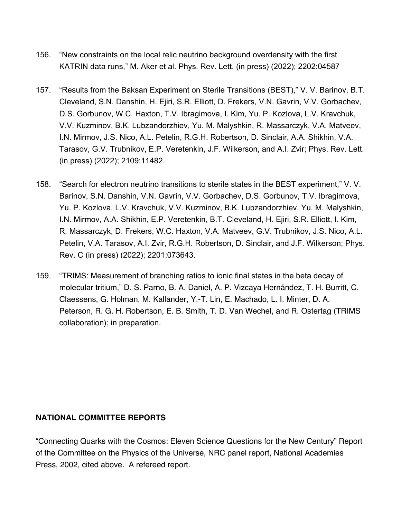- 156. "New constraints on the local relic neutrino background overdensity with the first KATRIN data runs," M. Aker et al. Phys. Rev. Lett. (in press) (2022); 2202:04587
- 157. "Results from the Baksan Experiment on Sterile Transitions (BEST)," V. V. Barinov, B.T. Cleveland, S.N. Danshin, H. Ejiri, S.R. Elliott, D. Frekers, V.N. Gavrin, V.V. Gorbachev, D.S. Gorbunov, W.C. Haxton, T.V. Ibragimova, I. Kim, Yu. P. Kozlova, L.V. Kravchuk, V.V. Kuzminov, B.K. Lubzandorzhiev, Yu. M. Malyshkin, R. Massarczyk, V.A. Matveev, I.N. Mirmov, J.S. Nico, A.L. Petelin, R.G.H. Robertson, D. Sinclair, A.A. Shikhin, V.A. Tarasov, G.V. Trubnikov, E.P. Veretenkin, J.F. Wilkerson, and A.I. Zvir; Phys. Rev. Lett. (in press) (2022); 2109:11482.
- 158. "Search for electron neutrino transitions to sterile states in the BEST experiment," V. V. Barinov, S.N. Danshin, V.N. Gavrin, V.V. Gorbachev, D.S. Gorbunov, T.V. Ibragimova, Yu. P. Kozlova, L.V. Kravchuk, V.V. Kuzminov, B.K. Lubzandorzhiev, Yu. M. Malyshkin, I.N. Mirmov, A.A. Shikhin, E.P. Veretenkin, B.T. Cleveland, H. Ejiri, S.R. Elliott, I. Kim, R. Massarczyk, D. Frekers, W.C. Haxton, V.A. Matveev, G.V. Trubnikov, J.S. Nico, A.L. Petelin, V.A. Tarasov, A.I. Zvir, R.G.H. Robertson, D. Sinclair, and J.F. Wilkerson; Phys. Rev. C (in press) (2022); 2201:073643.
- 159. "TRIMS: Measurement of branching ratios to ionic final states in the beta decay of molecular tritium," D. S. Parno, B. A. Daniel, A. P. Vizcaya Hernández, T. H. Burritt, C. Claessens, G. Holman, M. Kallander, Y.-T. Lin, E. Machado, L. I. Minter, D. A. Peterson, R. G. H. Robertson, E. B. Smith, T. D. Van Wechel, and R. Ostertag (TRIMS collaboration); in preparation.

## **NATIONAL COMMITTEE REPORTS**

"Connecting Quarks with the Cosmos: Eleven Science Questions for the New Century" Report of the Committee on the Physics of the Universe, NRC panel report, National Academies Press, 2002, cited above. A refereed report.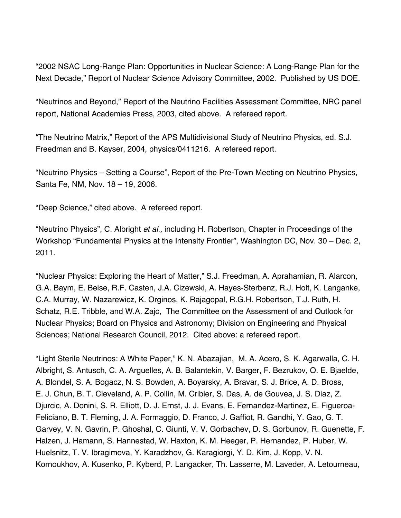"2002 NSAC Long-Range Plan: Opportunities in Nuclear Science: A Long-Range Plan for the Next Decade," Report of Nuclear Science Advisory Committee, 2002. Published by US DOE.

"Neutrinos and Beyond," Report of the Neutrino Facilities Assessment Committee, NRC panel report, National Academies Press, 2003, cited above. A refereed report.

"The Neutrino Matrix," Report of the APS Multidivisional Study of Neutrino Physics, ed. S.J. Freedman and B. Kayser, 2004, physics/0411216. A refereed report.

"Neutrino Physics – Setting a Course", Report of the Pre-Town Meeting on Neutrino Physics, Santa Fe, NM, Nov. 18 – 19, 2006.

"Deep Science," cited above. A refereed report.

"Neutrino Physics", C. Albright *et al.,* including H. Robertson, Chapter in Proceedings of the Workshop "Fundamental Physics at the Intensity Frontier", Washington DC, Nov. 30 – Dec. 2, 2011.

"Nuclear Physics: Exploring the Heart of Matter," S.J. Freedman, A. Aprahamian, R. Alarcon, G.A. Baym, E. Beise, R.F. Casten, J.A. Cizewski, A. Hayes-Sterbenz, R.J. Holt, K. Langanke, C.A. Murray, W. Nazarewicz, K. Orginos, K. Rajagopal, R.G.H. Robertson, T.J. Ruth, H. Schatz, R.E. Tribble, and W.A. Zajc, The Committee on the Assessment of and Outlook for Nuclear Physics; Board on Physics and Astronomy; Division on Engineering and Physical Sciences; National Research Council, 2012. Cited above: a refereed report.

"Light Sterile Neutrinos: A White Paper," K. N. Abazajian, M. A. Acero, S. K. Agarwalla, C. H. Albright, S. Antusch, C. A. Arguelles, A. B. Balantekin, V. Barger, F. Bezrukov, O. E. Bjaelde, A. Blondel, S. A. Bogacz, N. S. Bowden, A. Boyarsky, A. Bravar, S. J. Brice, A. D. Bross, E. J. Chun, B. T. Cleveland, A. P. Collin, M. Cribier, S. Das, A. de Gouvea, J. S. Diaz, Z. Djurcic, A. Donini, S. R. Elliott, D. J. Ernst, J. J. Evans, E. Fernandez-Martinez, E. Figueroa-Feliciano, B. T. Fleming, J. A. Formaggio, D. Franco, J. Gaffiot, R. Gandhi, Y. Gao, G. T. Garvey, V. N. Gavrin, P. Ghoshal, C. Giunti, V. V. Gorbachev, D. S. Gorbunov, R. Guenette, F. Halzen, J. Hamann, S. Hannestad, W. Haxton, K. M. Heeger, P. Hernandez, P. Huber, W. Huelsnitz, T. V. Ibragimova, Y. Karadzhov, G. Karagiorgi, Y. D. Kim, J. Kopp, V. N. Kornoukhov, A. Kusenko, P. Kyberd, P. Langacker, Th. Lasserre, M. Laveder, A. Letourneau,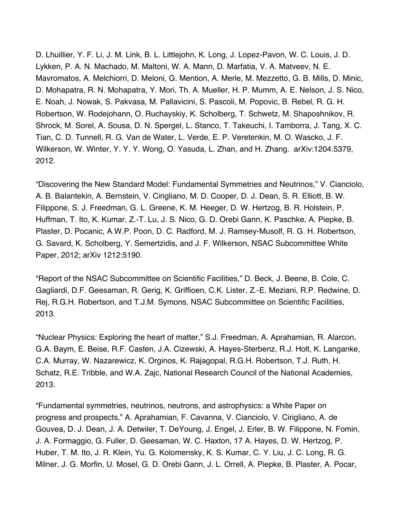D. Lhuillier, Y. F. Li, J. M. Link, B. L. Littlejohn, K. Long, J. Lopez-Pavon, W. C. Louis, J. D. Lykken, P. A. N. Machado, M. Maltoni, W. A. Mann, D. Marfatia, V. A. Matveev, N. E. Mavromatos, A. Melchiorri, D. Meloni, G. Mention, A. Merle, M. Mezzetto, G. B. Mills, D. Minic, D. Mohapatra, R. N. Mohapatra, Y. Mori, Th. A. Mueller, H. P. Mumm, A. E. Nelson, J. S. Nico, E. Noah, J. Nowak, S. Pakvasa, M. Pallavicini, S. Pascoli, M. Popovic, B. Rebel, R. G. H. Robertson, W. Rodejohann, O. Ruchayskiy, K. Scholberg, T. Schwetz, M. Shaposhnikov, R. Shrock, M. Sorel, A. Sousa, D. N. Spergel, L. Stanco, T. Takeuchi, I. Tamborra, J. Tang, X. C. Tian, C. D. Tunnell, R. G. Van de Water, L. Verde, E. P. Veretenkin, M. O. Wascko, J. F. Wilkerson, W. Winter, Y. Y. Y. Wong, O. Yasuda, L. Zhan, and H. Zhang. arXiv:1204.5379, 2012.

"Discovering the New Standard Model: Fundamental Symmetries and Neutrinos," V. Cianciolo, A. B. Balantekin, A. Bernstein, V. Cirigliano, M. D. Cooper, D. J. Dean, S. R. Elliott, B. W. Filippone, S. J. Freedman, G. L. Greene, K. M. Heeger, D. W. Hertzog, B. R. Holstein, P. Huffman, T. Ito, K. Kumar, Z.-T. Lu, J. S. Nico, G. D. Orebi Gann, K. Paschke, A. Piepke, B. Plaster, D. Pocanic, A.W.P. Poon, D. C. Radford, M. J. Ramsey-Musolf, R. G. H. Robertson, G. Savard, K. Scholberg, Y. Semertzidis, and J. F. Wilkerson, NSAC Subcommittee White Paper, 2012; arXiv 1212:5190.

"Report of the NSAC Subcommittee on Scientific Facilities," D. Beck, J. Beene, B. Cole, C. Gagliardi, D.F. Geesaman, R. Gerig, K. Griffioen, C.K. Lister, Z.-E. Meziani, R.P. Redwine, D. Rej, R.G.H. Robertson, and T.J.M. Symons, NSAC Subcommittee on Scientific Facilities, 2013.

"Nuclear Physics: Exploring the heart of matter," S.J. Freedman, A. Aprahamian, R. Alarcon, G.A. Baym, E. Beise, R.F. Casten, J.A. Cizewski, A. Hayes-Sterbenz, R.J. Holt, K. Langanke, C.A. Murray, W. Nazarewicz, K. Orginos, K. Rajagopal, R.G.H. Robertson, T.J. Ruth, H. Schatz, R.E. Tribble, and W.A. Zajc, National Research Council of the National Academies, 2013.

"Fundamental symmetries, neutrinos, neutrons, and astrophysics: a White Paper on progress and prospects," A. Aprahamian, F. Cavanna, V. Cianciolo, V. Cirigliano, A. de Gouvea, D. J. Dean, J. A. Detwiler, T. DeYoung, J. Engel, J. Erler, B. W. Filippone, N. Fomin, J. A. Formaggio, G. Fuller, D. Geesaman, W. C. Haxton, 17 A. Hayes, D. W. Hertzog, P. Huber, T. M. Ito, J. R. Klein, Yu. G. Kolomensky, K. S. Kumar, C. Y. Liu, J. C. Long, R. G. Milner, J. G. Morfin, U. Mosel, G. D. Orebi Gann, J. L. Orrell, A. Piepke, B. Plaster, A. Pocar,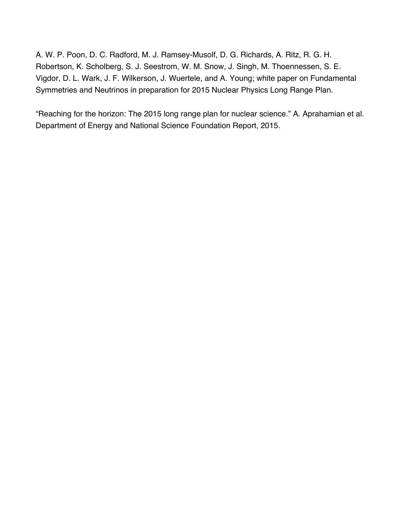A. W. P. Poon, D. C. Radford, M. J. Ramsey-Musolf, D. G. Richards, A. Ritz, R. G. H. Robertson, K. Scholberg, S. J. Seestrom, W. M. Snow, J. Singh, M. Thoennessen, S. E. Vigdor, D. L. Wark, J. F. Wilkerson, J. Wuertele, and A. Young; white paper on Fundamental Symmetries and Neutrinos in preparation for 2015 Nuclear Physics Long Range Plan.

"Reaching for the horizon: The 2015 long range plan for nuclear science." A. Aprahamian et al. Department of Energy and National Science Foundation Report, 2015.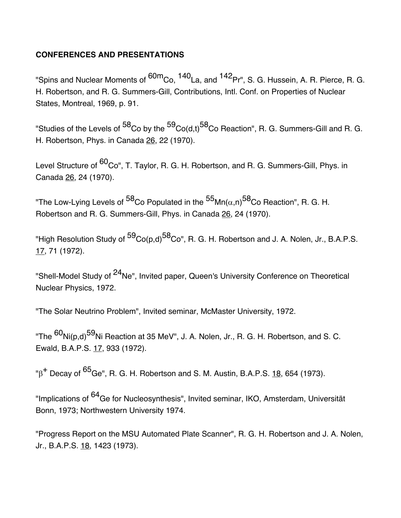## **CONFERENCES AND PRESENTATIONS**

"Spins and Nuclear Moments of <sup>60m</sup>Co, <sup>140</sup>La, and <sup>142</sup>Pr", S. G. Hussein, A. R. Pierce, R. G. H. Robertson, and R. G. Summers-Gill, Contributions, Intl. Conf. on Properties of Nuclear States, Montreal, 1969, p. 91.

"Studies of the Levels of  $^{58}$ Co by the  $^{59}$ Co(d,t)<sup>58</sup>Co Reaction", R. G. Summers-Gill and R. G. H. Robertson, Phys. in Canada 26, 22 (1970).

Level Structure of <sup>60</sup>Co", T. Taylor, R. G. H. Robertson, and R. G. Summers-Gill, Phys. in Canada 26, 24 (1970).

"The Low-Lying Levels of <sup>58</sup>Co Populated in the <sup>55</sup>Mn( $\alpha$ ,n)<sup>58</sup>Co Reaction", R. G. H. Robertson and R. G. Summers-Gill, Phys. in Canada 26, 24 (1970).

"High Resolution Study of <sup>59</sup>Co(p,d)<sup>58</sup>Co", R. G. H. Robertson and J. A. Nolen, Jr., B.A.P.S. 17, 71 (1972).

"Shell-Model Study of <sup>24</sup>Ne", Invited paper, Queen's University Conference on Theoretical Nuclear Physics, 1972.

"The Solar Neutrino Problem", Invited seminar, McMaster University, 1972.

"The <sup>60</sup>Ni(p,d)<sup>59</sup>Ni Reaction at 35 MeV", J. A. Nolen, Jr., R. G. H. Robertson, and S. C. Ewald, B.A.P.S. 17, 933 (1972).

 $B^+$  Decay of  ${}^{65}$ Ge", R. G. H. Robertson and S. M. Austin, B.A.P.S. 18, 654 (1973).

"Implications of <sup>64</sup>Ge for Nucleosynthesis", Invited seminar, IKO, Amsterdam, Universität Bonn, 1973; Northwestern University 1974.

"Progress Report on the MSU Automated Plate Scanner", R. G. H. Robertson and J. A. Nolen, Jr., B.A.P.S. 18, 1423 (1973).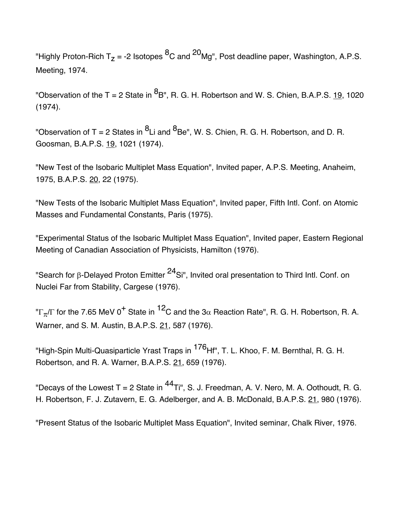"Highly Proton-Rich T<sub>z</sub> = -2 Isotopes <sup>8</sup>C and <sup>20</sup>Mg", Post deadline paper, Washington, A.P.S. Meeting, 1974.

"Observation of the T = 2 State in  ${}^{8}$ B", R. G. H. Robertson and W. S. Chien, B.A.P.S. 19, 1020 (1974).

"Observation of T = 2 States in  ${}^{8}$ Li and  ${}^{8}$ Be", W. S. Chien, R. G. H. Robertson, and D. R. Goosman, B.A.P.S. 19, 1021 (1974).

"New Test of the Isobaric Multiplet Mass Equation", Invited paper, A.P.S. Meeting, Anaheim, 1975, B.A.P.S. 20, 22 (1975).

"New Tests of the Isobaric Multiplet Mass Equation", Invited paper, Fifth Intl. Conf. on Atomic Masses and Fundamental Constants, Paris (1975).

"Experimental Status of the Isobaric Multiplet Mass Equation", Invited paper, Eastern Regional Meeting of Canadian Association of Physicists, Hamilton (1976).

"Search for B-Delayed Proton Emitter <sup>24</sup>Si", Invited oral presentation to Third Intl. Conf. on Nuclei Far from Stability, Cargese (1976).

" $\Gamma_{\pi}/\Gamma$  for the 7.65 MeV 0<sup>+</sup> State in <sup>12</sup>C and the 3 $\alpha$  Reaction Rate", R. G. H. Robertson, R. A. Warner, and S. M. Austin, B.A.P.S. 21, 587 (1976).

"High-Spin Multi-Quasiparticle Yrast Traps in <sup>176</sup>Hf", T. L. Khoo, F. M. Bernthal, R. G. H. Robertson, and R. A. Warner, B.A.P.S. 21, 659 (1976).

"Decays of the Lowest T = 2 State in  $^{44}$ Ti", S. J. Freedman, A. V. Nero, M. A. Oothoudt, R. G. H. Robertson, F. J. Zutavern, E. G. Adelberger, and A. B. McDonald, B.A.P.S. 21, 980 (1976).

"Present Status of the Isobaric Multiplet Mass Equation", Invited seminar, Chalk River, 1976.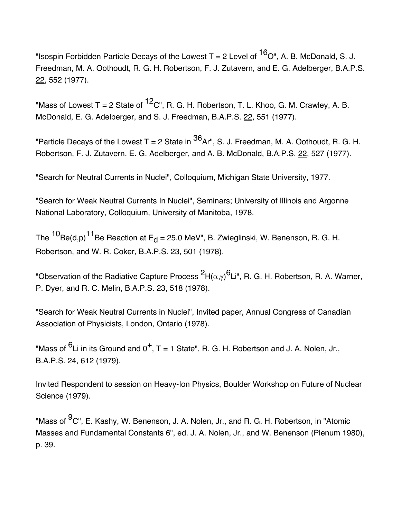"Isospin Forbidden Particle Decays of the Lowest T = 2 Level of  ${}^{16}O''$ . A. B. McDonald, S. J. Freedman, M. A. Oothoudt, R. G. H. Robertson, F. J. Zutavern, and E. G. Adelberger, B.A.P.S. 22, 552 (1977).

"Mass of Lowest T = 2 State of  ${}^{12}C$ ", R. G. H. Robertson, T. L. Khoo, G. M. Crawley, A. B. McDonald, E. G. Adelberger, and S. J. Freedman, B.A.P.S. 22, 551 (1977).

"Particle Decays of the Lowest T = 2 State in  ${}^{36}$ Ar", S. J. Freedman, M. A. Oothoudt, R. G. H. Robertson, F. J. Zutavern, E. G. Adelberger, and A. B. McDonald, B.A.P.S. 22, 527 (1977).

"Search for Neutral Currents in Nuclei", Colloquium, Michigan State University, 1977.

"Search for Weak Neutral Currents In Nuclei", Seminars; University of Illinois and Argonne National Laboratory, Colloquium, University of Manitoba, 1978.

The  ${}^{10}$ Be(d,p)<sup>11</sup>Be Reaction at E<sub>d</sub> = 25.0 MeV", B. Zwieglinski, W. Benenson, R. G. H. Robertson, and W. R. Coker, B.A.P.S. 23, 501 (1978).

"Observation of the Radiative Capture Process  ${}^2H(\alpha,\gamma)^6$ Li", R. G. H. Robertson, R. A. Warner, P. Dver, and R. C. Melin, B.A.P.S. 23, 518 (1978).

"Search for Weak Neutral Currents in Nuclei", Invited paper, Annual Congress of Canadian Association of Physicists, London, Ontario (1978).

"Mass of  ${}^{6}$ Li in its Ground and 0<sup>+</sup>, T = 1 State", R. G. H. Robertson and J. A. Nolen, Jr., B.A.P.S. 24, 612 (1979).

Invited Respondent to session on Heavy-Ion Physics, Boulder Workshop on Future of Nuclear Science (1979).

"Mass of <sup>9</sup>C", E. Kashy, W. Benenson, J. A. Nolen, Jr., and R. G. H. Robertson, in "Atomic Masses and Fundamental Constants 6", ed. J. A. Nolen, Jr., and W. Benenson (Plenum 1980), p. 39.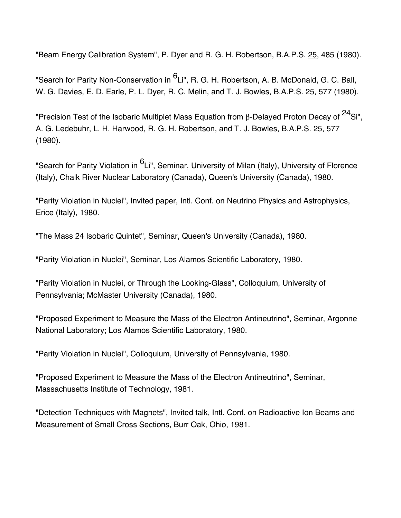"Beam Energy Calibration System", P. Dyer and R. G. H. Robertson, B.A.P.S. 25, 485 (1980).

"Search for Parity Non-Conservation in <sup>6</sup>Li", R. G. H. Robertson, A. B. McDonald, G. C. Ball, W. G. Davies, E. D. Earle, P. L. Dyer, R. C. Melin, and T. J. Bowles, B.A.P.S. 25, 577 (1980).

"Precision Test of the Isobaric Multiplet Mass Equation from  $\beta$ -Delayed Proton Decay of <sup>24</sup>Si", A. G. Ledebuhr, L. H. Harwood, R. G. H. Robertson, and T. J. Bowles, B.A.P.S. 25, 577 (1980).

"Search for Parity Violation in <sup>6</sup>Li", Seminar, University of Milan (Italy), University of Florence (Italy), Chalk River Nuclear Laboratory (Canada), Queen's University (Canada), 1980.

"Parity Violation in Nuclei", Invited paper, Intl. Conf. on Neutrino Physics and Astrophysics, Erice (Italy), 1980.

"The Mass 24 Isobaric Quintet", Seminar, Queen's University (Canada), 1980.

"Parity Violation in Nuclei", Seminar, Los Alamos Scientific Laboratory, 1980.

"Parity Violation in Nuclei, or Through the Looking-Glass", Colloquium, University of Pennsylvania; McMaster University (Canada), 1980.

"Proposed Experiment to Measure the Mass of the Electron Antineutrino", Seminar, Argonne National Laboratory; Los Alamos Scientific Laboratory, 1980.

"Parity Violation in Nuclei", Colloquium, University of Pennsylvania, 1980.

"Proposed Experiment to Measure the Mass of the Electron Antineutrino", Seminar, Massachusetts Institute of Technology, 1981.

"Detection Techniques with Magnets", Invited talk, Intl. Conf. on Radioactive Ion Beams and Measurement of Small Cross Sections, Burr Oak, Ohio, 1981.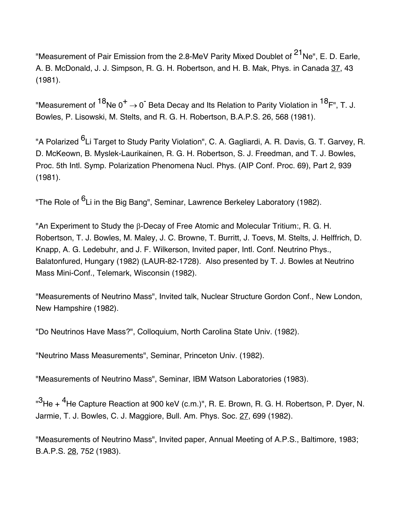"Measurement of Pair Emission from the 2.8-MeV Parity Mixed Doublet of <sup>21</sup>Ne", E. D. Earle, A. B. McDonald, J. J. Simpson, R. G. H. Robertson, and H. B. Mak, Phys. in Canada 37, 43 (1981).

"Measurement of  $^{18}$ Ne 0<sup>+</sup>  $\rightarrow$  0<sup>-</sup> Beta Decay and Its Relation to Parity Violation in  $^{18}$ F", T. J. Bowles, P. Lisowski, M. Stelts, and R. G. H. Robertson, B.A.P.S. 26, 568 (1981).

"A Polarized <sup>6</sup>Li Target to Study Parity Violation", C. A. Gagliardi, A. R. Davis, G. T. Garvey, R. D. McKeown, B. Myslek-Laurikainen, R. G. H. Robertson, S. J. Freedman, and T. J. Bowles, Proc. 5th Intl. Symp. Polarization Phenomena Nucl. Phys. (AIP Conf. Proc. 69), Part 2, 939 (1981).

"The Role of <sup>6</sup>Li in the Big Bang", Seminar, Lawrence Berkeley Laboratory (1982).

"An Experiment to Study the B-Decay of Free Atomic and Molecular Tritium:, R. G. H. Robertson, T. J. Bowles, M. Maley, J. C. Browne, T. Burritt, J. Toevs, M. Stelts, J. Helffrich, D. Knapp, A. G. Ledebuhr, and J. F. Wilkerson, Invited paper, Intl. Conf. Neutrino Phys., Balatonfured, Hungary (1982) (LAUR-82-1728). Also presented by T. J. Bowles at Neutrino Mass Mini-Conf., Telemark, Wisconsin (1982).

"Measurements of Neutrino Mass", Invited talk, Nuclear Structure Gordon Conf., New London, New Hampshire (1982).

"Do Neutrinos Have Mass?", Colloquium, North Carolina State Univ. (1982).

"Neutrino Mass Measurements", Seminar, Princeton Univ. (1982).

"Measurements of Neutrino Mass", Seminar, IBM Watson Laboratories (1983).

"<sup>3</sup>He + <sup>4</sup>He Capture Reaction at 900 keV (c.m.)", R. E. Brown, R. G. H. Robertson, P. Dyer, N. Jarmie, T. J. Bowles, C. J. Maggiore, Bull. Am. Phys. Soc. 27, 699 (1982).

"Measurements of Neutrino Mass", Invited paper, Annual Meeting of A.P.S., Baltimore, 1983; B.A.P.S. 28, 752 (1983).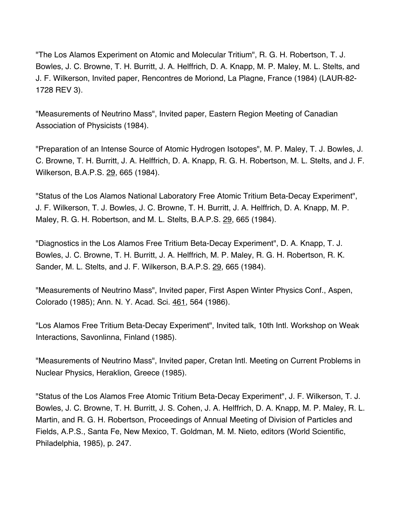"The Los Alamos Experiment on Atomic and Molecular Tritium", R. G. H. Robertson, T. J. Bowles, J. C. Browne, T. H. Burritt, J. A. Helffrich, D. A. Knapp, M. P. Maley, M. L. Stelts, and J. F. Wilkerson, Invited paper, Rencontres de Moriond, La Plagne, France (1984) (LAUR-82- 1728 REV 3).

"Measurements of Neutrino Mass", Invited paper, Eastern Region Meeting of Canadian Association of Physicists (1984).

"Preparation of an Intense Source of Atomic Hydrogen Isotopes", M. P. Maley, T. J. Bowles, J. C. Browne, T. H. Burritt, J. A. Helffrich, D. A. Knapp, R. G. H. Robertson, M. L. Stelts, and J. F. Wilkerson, B.A.P.S. 29, 665 (1984).

"Status of the Los Alamos National Laboratory Free Atomic Tritium Beta-Decay Experiment", J. F. Wilkerson, T. J. Bowles, J. C. Browne, T. H. Burritt, J. A. Helffrich, D. A. Knapp, M. P. Maley, R. G. H. Robertson, and M. L. Stelts, B.A.P.S. 29, 665 (1984).

"Diagnostics in the Los Alamos Free Tritium Beta-Decay Experiment", D. A. Knapp, T. J. Bowles, J. C. Browne, T. H. Burritt, J. A. Helffrich, M. P. Maley, R. G. H. Robertson, R. K. Sander, M. L. Stelts, and J. F. Wilkerson, B.A.P.S. 29, 665 (1984).

"Measurements of Neutrino Mass", Invited paper, First Aspen Winter Physics Conf., Aspen, Colorado (1985); Ann. N. Y. Acad. Sci. 461, 564 (1986).

"Los Alamos Free Tritium Beta-Decay Experiment", Invited talk, 10th Intl. Workshop on Weak Interactions, Savonlinna, Finland (1985).

"Measurements of Neutrino Mass", Invited paper, Cretan Intl. Meeting on Current Problems in Nuclear Physics, Heraklion, Greece (1985).

"Status of the Los Alamos Free Atomic Tritium Beta-Decay Experiment", J. F. Wilkerson, T. J. Bowles, J. C. Browne, T. H. Burritt, J. S. Cohen, J. A. Helffrich, D. A. Knapp, M. P. Maley, R. L. Martin, and R. G. H. Robertson, Proceedings of Annual Meeting of Division of Particles and Fields, A.P.S., Santa Fe, New Mexico, T. Goldman, M. M. Nieto, editors (World Scientific, Philadelphia, 1985), p. 247.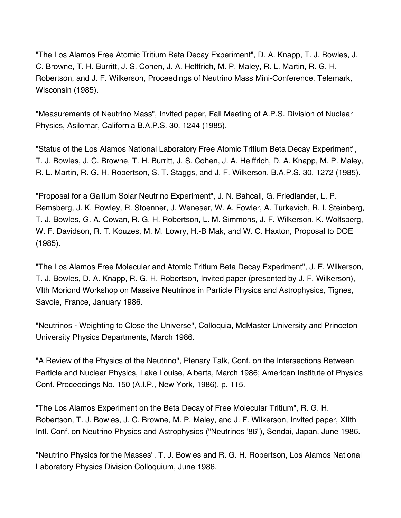"The Los Alamos Free Atomic Tritium Beta Decay Experiment", D. A. Knapp, T. J. Bowles, J. C. Browne, T. H. Burritt, J. S. Cohen, J. A. Helffrich, M. P. Maley, R. L. Martin, R. G. H. Robertson, and J. F. Wilkerson, Proceedings of Neutrino Mass Mini-Conference, Telemark, Wisconsin (1985).

"Measurements of Neutrino Mass", Invited paper, Fall Meeting of A.P.S. Division of Nuclear Physics, Asilomar, California B.A.P.S. 30, 1244 (1985).

"Status of the Los Alamos National Laboratory Free Atomic Tritium Beta Decay Experiment", T. J. Bowles, J. C. Browne, T. H. Burritt, J. S. Cohen, J. A. Helffrich, D. A. Knapp, M. P. Maley, R. L. Martin, R. G. H. Robertson, S. T. Staggs, and J. F. Wilkerson, B.A.P.S. 30, 1272 (1985).

"Proposal for a Gallium Solar Neutrino Experiment", J. N. Bahcall, G. Friedlander, L. P. Remsberg, J. K. Rowley, R. Stoenner, J. Weneser, W. A. Fowler, A. Turkevich, R. I. Steinberg, T. J. Bowles, G. A. Cowan, R. G. H. Robertson, L. M. Simmons, J. F. Wilkerson, K. Wolfsberg, W. F. Davidson, R. T. Kouzes, M. M. Lowry, H.-B Mak, and W. C. Haxton, Proposal to DOE (1985).

"The Los Alamos Free Molecular and Atomic Tritium Beta Decay Experiment", J. F. Wilkerson, T. J. Bowles, D. A. Knapp, R. G. H. Robertson, Invited paper (presented by J. F. Wilkerson), VIth Moriond Workshop on Massive Neutrinos in Particle Physics and Astrophysics, Tignes, Savoie, France, January 1986.

"Neutrinos - Weighting to Close the Universe", Colloquia, McMaster University and Princeton University Physics Departments, March 1986.

"A Review of the Physics of the Neutrino", Plenary Talk, Conf. on the Intersections Between Particle and Nuclear Physics, Lake Louise, Alberta, March 1986; American Institute of Physics Conf. Proceedings No. 150 (A.I.P., New York, 1986), p. 115.

"The Los Alamos Experiment on the Beta Decay of Free Molecular Tritium", R. G. H. Robertson, T. J. Bowles, J. C. Browne, M. P. Maley, and J. F. Wilkerson, Invited paper, XIIth Intl. Conf. on Neutrino Physics and Astrophysics ("Neutrinos '86"), Sendai, Japan, June 1986.

"Neutrino Physics for the Masses", T. J. Bowles and R. G. H. Robertson, Los Alamos National Laboratory Physics Division Colloquium, June 1986.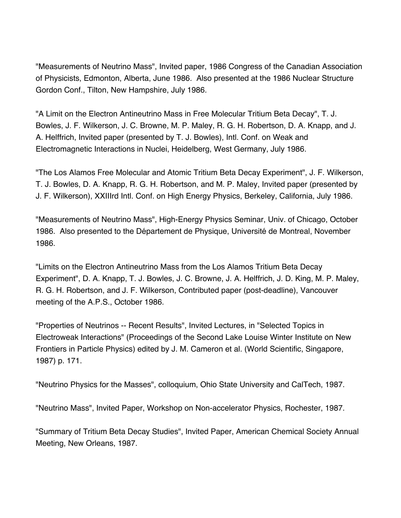"Measurements of Neutrino Mass", Invited paper, 1986 Congress of the Canadian Association of Physicists, Edmonton, Alberta, June 1986. Also presented at the 1986 Nuclear Structure Gordon Conf., Tilton, New Hampshire, July 1986.

"A Limit on the Electron Antineutrino Mass in Free Molecular Tritium Beta Decay", T. J. Bowles, J. F. Wilkerson, J. C. Browne, M. P. Maley, R. G. H. Robertson, D. A. Knapp, and J. A. Helffrich, Invited paper (presented by T. J. Bowles), Intl. Conf. on Weak and Electromagnetic Interactions in Nuclei, Heidelberg, West Germany, July 1986.

"The Los Alamos Free Molecular and Atomic Tritium Beta Decay Experiment", J. F. Wilkerson, T. J. Bowles, D. A. Knapp, R. G. H. Robertson, and M. P. Maley, Invited paper (presented by J. F. Wilkerson), XXIIIrd Intl. Conf. on High Energy Physics, Berkeley, California, July 1986.

"Measurements of Neutrino Mass", High-Energy Physics Seminar, Univ. of Chicago, October 1986. Also presented to the Département de Physique, Université de Montreal, November 1986.

"Limits on the Electron Antineutrino Mass from the Los Alamos Tritium Beta Decay Experiment", D. A. Knapp, T. J. Bowles, J. C. Browne, J. A. Helffrich, J. D. King, M. P. Maley, R. G. H. Robertson, and J. F. Wilkerson, Contributed paper (post-deadline), Vancouver meeting of the A.P.S., October 1986.

"Properties of Neutrinos -- Recent Results", Invited Lectures, in "Selected Topics in Electroweak Interactions" (Proceedings of the Second Lake Louise Winter Institute on New Frontiers in Particle Physics) edited by J. M. Cameron et al. (World Scientific, Singapore, 1987) p. 171.

"Neutrino Physics for the Masses", colloquium, Ohio State University and CalTech, 1987.

"Neutrino Mass", Invited Paper, Workshop on Non-accelerator Physics, Rochester, 1987.

"Summary of Tritium Beta Decay Studies", Invited Paper, American Chemical Society Annual Meeting, New Orleans, 1987.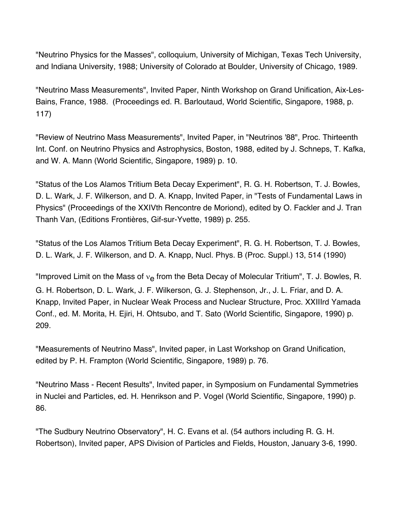"Neutrino Physics for the Masses", colloquium, University of Michigan, Texas Tech University, and Indiana University, 1988; University of Colorado at Boulder, University of Chicago, 1989.

"Neutrino Mass Measurements", Invited Paper, Ninth Workshop on Grand Unification, Aix-Les-Bains, France, 1988. (Proceedings ed. R. Barloutaud, World Scientific, Singapore, 1988, p. 117)

"Review of Neutrino Mass Measurements", Invited Paper, in "Neutrinos '88", Proc. Thirteenth Int. Conf. on Neutrino Physics and Astrophysics, Boston, 1988, edited by J. Schneps, T. Kafka, and W. A. Mann (World Scientific, Singapore, 1989) p. 10.

"Status of the Los Alamos Tritium Beta Decay Experiment", R. G. H. Robertson, T. J. Bowles, D. L. Wark, J. F. Wilkerson, and D. A. Knapp, Invited Paper, in "Tests of Fundamental Laws in Physics" (Proceedings of the XXIVth Rencontre de Moriond), edited by O. Fackler and J. Tran Thanh Van, (Editions Frontières, Gif-sur-Yvette, 1989) p. 255.

"Status of the Los Alamos Tritium Beta Decay Experiment", R. G. H. Robertson, T. J. Bowles, D. L. Wark, J. F. Wilkerson, and D. A. Knapp, Nucl. Phys. B (Proc. Suppl.) 13, 514 (1990)

"Improved Limit on the Mass of  $v_{\rm e}$  from the Beta Decay of Molecular Tritium", T. J. Bowles, R. G. H. Robertson, D. L. Wark, J. F. Wilkerson, G. J. Stephenson, Jr., J. L. Friar, and D. A. Knapp, Invited Paper, in Nuclear Weak Process and Nuclear Structure, Proc. XXIIIrd Yamada Conf., ed. M. Morita, H. Ejiri, H. Ohtsubo, and T. Sato (World Scientific, Singapore, 1990) p. 209.

"Measurements of Neutrino Mass", Invited paper, in Last Workshop on Grand Unification, edited by P. H. Frampton (World Scientific, Singapore, 1989) p. 76.

"Neutrino Mass - Recent Results", Invited paper, in Symposium on Fundamental Symmetries in Nuclei and Particles, ed. H. Henrikson and P. Vogel (World Scientific, Singapore, 1990) p. 86.

"The Sudbury Neutrino Observatory", H. C. Evans et al. (54 authors including R. G. H. Robertson), Invited paper, APS Division of Particles and Fields, Houston, January 3-6, 1990.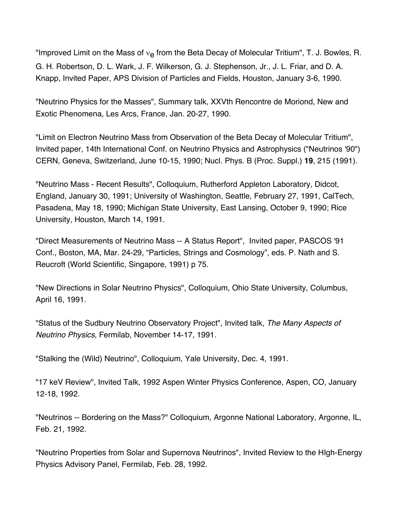"Improved Limit on the Mass of  $v_{\rm e}$  from the Beta Decay of Molecular Tritium", T. J. Bowles, R. G. H. Robertson, D. L. Wark, J. F. Wilkerson, G. J. Stephenson, Jr., J. L. Friar, and D. A. Knapp, Invited Paper, APS Division of Particles and Fields, Houston, January 3-6, 1990.

"Neutrino Physics for the Masses", Summary talk, XXVth Rencontre de Moriond, New and Exotic Phenomena, Les Arcs, France, Jan. 20-27, 1990.

"Limit on Electron Neutrino Mass from Observation of the Beta Decay of Molecular Tritium", Invited paper, 14th International Conf. on Neutrino Physics and Astrophysics ("Neutrinos '90") CERN, Geneva, Switzerland, June 10-15, 1990; Nucl. Phys. B (Proc. Suppl.) **19**, 215 (1991).

"Neutrino Mass - Recent Results", Colloquium, Rutherford Appleton Laboratory, Didcot, England, January 30, 1991; University of Washington, Seattle, February 27, 1991, CalTech, Pasadena, May 18, 1990; Michigan State University, East Lansing, October 9, 1990; Rice University, Houston, March 14, 1991.

"Direct Measurements of Neutrino Mass -- A Status Report", Invited paper, PASCOS '91 Conf., Boston, MA, Mar. 24-29, "Particles, Strings and Cosmology", eds. P. Nath and S. Reucroft (World Scientific, Singapore, 1991) p 75.

"New Directions in Solar Neutrino Physics", Colloquium, Ohio State University, Columbus, April 16, 1991.

"Status of the Sudbury Neutrino Observatory Project", Invited talk, *The Many Aspects of Neutrino Physics*, Fermilab, November 14-17, 1991.

"Stalking the (Wild) Neutrino", Colloquium, Yale University, Dec. 4, 1991.

"17 keV Review", Invited Talk, 1992 Aspen Winter Physics Conference, Aspen, CO, January 12-18, 1992.

"Neutrinos -- Bordering on the Mass?" Colloquium, Argonne National Laboratory, Argonne, IL, Feb. 21, 1992.

"Neutrino Properties from Solar and Supernova Neutrinos", Invited Review to the HIgh-Energy Physics Advisory Panel, Fermilab, Feb. 28, 1992.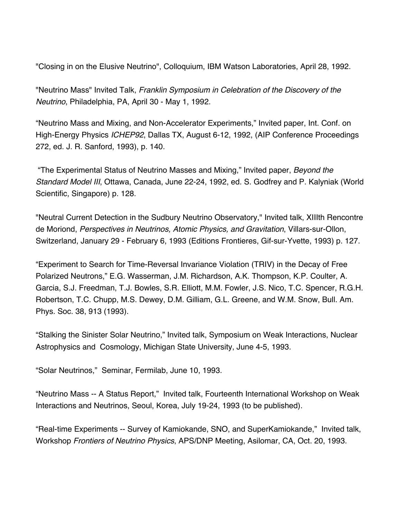"Closing in on the Elusive Neutrino", Colloquium, IBM Watson Laboratories, April 28, 1992.

"Neutrino Mass" Invited Talk, *Franklin Symposium in Celebration of the Discovery of the Neutrino*, Philadelphia, PA, April 30 - May 1, 1992.

"Neutrino Mass and Mixing, and Non-Accelerator Experiments," Invited paper, Int. Conf. on High-Energy Physics *ICHEP92*, Dallas TX, August 6-12, 1992, (AIP Conference Proceedings 272, ed. J. R. Sanford, 1993), p. 140.

"The Experimental Status of Neutrino Masses and Mixing," Invited paper, *Beyond the Standard Model III*, Ottawa, Canada, June 22-24, 1992, ed. S. Godfrey and P. Kalyniak (World Scientific, Singapore) p. 128.

"Neutral Current Detection in the Sudbury Neutrino Observatory," Invited talk, XIIIth Rencontre de Moriond, *Perspectives in Neutrinos, Atomic Physics, and Gravitation*, Villars-sur-Ollon, Switzerland, January 29 - February 6, 1993 (Editions Frontieres, Gif-sur-Yvette, 1993) p. 127.

"Experiment to Search for Time-Reversal Invariance Violation (TRIV) in the Decay of Free Polarized Neutrons," E.G. Wasserman, J.M. Richardson, A.K. Thompson, K.P. Coulter, A. Garcia, S.J. Freedman, T.J. Bowles, S.R. Elliott, M.M. Fowler, J.S. Nico, T.C. Spencer, R.G.H. Robertson, T.C. Chupp, M.S. Dewey, D.M. Gilliam, G.L. Greene, and W.M. Snow, Bull. Am. Phys. Soc. 38, 913 (1993).

"Stalking the Sinister Solar Neutrino," Invited talk, Symposium on Weak Interactions, Nuclear Astrophysics and Cosmology, Michigan State University, June 4-5, 1993.

"Solar Neutrinos," Seminar, Fermilab, June 10, 1993.

"Neutrino Mass -- A Status Report," Invited talk, Fourteenth International Workshop on Weak Interactions and Neutrinos, Seoul, Korea, July 19-24, 1993 (to be published).

"Real-time Experiments -- Survey of Kamiokande, SNO, and SuperKamiokande," Invited talk, Workshop *Frontiers of Neutrino Physics*, APS/DNP Meeting, Asilomar, CA, Oct. 20, 1993.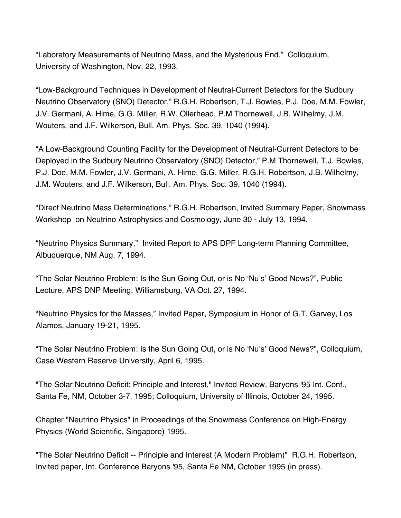"Laboratory Measurements of Neutrino Mass, and the Mysterious End." Colloquium, University of Washington, Nov. 22, 1993.

"Low-Background Techniques in Development of Neutral-Current Detectors for the Sudbury Neutrino Observatory (SNO) Detector," R.G.H. Robertson, T.J. Bowles, P.J. Doe, M.M. Fowler, J.V. Germani, A. Hime, G.G. Miller, R.W. Ollerhead, P.M Thornewell, J.B. Wilhelmy, J.M. Wouters, and J.F. Wilkerson, Bull. Am. Phys. Soc. 39, 1040 (1994).

"A Low-Background Counting Facility for the Development of Neutral-Current Detectors to be Deployed in the Sudbury Neutrino Observatory (SNO) Detector," P.M Thornewell, T.J. Bowles, P.J. Doe, M.M. Fowler, J.V. Germani, A. Hime, G.G. Miller, R.G.H. Robertson, J.B. Wilhelmy, J.M. Wouters, and J.F. Wilkerson, Bull. Am. Phys. Soc. 39, 1040 (1994).

"Direct Neutrino Mass Determinations," R.G.H. Robertson, Invited Summary Paper, Snowmass Workshop on Neutrino Astrophysics and Cosmology, June 30 - July 13, 1994.

"Neutrino Physics Summary," Invited Report to APS DPF Long-term Planning Committee, Albuquerque, NM Aug. 7, 1994.

"The Solar Neutrino Problem: Is the Sun Going Out, or is No 'Nu's' Good News?", Public Lecture, APS DNP Meeting, Williamsburg, VA Oct. 27, 1994.

"Neutrino Physics for the Masses," Invited Paper, Symposium in Honor of G.T. Garvey, Los Alamos, January 19-21, 1995.

"The Solar Neutrino Problem: Is the Sun Going Out, or is No 'Nu's' Good News?", Colloquium, Case Western Reserve University, April 6, 1995.

"The Solar Neutrino Deficit: Principle and Interest," Invited Review, Baryons '95 Int. Conf., Santa Fe, NM, October 3-7, 1995; Colloquium, University of Illinois, October 24, 1995.

Chapter "Neutrino Physics" in Proceedings of the Snowmass Conference on High-Energy Physics (World Scientific, Singapore) 1995.

"The Solar Neutrino Deficit -- Principle and Interest (A Modern Problem)" R.G.H. Robertson, Invited paper, Int. Conference Baryons '95, Santa Fe NM, October 1995 (in press).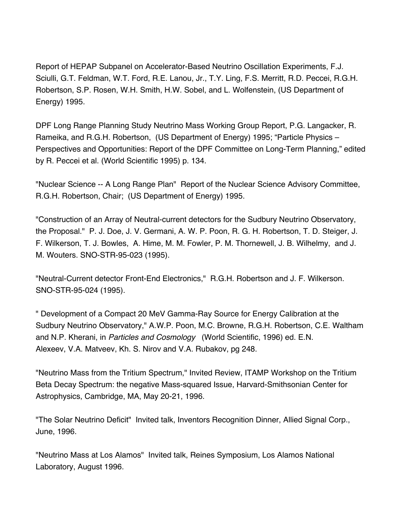Report of HEPAP Subpanel on Accelerator-Based Neutrino Oscillation Experiments, F.J. Sciulli, G.T. Feldman, W.T. Ford, R.E. Lanou, Jr., T.Y. Ling, F.S. Merritt, R.D. Peccei, R.G.H. Robertson, S.P. Rosen, W.H. Smith, H.W. Sobel, and L. Wolfenstein, (US Department of Energy) 1995.

DPF Long Range Planning Study Neutrino Mass Working Group Report, P.G. Langacker, R. Rameika, and R.G.H. Robertson, (US Department of Energy) 1995; "Particle Physics – Perspectives and Opportunities: Report of the DPF Committee on Long-Term Planning," edited by R. Peccei et al. (World Scientific 1995) p. 134.

"Nuclear Science -- A Long Range Plan" Report of the Nuclear Science Advisory Committee, R.G.H. Robertson, Chair; (US Department of Energy) 1995.

"Construction of an Array of Neutral-current detectors for the Sudbury Neutrino Observatory, the Proposal." P. J. Doe, J. V. Germani, A. W. P. Poon, R. G. H. Robertson, T. D. Steiger, J. F. Wilkerson, T. J. Bowles, A. Hime, M. M. Fowler, P. M. Thornewell, J. B. Wilhelmy, and J. M. Wouters. SNO-STR-95-023 (1995).

"Neutral-Current detector Front-End Electronics," R.G.H. Robertson and J. F. Wilkerson. SNO-STR-95-024 (1995).

" Development of a Compact 20 MeV Gamma-Ray Source for Energy Calibration at the Sudbury Neutrino Observatory," A.W.P. Poon, M.C. Browne, R.G.H. Robertson, C.E. Waltham and N.P. Kherani, in *Particles and Cosmology* (World Scientific, 1996) ed. E.N. Alexeev, V.A. Matveev, Kh. S. Nirov and V.A. Rubakov, pg 248.

"Neutrino Mass from the Tritium Spectrum," Invited Review, ITAMP Workshop on the Tritium Beta Decay Spectrum: the negative Mass-squared Issue, Harvard-Smithsonian Center for Astrophysics, Cambridge, MA, May 20-21, 1996.

"The Solar Neutrino Deficit" Invited talk, Inventors Recognition Dinner, Allied Signal Corp., June, 1996.

"Neutrino Mass at Los Alamos" Invited talk, Reines Symposium, Los Alamos National Laboratory, August 1996.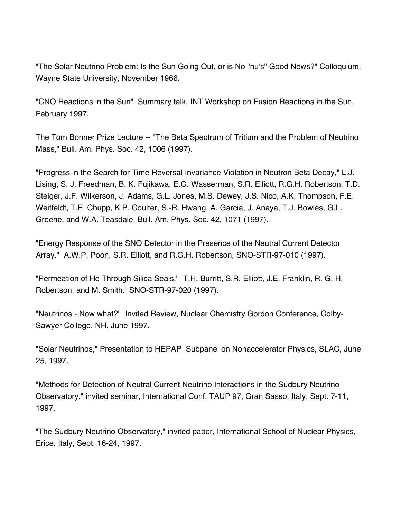"The Solar Neutrino Problem: Is the Sun Going Out, or is No "nu's" Good News?" Colloquium, Wayne State University, November 1966.

"CNO Reactions in the Sun" Summary talk, INT Workshop on Fusion Reactions in the Sun, February 1997.

The Tom Bonner Prize Lecture -- "The Beta Spectrum of Tritium and the Problem of Neutrino Mass," Bull. Am. Phys. Soc. 42, 1006 (1997).

"Progress in the Search for Time Reversal Invariance Violation in Neutron Beta Decay," L.J. Lising, S. J. Freedman, B. K. Fujikawa, E.G. Wasserman, S.R. Elliott, R.G.H. Robertson, T.D. Steiger, J.F. Wilkerson, J. Adams, G.L. Jones, M.S. Dewey, J.S. Nico, A.K. Thompson, F.E. Weitfeldt, T.E. Chupp, K.P. Coulter, S.-R. Hwang, A. Garcia, J. Anaya, T.J. Bowles, G.L. Greene, and W.A. Teasdale, Bull. Am. Phys. Soc. 42, 1071 (1997).

"Energy Response of the SNO Detector in the Presence of the Neutral Current Detector Array." A.W.P. Poon, S.R. Elliott, and R.G.H. Robertson, SNO-STR-97-010 (1997).

"Permeation of He Through Silica Seals," T.H. Burritt, S.R. Elliott, J.E. Franklin, R. G. H. Robertson, and M. Smith. SNO-STR-97-020 (1997).

"Neutrinos - Now what?" Invited Review, Nuclear Chemistry Gordon Conference, Colby-Sawyer College, NH, June 1997.

"Solar Neutrinos," Presentation to HEPAP Subpanel on Nonaccelerator Physics, SLAC, June 25, 1997.

"Methods for Detection of Neutral Current Neutrino Interactions in the Sudbury Neutrino Observatory," invited seminar, International Conf. TAUP 97, Gran Sasso, Italy, Sept. 7-11, 1997.

"The Sudbury Neutrino Observatory," invited paper, International School of Nuclear Physics, Erice, Italy, Sept. 16-24, 1997.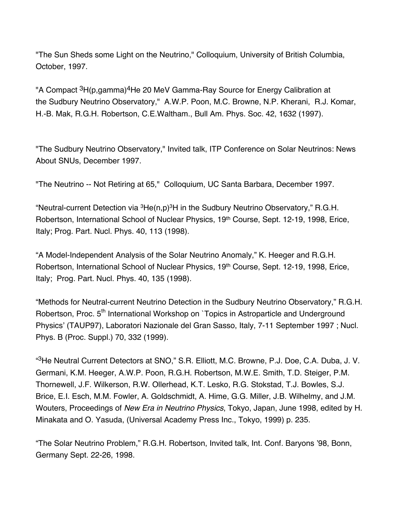"The Sun Sheds some Light on the Neutrino," Colloquium, University of British Columbia, October, 1997.

"A Compact <sup>3</sup>H(p,gamma)<sup>4</sup>He 20 MeV Gamma-Ray Source for Energy Calibration at the Sudbury Neutrino Observatory," A.W.P. Poon, M.C. Browne, N.P. Kherani, R.J. Komar, H.-B. Mak, R.G.H. Robertson, C.E.Waltham., Bull Am. Phys. Soc. 42, 1632 (1997).

"The Sudbury Neutrino Observatory," Invited talk, ITP Conference on Solar Neutrinos: News About SNUs, December 1997.

"The Neutrino -- Not Retiring at 65," Colloquium, UC Santa Barbara, December 1997.

"Neutral-current Detection via  ${}^{3}$ He(n,p) ${}^{3}$ H in the Sudbury Neutrino Observatory," R.G.H. Robertson, International School of Nuclear Physics, 19<sup>th</sup> Course, Sept. 12-19, 1998, Erice, Italy; Prog. Part. Nucl. Phys. 40, 113 (1998).

"A Model-Independent Analysis of the Solar Neutrino Anomaly," K. Heeger and R.G.H. Robertson, International School of Nuclear Physics, 19<sup>th</sup> Course, Sept. 12-19, 1998, Erice, Italy; Prog. Part. Nucl. Phys. 40, 135 (1998).

"Methods for Neutral-current Neutrino Detection in the Sudbury Neutrino Observatory," R.G.H. Robertson, Proc. 5<sup>th</sup> International Workshop on `Topics in Astroparticle and Underground Physics' (TAUP97), Laboratori Nazionale del Gran Sasso, Italy, 7-11 September 1997 ; Nucl. Phys. B (Proc. Suppl.) 70, 332 (1999).

" 3He Neutral Current Detectors at SNO," S.R. Elliott, M.C. Browne, P.J. Doe, C.A. Duba, J. V. Germani, K.M. Heeger, A.W.P. Poon, R.G.H. Robertson, M.W.E. Smith, T.D. Steiger, P.M. Thornewell, J.F. Wilkerson, R.W. Ollerhead, K.T. Lesko, R.G. Stokstad, T.J. Bowles, S.J. Brice, E.I. Esch, M.M. Fowler, A. Goldschmidt, A. Hime, G.G. Miller, J.B. Wilhelmy, and J.M. Wouters, Proceedings of *New Era in Neutrino Physics*, Tokyo, Japan, June 1998, edited by H. Minakata and O. Yasuda, (Universal Academy Press Inc., Tokyo, 1999) p. 235.

"The Solar Neutrino Problem," R.G.H. Robertson, Invited talk, Int. Conf. Baryons '98, Bonn, Germany Sept. 22-26, 1998.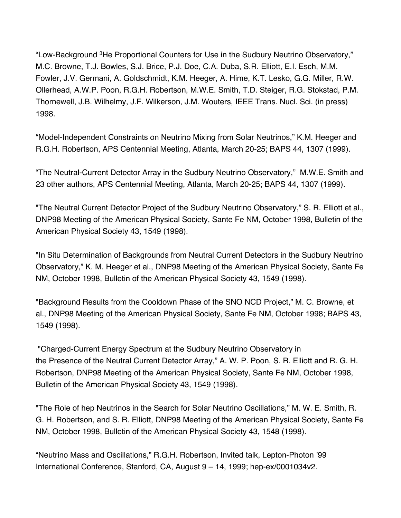"Low-Background 3He Proportional Counters for Use in the Sudbury Neutrino Observatory," M.C. Browne, T.J. Bowles, S.J. Brice, P.J. Doe, C.A. Duba, S.R. Elliott, E.I. Esch, M.M. Fowler, J.V. Germani, A. Goldschmidt, K.M. Heeger, A. Hime, K.T. Lesko, G.G. Miller, R.W. Ollerhead, A.W.P. Poon, R.G.H. Robertson, M.W.E. Smith, T.D. Steiger, R.G. Stokstad, P.M. Thornewell, J.B. Wilhelmy, J.F. Wilkerson, J.M. Wouters, IEEE Trans. Nucl. Sci. (in press) 1998.

"Model-Independent Constraints on Neutrino Mixing from Solar Neutrinos," K.M. Heeger and R.G.H. Robertson, APS Centennial Meeting, Atlanta, March 20-25; BAPS 44, 1307 (1999).

"The Neutral-Current Detector Array in the Sudbury Neutrino Observatory," M.W.E. Smith and 23 other authors, APS Centennial Meeting, Atlanta, March 20-25; BAPS 44, 1307 (1999).

"The Neutral Current Detector Project of the Sudbury Neutrino Observatory," S. R. Elliott et al., DNP98 Meeting of the American Physical Society, Sante Fe NM, October 1998, Bulletin of the American Physical Society 43, 1549 (1998).

"In Situ Determination of Backgrounds from Neutral Current Detectors in the Sudbury Neutrino Observatory," K. M. Heeger et al., DNP98 Meeting of the American Physical Society, Sante Fe NM, October 1998, Bulletin of the American Physical Society 43, 1549 (1998).

"Background Results from the Cooldown Phase of the SNO NCD Project," M. C. Browne, et al., DNP98 Meeting of the American Physical Society, Sante Fe NM, October 1998; BAPS 43, 1549 (1998).

"Charged-Current Energy Spectrum at the Sudbury Neutrino Observatory in the Presence of the Neutral Current Detector Array," A. W. P. Poon, S. R. Elliott and R. G. H. Robertson, DNP98 Meeting of the American Physical Society, Sante Fe NM, October 1998, Bulletin of the American Physical Society 43, 1549 (1998).

"The Role of hep Neutrinos in the Search for Solar Neutrino Oscillations," M. W. E. Smith, R. G. H. Robertson, and S. R. Elliott, DNP98 Meeting of the American Physical Society, Sante Fe NM, October 1998, Bulletin of the American Physical Society 43, 1548 (1998).

"Neutrino Mass and Oscillations," R.G.H. Robertson, Invited talk, Lepton-Photon '99 International Conference, Stanford, CA, August 9 – 14, 1999; hep-ex/0001034v2.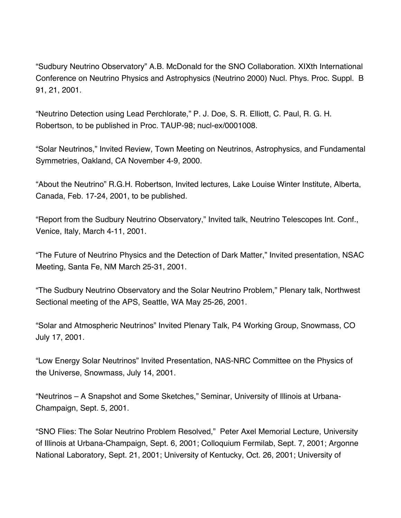"Sudbury Neutrino Observatory" A.B. McDonald for the SNO Collaboration. XIXth International Conference on Neutrino Physics and Astrophysics (Neutrino 2000) Nucl. Phys. Proc. Suppl. B 91, 21, 2001.

"Neutrino Detection using Lead Perchlorate," P. J. Doe, S. R. Elliott, C. Paul, R. G. H. Robertson, to be published in Proc. TAUP-98; nucl-ex/0001008.

"Solar Neutrinos," Invited Review, Town Meeting on Neutrinos, Astrophysics, and Fundamental Symmetries, Oakland, CA November 4-9, 2000.

"About the Neutrino" R.G.H. Robertson, Invited lectures, Lake Louise Winter Institute, Alberta, Canada, Feb. 17-24, 2001, to be published.

"Report from the Sudbury Neutrino Observatory," Invited talk, Neutrino Telescopes Int. Conf., Venice, Italy, March 4-11, 2001.

"The Future of Neutrino Physics and the Detection of Dark Matter," Invited presentation, NSAC Meeting, Santa Fe, NM March 25-31, 2001.

"The Sudbury Neutrino Observatory and the Solar Neutrino Problem," Plenary talk, Northwest Sectional meeting of the APS, Seattle, WA May 25-26, 2001.

"Solar and Atmospheric Neutrinos" Invited Plenary Talk, P4 Working Group, Snowmass, CO July 17, 2001.

"Low Energy Solar Neutrinos" Invited Presentation, NAS-NRC Committee on the Physics of the Universe, Snowmass, July 14, 2001.

"Neutrinos – A Snapshot and Some Sketches," Seminar, University of Illinois at Urbana-Champaign, Sept. 5, 2001.

"SNO Flies: The Solar Neutrino Problem Resolved," Peter Axel Memorial Lecture, University of Illinois at Urbana-Champaign, Sept. 6, 2001; Colloquium Fermilab, Sept. 7, 2001; Argonne National Laboratory, Sept. 21, 2001; University of Kentucky, Oct. 26, 2001; University of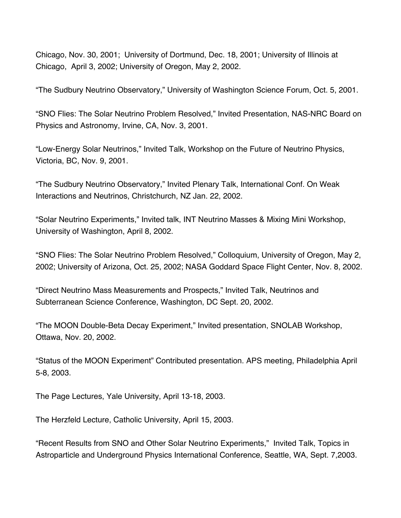Chicago, Nov. 30, 2001; University of Dortmund, Dec. 18, 2001; University of Illinois at Chicago, April 3, 2002; University of Oregon, May 2, 2002.

"The Sudbury Neutrino Observatory," University of Washington Science Forum, Oct. 5, 2001.

"SNO Flies: The Solar Neutrino Problem Resolved," Invited Presentation, NAS-NRC Board on Physics and Astronomy, Irvine, CA, Nov. 3, 2001.

"Low-Energy Solar Neutrinos," Invited Talk, Workshop on the Future of Neutrino Physics, Victoria, BC, Nov. 9, 2001.

"The Sudbury Neutrino Observatory," Invited Plenary Talk, International Conf. On Weak Interactions and Neutrinos, Christchurch, NZ Jan. 22, 2002.

"Solar Neutrino Experiments," Invited talk, INT Neutrino Masses & Mixing Mini Workshop, University of Washington, April 8, 2002.

"SNO Flies: The Solar Neutrino Problem Resolved," Colloquium, University of Oregon, May 2, 2002; University of Arizona, Oct. 25, 2002; NASA Goddard Space Flight Center, Nov. 8, 2002.

"Direct Neutrino Mass Measurements and Prospects," Invited Talk, Neutrinos and Subterranean Science Conference, Washington, DC Sept. 20, 2002.

"The MOON Double-Beta Decay Experiment," Invited presentation, SNOLAB Workshop, Ottawa, Nov. 20, 2002.

"Status of the MOON Experiment" Contributed presentation. APS meeting, Philadelphia April 5-8, 2003.

The Page Lectures, Yale University, April 13-18, 2003.

The Herzfeld Lecture, Catholic University, April 15, 2003.

"Recent Results from SNO and Other Solar Neutrino Experiments," Invited Talk, Topics in Astroparticle and Underground Physics International Conference, Seattle, WA, Sept. 7,2003.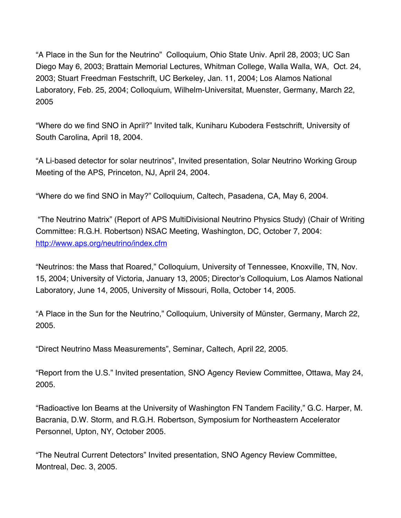"A Place in the Sun for the Neutrino" Colloquium, Ohio State Univ. April 28, 2003; UC San Diego May 6, 2003; Brattain Memorial Lectures, Whitman College, Walla Walla, WA, Oct. 24, 2003; Stuart Freedman Festschrift, UC Berkeley, Jan. 11, 2004; Los Alamos National Laboratory, Feb. 25, 2004; Colloquium, Wilhelm-Universitat, Muenster, Germany, March 22, 2005

"Where do we find SNO in April?" Invited talk, Kuniharu Kubodera Festschrift, University of South Carolina, April 18, 2004.

"A Li-based detector for solar neutrinos", Invited presentation, Solar Neutrino Working Group Meeting of the APS, Princeton, NJ, April 24, 2004.

"Where do we find SNO in May?" Colloquium, Caltech, Pasadena, CA, May 6, 2004.

"The Neutrino Matrix" (Report of APS MultiDivisional Neutrino Physics Study) (Chair of Writing Committee: R.G.H. Robertson) NSAC Meeting, Washington, DC, October 7, 2004: http://www.aps.org/neutrino/index.cfm

"Neutrinos: the Mass that Roared," Colloquium, University of Tennessee, Knoxville, TN, Nov. 15, 2004; University of Victoria, January 13, 2005; Director's Colloquium, Los Alamos National Laboratory, June 14, 2005, University of Missouri, Rolla, October 14, 2005.

"A Place in the Sun for the Neutrino," Colloquium, University of Münster, Germany, March 22, 2005.

"Direct Neutrino Mass Measurements", Seminar, Caltech, April 22, 2005.

"Report from the U.S." Invited presentation, SNO Agency Review Committee, Ottawa, May 24, 2005.

"Radioactive Ion Beams at the University of Washington FN Tandem Facility," G.C. Harper, M. Bacrania, D.W. Storm, and R.G.H. Robertson, Symposium for Northeastern Accelerator Personnel, Upton, NY, October 2005.

"The Neutral Current Detectors" Invited presentation, SNO Agency Review Committee, Montreal, Dec. 3, 2005.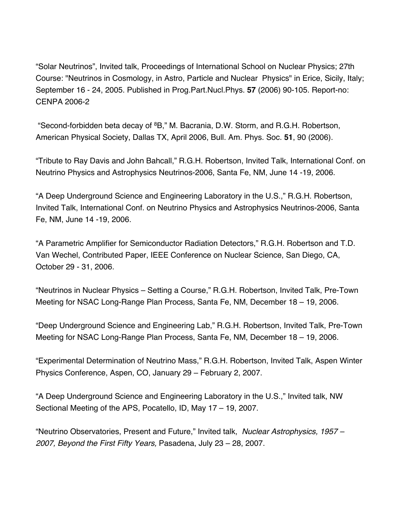"Solar Neutrinos", Invited talk, Proceedings of International School on Nuclear Physics; 27th Course: "Neutrinos in Cosmology, in Astro, Particle and Nuclear Physics" in Erice, Sicily, Italy; September 16 - 24, 2005. Published in Prog.Part.Nucl.Phys. **57** (2006) 90-105. Report-no: CENPA 2006-2

"Second-forbidden beta decay of 8B," M. Bacrania, D.W. Storm, and R.G.H. Robertson, American Physical Society, Dallas TX, April 2006, Bull. Am. Phys. Soc. **51**, 90 (2006).

"Tribute to Ray Davis and John Bahcall," R.G.H. Robertson, Invited Talk, International Conf. on Neutrino Physics and Astrophysics Neutrinos-2006, Santa Fe, NM, June 14 -19, 2006.

"A Deep Underground Science and Engineering Laboratory in the U.S.," R.G.H. Robertson, Invited Talk, International Conf. on Neutrino Physics and Astrophysics Neutrinos-2006, Santa Fe, NM, June 14 -19, 2006.

"A Parametric Amplifier for Semiconductor Radiation Detectors," R.G.H. Robertson and T.D. Van Wechel, Contributed Paper, IEEE Conference on Nuclear Science, San Diego, CA, October 29 - 31, 2006.

"Neutrinos in Nuclear Physics – Setting a Course," R.G.H. Robertson, Invited Talk, Pre-Town Meeting for NSAC Long-Range Plan Process, Santa Fe, NM, December 18 – 19, 2006.

"Deep Underground Science and Engineering Lab," R.G.H. Robertson, Invited Talk, Pre-Town Meeting for NSAC Long-Range Plan Process, Santa Fe, NM, December 18 – 19, 2006.

"Experimental Determination of Neutrino Mass," R.G.H. Robertson, Invited Talk, Aspen Winter Physics Conference, Aspen, CO, January 29 – February 2, 2007.

"A Deep Underground Science and Engineering Laboratory in the U.S.," Invited talk, NW Sectional Meeting of the APS, Pocatello, ID, May 17 – 19, 2007.

"Neutrino Observatories, Present and Future," Invited talk, *Nuclear Astrophysics, 1957 – 2007, Beyond the First Fifty Years,* Pasadena, July 23 – 28, 2007.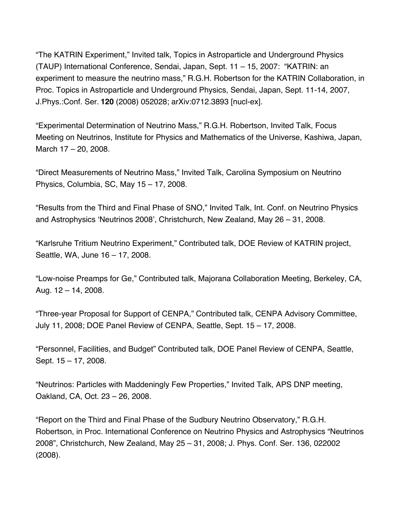"The KATRIN Experiment," Invited talk, Topics in Astroparticle and Underground Physics (TAUP) International Conference, Sendai, Japan, Sept. 11 – 15, 2007: "KATRIN: an experiment to measure the neutrino mass," R.G.H. Robertson for the KATRIN Collaboration, in Proc. Topics in Astroparticle and Underground Physics, Sendai, Japan, Sept. 11-14, 2007, J.Phys.:Conf. Ser. **120** (2008) 052028; arXiv:0712.3893 [nucl-ex].

"Experimental Determination of Neutrino Mass," R.G.H. Robertson, Invited Talk, Focus Meeting on Neutrinos, Institute for Physics and Mathematics of the Universe, Kashiwa, Japan, March 17 – 20, 2008.

"Direct Measurements of Neutrino Mass," Invited Talk, Carolina Symposium on Neutrino Physics, Columbia, SC, May 15 – 17, 2008.

"Results from the Third and Final Phase of SNO," Invited Talk, Int. Conf. on Neutrino Physics and Astrophysics 'Neutrinos 2008', Christchurch, New Zealand, May 26 – 31, 2008.

"Karlsruhe Tritium Neutrino Experiment," Contributed talk, DOE Review of KATRIN project, Seattle, WA, June 16 – 17, 2008.

"Low-noise Preamps for Ge," Contributed talk, Majorana Collaboration Meeting, Berkeley, CA, Aug.  $12 - 14$ , 2008.

"Three-year Proposal for Support of CENPA," Contributed talk, CENPA Advisory Committee, July 11, 2008; DOE Panel Review of CENPA, Seattle, Sept. 15 – 17, 2008.

"Personnel, Facilities, and Budget" Contributed talk, DOE Panel Review of CENPA, Seattle, Sept. 15 – 17, 2008.

"Neutrinos: Particles with Maddeningly Few Properties," Invited Talk, APS DNP meeting, Oakland, CA, Oct. 23 – 26, 2008.

"Report on the Third and Final Phase of the Sudbury Neutrino Observatory," R.G.H. Robertson, in Proc. International Conference on Neutrino Physics and Astrophysics "Neutrinos 2008", Christchurch, New Zealand, May 25 – 31, 2008; J. Phys. Conf. Ser. 136, 022002 (2008).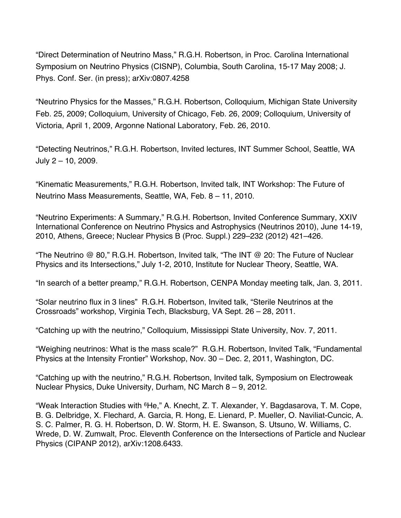"Direct Determination of Neutrino Mass," R.G.H. Robertson, in Proc. Carolina International Symposium on Neutrino Physics (CISNP), Columbia, South Carolina, 15-17 May 2008; J. Phys. Conf. Ser. (in press); arXiv:0807.4258

"Neutrino Physics for the Masses," R.G.H. Robertson, Colloquium, Michigan State University Feb. 25, 2009; Colloquium, University of Chicago, Feb. 26, 2009; Colloquium, University of Victoria, April 1, 2009, Argonne National Laboratory, Feb. 26, 2010.

"Detecting Neutrinos," R.G.H. Robertson, Invited lectures, INT Summer School, Seattle, WA July 2 – 10, 2009.

"Kinematic Measurements," R.G.H. Robertson, Invited talk, INT Workshop: The Future of Neutrino Mass Measurements, Seattle, WA, Feb. 8 – 11, 2010.

"Neutrino Experiments: A Summary," R.G.H. Robertson, Invited Conference Summary, XXIV International Conference on Neutrino Physics and Astrophysics (Neutrinos 2010), June 14-19, 2010, Athens, Greece; Nuclear Physics B (Proc. Suppl.) 229–232 (2012) 421–426.

"The Neutrino @ 80," R.G.H. Robertson, Invited talk, "The INT @ 20: The Future of Nuclear Physics and its Intersections," July 1-2, 2010, Institute for Nuclear Theory, Seattle, WA.

"In search of a better preamp," R.G.H. Robertson, CENPA Monday meeting talk, Jan. 3, 2011.

"Solar neutrino flux in 3 lines" R.G.H. Robertson, Invited talk, "Sterile Neutrinos at the Crossroads" workshop, Virginia Tech, Blacksburg, VA Sept. 26 – 28, 2011.

"Catching up with the neutrino," Colloquium, Mississippi State University, Nov. 7, 2011.

"Weighing neutrinos: What is the mass scale?" R.G.H. Robertson, Invited Talk, "Fundamental Physics at the Intensity Frontier" Workshop, Nov. 30 – Dec. 2, 2011, Washington, DC.

"Catching up with the neutrino," R.G.H. Robertson, Invited talk, Symposium on Electroweak Nuclear Physics, Duke University, Durham, NC March 8 – 9, 2012.

"Weak Interaction Studies with <sup>6</sup>He," A. Knecht, Z. T. Alexander, Y. Bagdasarova, T. M. Cope, B. G. Delbridge, X. Flechard, A. Garcia, R. Hong, E. Lienard, P. Mueller, O. Naviliat-Cuncic, A. S. C. Palmer, R. G. H. Robertson, D. W. Storm, H. E. Swanson, S. Utsuno, W. Williams, C. Wrede, D. W. Zumwalt, Proc. Eleventh Conference on the Intersections of Particle and Nuclear Physics (CIPANP 2012), arXiv:1208.6433.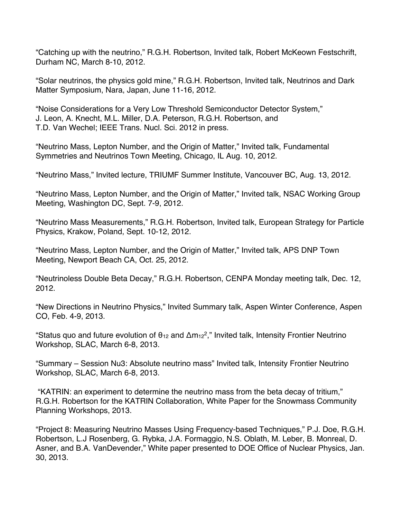"Catching up with the neutrino," R.G.H. Robertson, Invited talk, Robert McKeown Festschrift, Durham NC, March 8-10, 2012.

"Solar neutrinos, the physics gold mine," R.G.H. Robertson, Invited talk, Neutrinos and Dark Matter Symposium, Nara, Japan, June 11-16, 2012.

"Noise Considerations for a Very Low Threshold Semiconductor Detector System," J. Leon, A. Knecht, M.L. Miller, D.A. Peterson, R.G.H. Robertson, and T.D. Van Wechel; IEEE Trans. Nucl. Sci. 2012 in press.

"Neutrino Mass, Lepton Number, and the Origin of Matter," Invited talk, Fundamental Symmetries and Neutrinos Town Meeting, Chicago, IL Aug. 10, 2012.

"Neutrino Mass," Invited lecture, TRIUMF Summer Institute, Vancouver BC, Aug. 13, 2012.

"Neutrino Mass, Lepton Number, and the Origin of Matter," Invited talk, NSAC Working Group Meeting, Washington DC, Sept. 7-9, 2012.

"Neutrino Mass Measurements," R.G.H. Robertson, Invited talk, European Strategy for Particle Physics, Krakow, Poland, Sept. 10-12, 2012.

"Neutrino Mass, Lepton Number, and the Origin of Matter," Invited talk, APS DNP Town Meeting, Newport Beach CA, Oct. 25, 2012.

"Neutrinoless Double Beta Decay," R.G.H. Robertson, CENPA Monday meeting talk, Dec. 12, 2012.

"New Directions in Neutrino Physics," Invited Summary talk, Aspen Winter Conference, Aspen CO, Feb. 4-9, 2013.

"Status quo and future evolution of  $\theta_{12}$  and  $\Delta m_{12}^2$ ," Invited talk, Intensity Frontier Neutrino Workshop, SLAC, March 6-8, 2013.

"Summary – Session Nu3: Absolute neutrino mass" Invited talk, Intensity Frontier Neutrino Workshop, SLAC, March 6-8, 2013.

"KATRIN: an experiment to determine the neutrino mass from the beta decay of tritium," R.G.H. Robertson for the KATRIN Collaboration, White Paper for the Snowmass Community Planning Workshops, 2013.

"Project 8: Measuring Neutrino Masses Using Frequency-based Techniques," P.J. Doe, R.G.H. Robertson, L.J Rosenberg, G. Rybka, J.A. Formaggio, N.S. Oblath, M. Leber, B. Monreal, D. Asner, and B.A. VanDevender," White paper presented to DOE Office of Nuclear Physics, Jan. 30, 2013.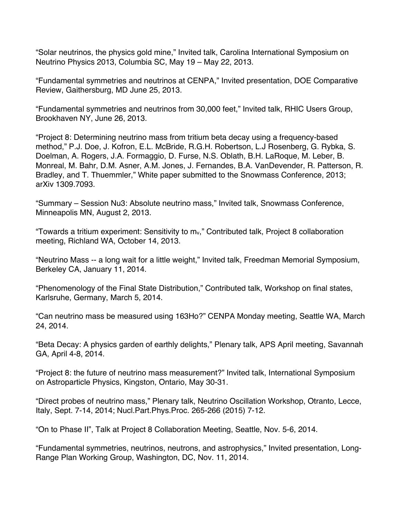"Solar neutrinos, the physics gold mine," Invited talk, Carolina International Symposium on Neutrino Physics 2013, Columbia SC, May 19 – May 22, 2013.

"Fundamental symmetries and neutrinos at CENPA," Invited presentation, DOE Comparative Review, Gaithersburg, MD June 25, 2013.

"Fundamental symmetries and neutrinos from 30,000 feet," Invited talk, RHIC Users Group, Brookhaven NY, June 26, 2013.

"Project 8: Determining neutrino mass from tritium beta decay using a frequency-based method," P.J. Doe, J. Kofron, E.L. McBride, R.G.H. Robertson, L.J Rosenberg, G. Rybka, S. Doelman, A. Rogers, J.A. Formaggio, D. Furse, N.S. Oblath, B.H. LaRoque, M. Leber, B. Monreal, M. Bahr, D.M. Asner, A.M. Jones, J. Fernandes, B.A. VanDevender, R. Patterson, R. Bradley, and T. Thuemmler," White paper submitted to the Snowmass Conference, 2013; arXiv 1309.7093.

"Summary – Session Nu3: Absolute neutrino mass," Invited talk, Snowmass Conference, Minneapolis MN, August 2, 2013.

"Towards a tritium experiment: Sensitivity to mv," Contributed talk, Project 8 collaboration meeting, Richland WA, October 14, 2013.

"Neutrino Mass -- a long wait for a little weight," Invited talk, Freedman Memorial Symposium, Berkeley CA, January 11, 2014.

"Phenomenology of the Final State Distribution," Contributed talk, Workshop on final states, Karlsruhe, Germany, March 5, 2014.

"Can neutrino mass be measured using 163Ho?" CENPA Monday meeting, Seattle WA, March 24, 2014.

"Beta Decay: A physics garden of earthly delights," Plenary talk, APS April meeting, Savannah GA, April 4-8, 2014.

"Project 8: the future of neutrino mass measurement?" Invited talk, International Symposium on Astroparticle Physics, Kingston, Ontario, May 30-31.

"Direct probes of neutrino mass," Plenary talk, Neutrino Oscillation Workshop, Otranto, Lecce, Italy, Sept. 7-14, 2014; Nucl.Part.Phys.Proc. 265-266 (2015) 7-12.

"On to Phase II", Talk at Project 8 Collaboration Meeting, Seattle, Nov. 5-6, 2014.

"Fundamental symmetries, neutrinos, neutrons, and astrophysics," Invited presentation, Long-Range Plan Working Group, Washington, DC, Nov. 11, 2014.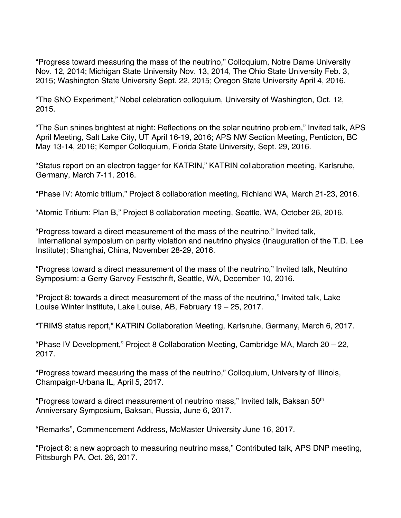"Progress toward measuring the mass of the neutrino," Colloquium, Notre Dame University Nov. 12, 2014; Michigan State University Nov. 13, 2014, The Ohio State University Feb. 3, 2015; Washington State University Sept. 22, 2015; Oregon State University April 4, 2016.

"The SNO Experiment," Nobel celebration colloquium, University of Washington, Oct. 12, 2015.

"The Sun shines brightest at night: Reflections on the solar neutrino problem," Invited talk, APS April Meeting, Salt Lake City, UT April 16-19, 2016; APS NW Section Meeting, Penticton, BC May 13-14, 2016; Kemper Colloquium, Florida State University, Sept. 29, 2016.

"Status report on an electron tagger for KATRIN," KATRIN collaboration meeting, Karlsruhe, Germany, March 7-11, 2016.

"Phase IV: Atomic tritium," Project 8 collaboration meeting, Richland WA, March 21-23, 2016.

"Atomic Tritium: Plan B," Project 8 collaboration meeting, Seattle, WA, October 26, 2016.

"Progress toward a direct measurement of the mass of the neutrino," Invited talk, International symposium on parity violation and neutrino physics (Inauguration of the T.D. Lee Institute); Shanghai, China, November 28-29, 2016.

"Progress toward a direct measurement of the mass of the neutrino," Invited talk, Neutrino Symposium: a Gerry Garvey Festschrift, Seattle, WA, December 10, 2016.

"Project 8: towards a direct measurement of the mass of the neutrino," Invited talk, Lake Louise Winter Institute, Lake Louise, AB, February 19 – 25, 2017.

"TRIMS status report," KATRIN Collaboration Meeting, Karlsruhe, Germany, March 6, 2017.

"Phase IV Development," Project 8 Collaboration Meeting, Cambridge MA, March 20 – 22, 2017.

"Progress toward measuring the mass of the neutrino," Colloquium, University of Illinois, Champaign-Urbana IL, April 5, 2017.

"Progress toward a direct measurement of neutrino mass," Invited talk, Baksan 50th Anniversary Symposium, Baksan, Russia, June 6, 2017.

"Remarks", Commencement Address, McMaster University June 16, 2017.

"Project 8: a new approach to measuring neutrino mass," Contributed talk, APS DNP meeting, Pittsburgh PA, Oct. 26, 2017.